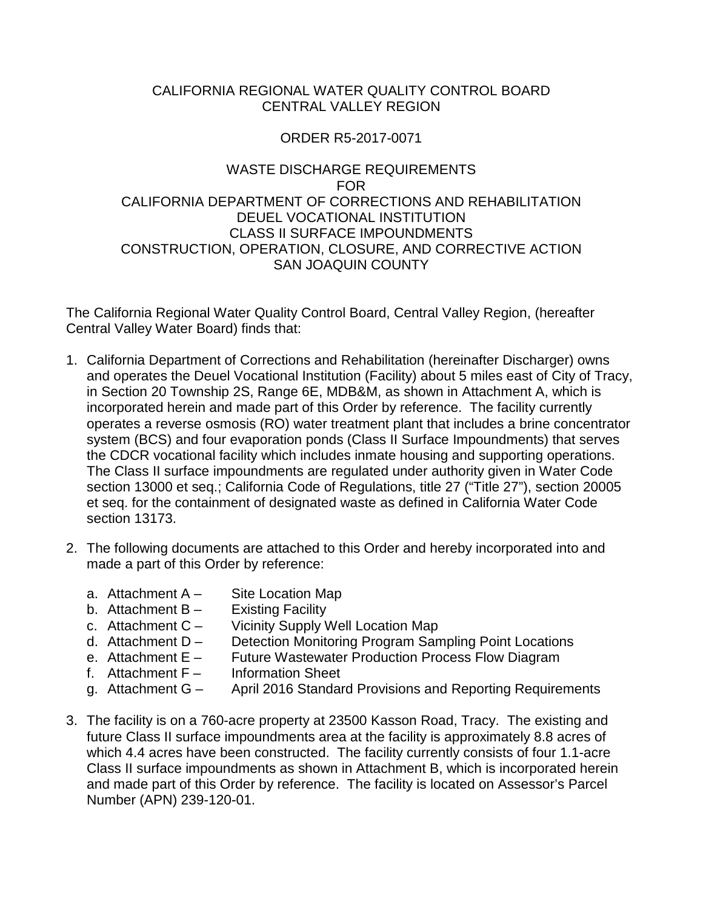### CALIFORNIA REGIONAL WATER QUALITY CONTROL BOARD CENTRAL VALLEY REGION

### ORDER R5-2017-0071

### WASTE DISCHARGE REQUIREMENTS FOR CALIFORNIA DEPARTMENT OF CORRECTIONS AND REHABILITATION DEUEL VOCATIONAL INSTITUTION CLASS II SURFACE IMPOUNDMENTS CONSTRUCTION, OPERATION, CLOSURE, AND CORRECTIVE ACTION SAN JOAQUIN COUNTY

The California Regional Water Quality Control Board, Central Valley Region, (hereafter Central Valley Water Board) finds that:

- 1. California Department of Corrections and Rehabilitation (hereinafter Discharger) owns and operates the Deuel Vocational Institution (Facility) about 5 miles east of City of Tracy, in Section 20 Township 2S, Range 6E, MDB&M, as shown in Attachment A, which is incorporated herein and made part of this Order by reference. The facility currently operates a reverse osmosis (RO) water treatment plant that includes a brine concentrator system (BCS) and four evaporation ponds (Class II Surface Impoundments) that serves the CDCR vocational facility which includes inmate housing and supporting operations. The Class II surface impoundments are regulated under authority given in Water Code section 13000 et seq.; California Code of Regulations, title 27 ("Title 27"), section 20005 et seq. for the containment of designated waste as defined in California Water Code section 13173.
- 2. The following documents are attached to this Order and hereby incorporated into and made a part of this Order by reference:
	- a. Attachment  $A -$  Site Location Map
	- b. Attachment  $B -$  Existing Facility
	- c. Attachment C Vicinity Supply Well Location Map
	- d. Attachment D Detection Monitoring Program Sampling Point Locations
	- e. Attachment E Future Wastewater Production Process Flow Diagram
	- f. Attachment F Information Sheet
	- g. Attachment G April 2016 Standard Provisions and Reporting Requirements
- 3. The facility is on a 760-acre property at 23500 Kasson Road, Tracy. The existing and future Class II surface impoundments area at the facility is approximately 8.8 acres of which 4.4 acres have been constructed. The facility currently consists of four 1.1-acre Class II surface impoundments as shown in Attachment B, which is incorporated herein and made part of this Order by reference. The facility is located on Assessor's Parcel Number (APN) 239-120-01.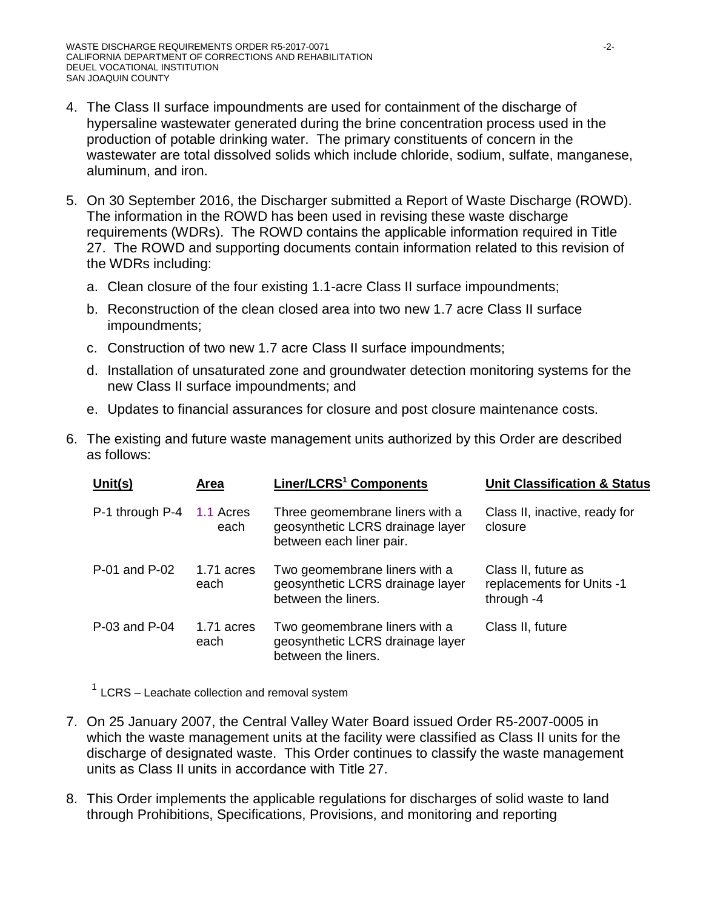- 4. The Class II surface impoundments are used for containment of the discharge of hypersaline wastewater generated during the brine concentration process used in the production of potable drinking water. The primary constituents of concern in the wastewater are total dissolved solids which include chloride, sodium, sulfate, manganese, aluminum, and iron.
- 5. On 30 September 2016, the Discharger submitted a Report of Waste Discharge (ROWD). The information in the ROWD has been used in revising these waste discharge requirements (WDRs). The ROWD contains the applicable information required in Title 27. The ROWD and supporting documents contain information related to this revision of the WDRs including:
	- a. Clean closure of the four existing 1.1-acre Class II surface impoundments;
	- b. Reconstruction of the clean closed area into two new 1.7 acre Class II surface impoundments;
	- c. Construction of two new 1.7 acre Class II surface impoundments;
	- d. Installation of unsaturated zone and groundwater detection monitoring systems for the new Class II surface impoundments; and
	- e. Updates to financial assurances for closure and post closure maintenance costs.
- 6. The existing and future waste management units authorized by this Order are described as follows:

| Unit(s)         | Area               | Liner/LCRS <sup>1</sup> Components                                                              | <b>Unit Classification &amp; Status</b>                        |
|-----------------|--------------------|-------------------------------------------------------------------------------------------------|----------------------------------------------------------------|
| P-1 through P-4 | 1.1 Acres<br>each  | Three geomembrane liners with a<br>geosynthetic LCRS drainage layer<br>between each liner pair. | Class II, inactive, ready for<br>closure                       |
| P-01 and P-02   | 1.71 acres<br>each | Two geomembrane liners with a<br>geosynthetic LCRS drainage layer<br>between the liners.        | Class II, future as<br>replacements for Units -1<br>through -4 |
| P-03 and P-04   | 1.71 acres<br>each | Two geomembrane liners with a<br>geosynthetic LCRS drainage layer<br>between the liners.        | Class II, future                                               |

 $1$  LCRS – Leachate collection and removal system

- 7. On 25 January 2007, the Central Valley Water Board issued Order R5-2007-0005 in which the waste management units at the facility were classified as Class II units for the discharge of designated waste. This Order continues to classify the waste management units as Class II units in accordance with Title 27.
- 8. This Order implements the applicable regulations for discharges of solid waste to land through Prohibitions, Specifications, Provisions, and monitoring and reporting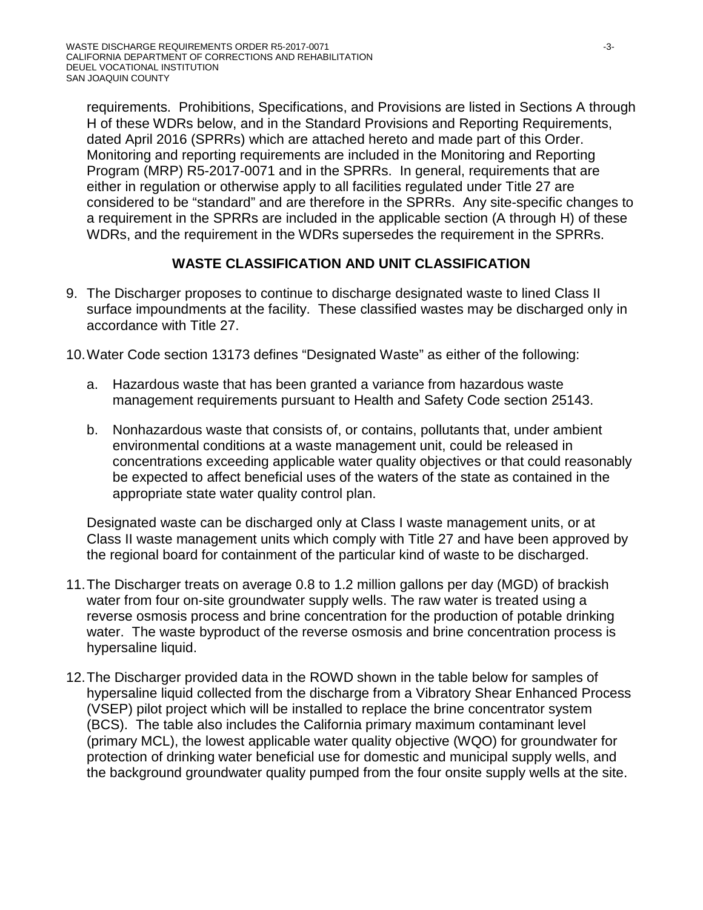requirements. Prohibitions, Specifications, and Provisions are listed in Sections A through H of these WDRs below, and in the Standard Provisions and Reporting Requirements, dated April 2016 (SPRRs) which are attached hereto and made part of this Order. Monitoring and reporting requirements are included in the Monitoring and Reporting Program (MRP) R5-2017-0071 and in the SPRRs. In general, requirements that are either in regulation or otherwise apply to all facilities regulated under Title 27 are considered to be "standard" and are therefore in the SPRRs. Any site-specific changes to a requirement in the SPRRs are included in the applicable section (A through H) of these WDRs, and the requirement in the WDRs supersedes the requirement in the SPRRs.

# **WASTE CLASSIFICATION AND UNIT CLASSIFICATION**

- 9. The Discharger proposes to continue to discharge designated waste to lined Class II surface impoundments at the facility. These classified wastes may be discharged only in accordance with Title 27.
- 10.Water Code section 13173 defines "Designated Waste" as either of the following:
	- a. Hazardous waste that has been granted a variance from hazardous waste management requirements pursuant to Health and Safety Code section 25143.
	- b. Nonhazardous waste that consists of, or contains, pollutants that, under ambient environmental conditions at a waste management unit, could be released in concentrations exceeding applicable water quality objectives or that could reasonably be expected to affect beneficial uses of the waters of the state as contained in the appropriate state water quality control plan.

Designated waste can be discharged only at Class I waste management units, or at Class II waste management units which comply with Title 27 and have been approved by the regional board for containment of the particular kind of waste to be discharged.

- 11.The Discharger treats on average 0.8 to 1.2 million gallons per day (MGD) of brackish water from four on-site groundwater supply wells. The raw water is treated using a reverse osmosis process and brine concentration for the production of potable drinking water. The waste byproduct of the reverse osmosis and brine concentration process is hypersaline liquid.
- 12.The Discharger provided data in the ROWD shown in the table below for samples of hypersaline liquid collected from the discharge from a Vibratory Shear Enhanced Process (VSEP) pilot project which will be installed to replace the brine concentrator system (BCS). The table also includes the California primary maximum contaminant level (primary MCL), the lowest applicable water quality objective (WQO) for groundwater for protection of drinking water beneficial use for domestic and municipal supply wells, and the background groundwater quality pumped from the four onsite supply wells at the site.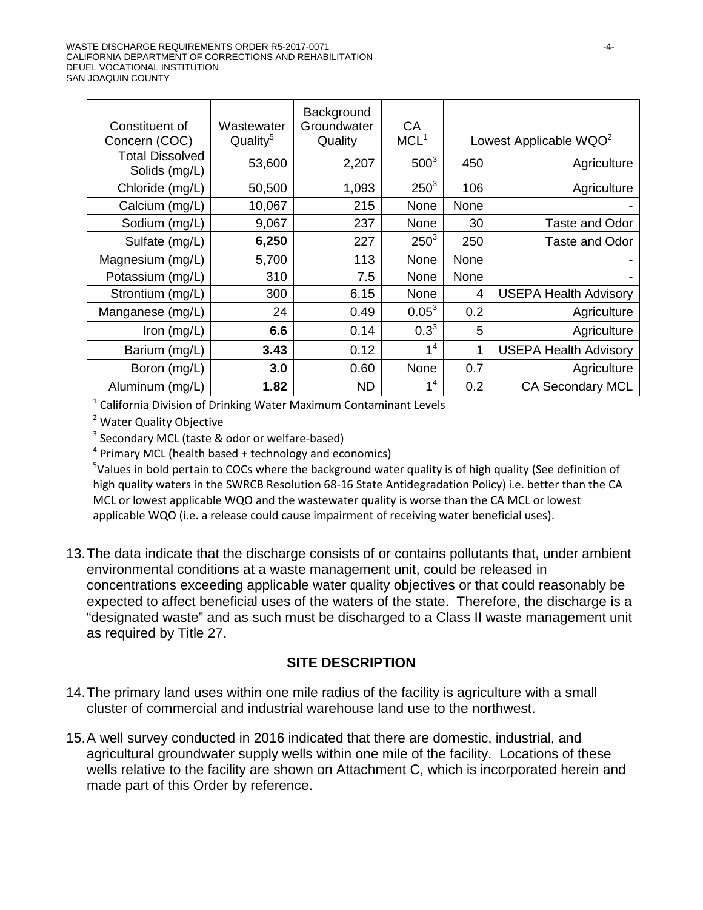| Constituent of<br>Concern (COC)         | Wastewater<br>Quality <sup>5</sup> | Background<br>Groundwater<br>Quality | CA<br>MCL <sup>1</sup> |                | Lowest Applicable WQO <sup>2</sup> |
|-----------------------------------------|------------------------------------|--------------------------------------|------------------------|----------------|------------------------------------|
| <b>Total Dissolved</b><br>Solids (mg/L) | 53,600                             | 2,207                                | $500^3$                | 450            | Agriculture                        |
| Chloride (mg/L)                         | 50,500                             | 1,093                                | $250^3$                | 106            | Agriculture                        |
| Calcium (mg/L)                          | 10,067                             | 215                                  | None                   | None           |                                    |
| Sodium (mg/L)                           | 9,067                              | 237                                  | None                   | 30             | Taste and Odor                     |
| Sulfate (mg/L)                          | 6,250                              | 227                                  | $250^3$                | 250            | Taste and Odor                     |
| Magnesium (mg/L)                        | 5,700                              | 113                                  | None                   | None           |                                    |
| Potassium (mg/L)                        | 310                                | 7.5                                  | None                   | None           |                                    |
| Strontium (mg/L)                        | 300                                | 6.15                                 | None                   | $\overline{4}$ | <b>USEPA Health Advisory</b>       |
| Manganese (mg/L)                        | 24                                 | 0.49                                 | $0.05^3$               | 0.2            | Agriculture                        |
| Iron $(mg/L)$                           | 6.6                                | 0.14                                 | $0.3^{3}$              | 5              | Agriculture                        |
| Barium (mg/L)                           | 3.43                               | 0.12                                 | 1 <sup>4</sup>         | 1              | <b>USEPA Health Advisory</b>       |
| Boron (mg/L)                            | 3.0                                | 0.60                                 | None                   | 0.7            | Agriculture                        |
| Aluminum (mg/L)                         | 1.82                               | <b>ND</b>                            | 1 <sup>4</sup>         | 0.2            | <b>CA Secondary MCL</b>            |

 $1$  California Division of Drinking Water Maximum Contaminant Levels

<sup>2</sup> Water Quality Objective

 $3$  Secondary MCL (taste & odor or welfare-based)

 $4$  Primary MCL (health based  $+$  technology and economics)

<sup>5</sup>Values in bold pertain to COCs where the background water quality is of high quality (See definition of high quality waters in the SWRCB Resolution 68-16 State Antidegradation Policy) i.e. better than the CA MCL or lowest applicable WQO and the wastewater quality is worse than the CA MCL or lowest applicable WQO (i.e. a release could cause impairment of receiving water beneficial uses).

13.The data indicate that the discharge consists of or contains pollutants that, under ambient environmental conditions at a waste management unit, could be released in concentrations exceeding applicable water quality objectives or that could reasonably be expected to affect beneficial uses of the waters of the state. Therefore, the discharge is a "designated waste" and as such must be discharged to a Class II waste management unit as required by Title 27.

### **SITE DESCRIPTION**

- 14.The primary land uses within one mile radius of the facility is agriculture with a small cluster of commercial and industrial warehouse land use to the northwest.
- 15.A well survey conducted in 2016 indicated that there are domestic, industrial, and agricultural groundwater supply wells within one mile of the facility. Locations of these wells relative to the facility are shown on Attachment C, which is incorporated herein and made part of this Order by reference.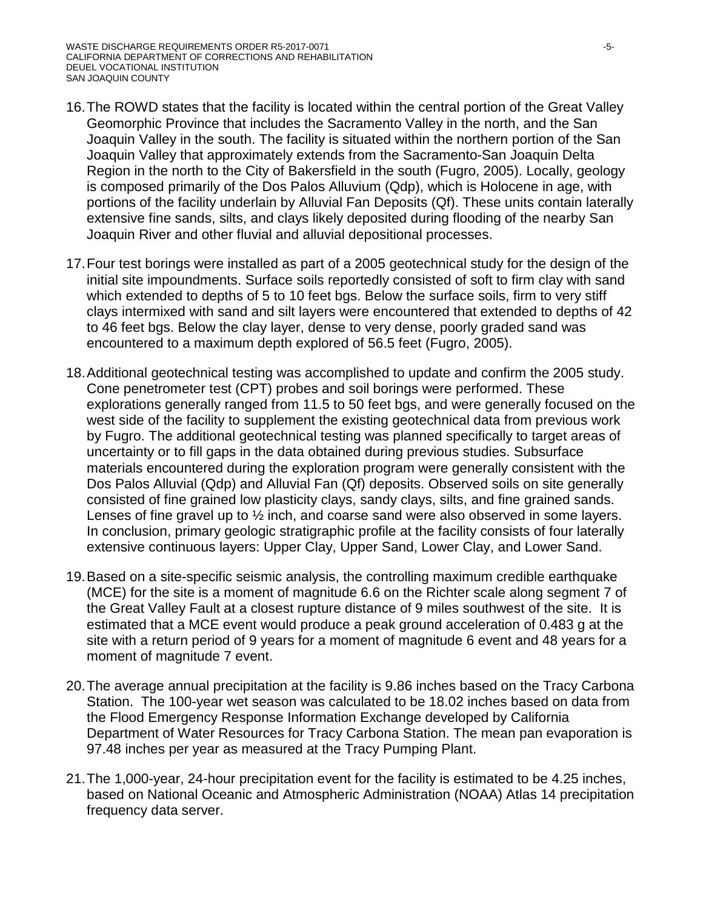- 16.The ROWD states that the facility is located within the central portion of the Great Valley Geomorphic Province that includes the Sacramento Valley in the north, and the San Joaquin Valley in the south. The facility is situated within the northern portion of the San Joaquin Valley that approximately extends from the Sacramento-San Joaquin Delta Region in the north to the City of Bakersfield in the south (Fugro, 2005). Locally, geology is composed primarily of the Dos Palos Alluvium (Qdp), which is Holocene in age, with portions of the facility underlain by Alluvial Fan Deposits (Qf). These units contain laterally extensive fine sands, silts, and clays likely deposited during flooding of the nearby San Joaquin River and other fluvial and alluvial depositional processes.
- 17.Four test borings were installed as part of a 2005 geotechnical study for the design of the initial site impoundments. Surface soils reportedly consisted of soft to firm clay with sand which extended to depths of 5 to 10 feet bgs. Below the surface soils, firm to very stiff clays intermixed with sand and silt layers were encountered that extended to depths of 42 to 46 feet bgs. Below the clay layer, dense to very dense, poorly graded sand was encountered to a maximum depth explored of 56.5 feet (Fugro, 2005).
- 18.Additional geotechnical testing was accomplished to update and confirm the 2005 study. Cone penetrometer test (CPT) probes and soil borings were performed. These explorations generally ranged from 11.5 to 50 feet bgs, and were generally focused on the west side of the facility to supplement the existing geotechnical data from previous work by Fugro. The additional geotechnical testing was planned specifically to target areas of uncertainty or to fill gaps in the data obtained during previous studies. Subsurface materials encountered during the exploration program were generally consistent with the Dos Palos Alluvial (Qdp) and Alluvial Fan (Qf) deposits. Observed soils on site generally consisted of fine grained low plasticity clays, sandy clays, silts, and fine grained sands. Lenses of fine gravel up to ½ inch, and coarse sand were also observed in some layers. In conclusion, primary geologic stratigraphic profile at the facility consists of four laterally extensive continuous layers: Upper Clay, Upper Sand, Lower Clay, and Lower Sand.
- 19.Based on a site-specific seismic analysis, the controlling maximum credible earthquake (MCE) for the site is a moment of magnitude 6.6 on the Richter scale along segment 7 of the Great Valley Fault at a closest rupture distance of 9 miles southwest of the site. It is estimated that a MCE event would produce a peak ground acceleration of 0.483 g at the site with a return period of 9 years for a moment of magnitude 6 event and 48 years for a moment of magnitude 7 event.
- 20.The average annual precipitation at the facility is 9.86 inches based on the Tracy Carbona Station. The 100-year wet season was calculated to be 18.02 inches based on data from the Flood Emergency Response Information Exchange developed by California Department of Water Resources for Tracy Carbona Station. The mean pan evaporation is 97.48 inches per year as measured at the Tracy Pumping Plant.
- 21.The 1,000-year, 24-hour precipitation event for the facility is estimated to be 4.25 inches, based on National Oceanic and Atmospheric Administration (NOAA) Atlas 14 precipitation frequency data server.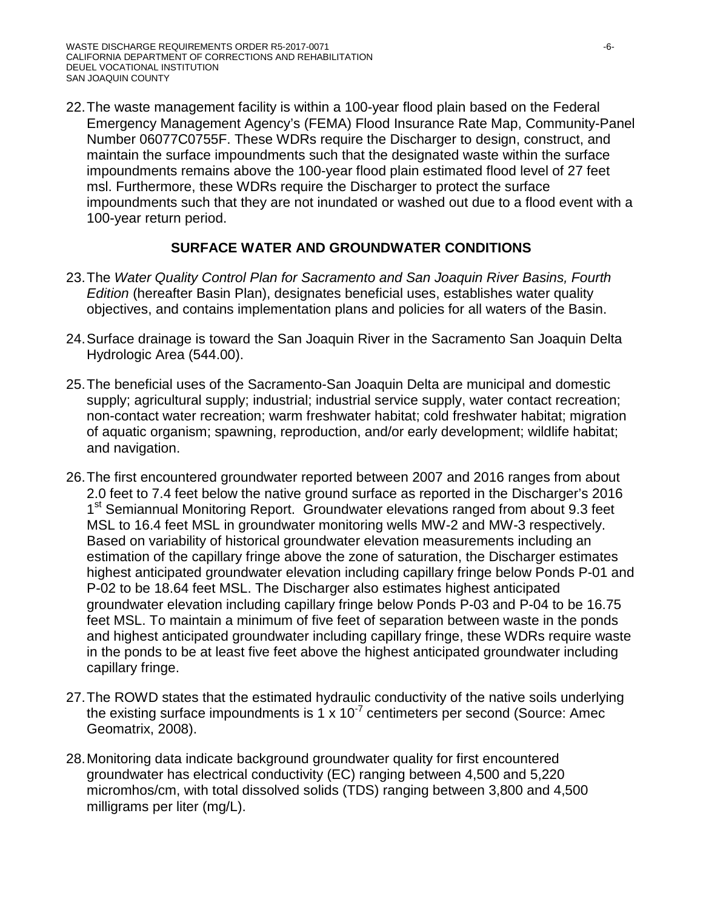22.The waste management facility is within a 100-year flood plain based on the Federal Emergency Management Agency's (FEMA) Flood Insurance Rate Map, Community-Panel Number 06077C0755F. These WDRs require the Discharger to design, construct, and maintain the surface impoundments such that the designated waste within the surface impoundments remains above the 100-year flood plain estimated flood level of 27 feet msl. Furthermore, these WDRs require the Discharger to protect the surface impoundments such that they are not inundated or washed out due to a flood event with a 100-year return period.

## **SURFACE WATER AND GROUNDWATER CONDITIONS**

- 23.The *Water Quality Control Plan for Sacramento and San Joaquin River Basins, Fourth Edition* (hereafter Basin Plan), designates beneficial uses, establishes water quality objectives, and contains implementation plans and policies for all waters of the Basin.
- 24.Surface drainage is toward the San Joaquin River in the Sacramento San Joaquin Delta Hydrologic Area (544.00).
- 25.The beneficial uses of the Sacramento-San Joaquin Delta are municipal and domestic supply; agricultural supply; industrial; industrial service supply, water contact recreation; non-contact water recreation; warm freshwater habitat; cold freshwater habitat; migration of aquatic organism; spawning, reproduction, and/or early development; wildlife habitat; and navigation.
- 26.The first encountered groundwater reported between 2007 and 2016 ranges from about 2.0 feet to 7.4 feet below the native ground surface as reported in the Discharger's 2016 1<sup>st</sup> Semiannual Monitoring Report. Groundwater elevations ranged from about 9.3 feet MSL to 16.4 feet MSL in groundwater monitoring wells MW-2 and MW-3 respectively. Based on variability of historical groundwater elevation measurements including an estimation of the capillary fringe above the zone of saturation, the Discharger estimates highest anticipated groundwater elevation including capillary fringe below Ponds P-01 and P-02 to be 18.64 feet MSL. The Discharger also estimates highest anticipated groundwater elevation including capillary fringe below Ponds P-03 and P-04 to be 16.75 feet MSL. To maintain a minimum of five feet of separation between waste in the ponds and highest anticipated groundwater including capillary fringe, these WDRs require waste in the ponds to be at least five feet above the highest anticipated groundwater including capillary fringe.
- 27.The ROWD states that the estimated hydraulic conductivity of the native soils underlying the existing surface impoundments is 1 x 10<sup>-7</sup> centimeters per second (Source: Amec Geomatrix, 2008).
- 28.Monitoring data indicate background groundwater quality for first encountered groundwater has electrical conductivity (EC) ranging between 4,500 and 5,220 micromhos/cm, with total dissolved solids (TDS) ranging between 3,800 and 4,500 milligrams per liter (mg/L).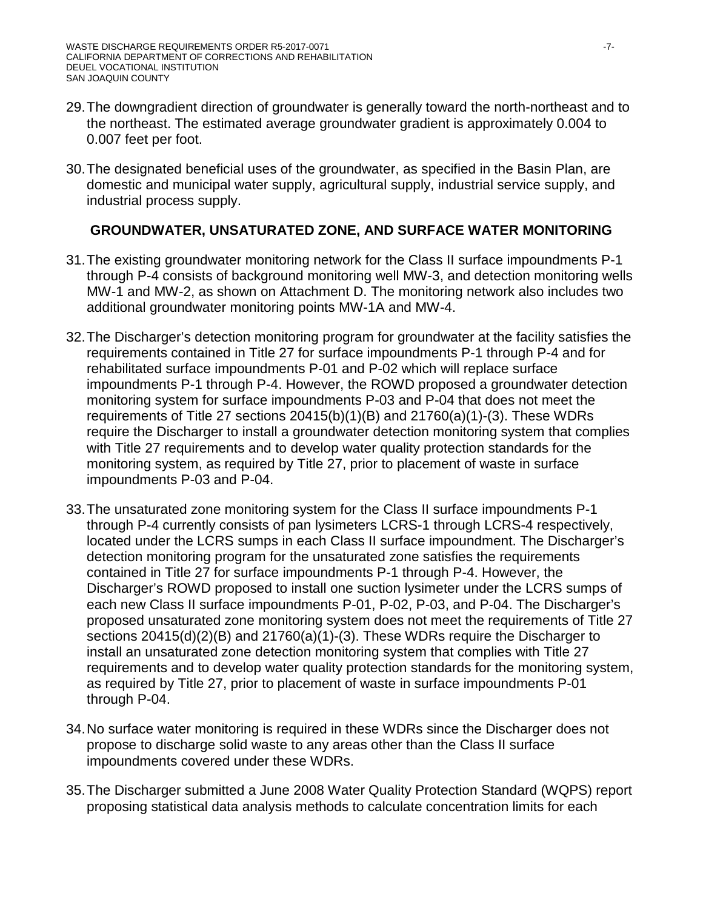- 29.The downgradient direction of groundwater is generally toward the north-northeast and to the northeast. The estimated average groundwater gradient is approximately 0.004 to 0.007 feet per foot.
- 30.The designated beneficial uses of the groundwater, as specified in the Basin Plan, are domestic and municipal water supply, agricultural supply, industrial service supply, and industrial process supply.

# **GROUNDWATER, UNSATURATED ZONE, AND SURFACE WATER MONITORING**

- 31.The existing groundwater monitoring network for the Class II surface impoundments P-1 through P-4 consists of background monitoring well MW-3, and detection monitoring wells MW-1 and MW-2, as shown on Attachment D. The monitoring network also includes two additional groundwater monitoring points MW-1A and MW-4.
- 32.The Discharger's detection monitoring program for groundwater at the facility satisfies the requirements contained in Title 27 for surface impoundments P-1 through P-4 and for rehabilitated surface impoundments P-01 and P-02 which will replace surface impoundments P-1 through P-4. However, the ROWD proposed a groundwater detection monitoring system for surface impoundments P-03 and P-04 that does not meet the requirements of Title 27 sections 20415(b)(1)(B) and 21760(a)(1)-(3). These WDRs require the Discharger to install a groundwater detection monitoring system that complies with Title 27 requirements and to develop water quality protection standards for the monitoring system, as required by Title 27, prior to placement of waste in surface impoundments P-03 and P-04.
- 33.The unsaturated zone monitoring system for the Class II surface impoundments P-1 through P-4 currently consists of pan lysimeters LCRS-1 through LCRS-4 respectively, located under the LCRS sumps in each Class II surface impoundment. The Discharger's detection monitoring program for the unsaturated zone satisfies the requirements contained in Title 27 for surface impoundments P-1 through P-4. However, the Discharger's ROWD proposed to install one suction lysimeter under the LCRS sumps of each new Class II surface impoundments P-01, P-02, P-03, and P-04. The Discharger's proposed unsaturated zone monitoring system does not meet the requirements of Title 27 sections 20415(d)(2)(B) and 21760(a)(1)-(3). These WDRs require the Discharger to install an unsaturated zone detection monitoring system that complies with Title 27 requirements and to develop water quality protection standards for the monitoring system, as required by Title 27, prior to placement of waste in surface impoundments P-01 through P-04.
- 34.No surface water monitoring is required in these WDRs since the Discharger does not propose to discharge solid waste to any areas other than the Class II surface impoundments covered under these WDRs.
- 35.The Discharger submitted a June 2008 Water Quality Protection Standard (WQPS) report proposing statistical data analysis methods to calculate concentration limits for each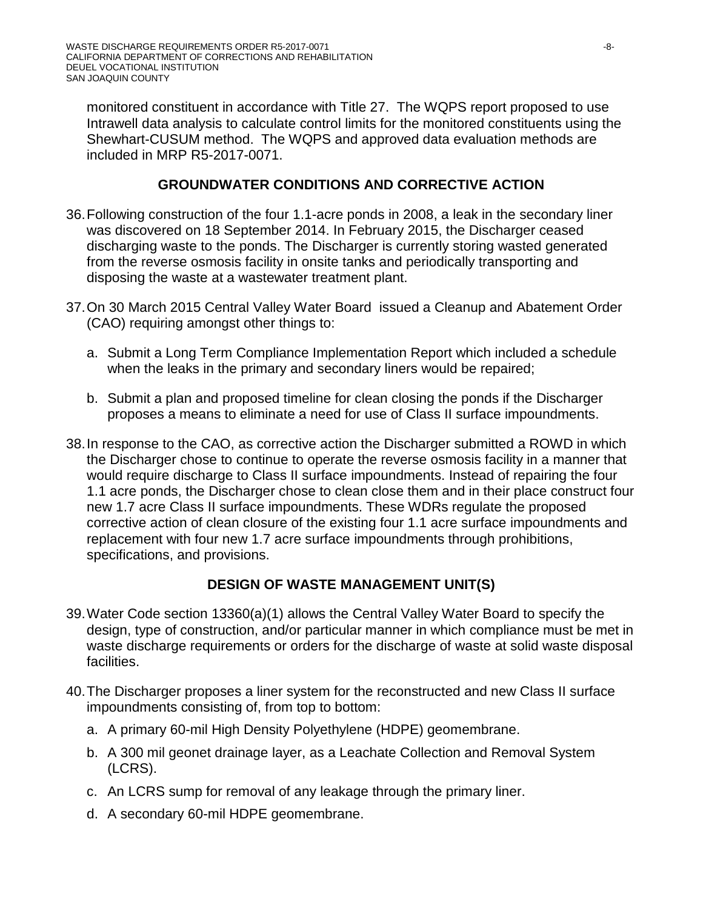monitored constituent in accordance with Title 27. The WQPS report proposed to use Intrawell data analysis to calculate control limits for the monitored constituents using the Shewhart-CUSUM method. The WQPS and approved data evaluation methods are included in MRP R5-2017-0071.

## **GROUNDWATER CONDITIONS AND CORRECTIVE ACTION**

- 36.Following construction of the four 1.1-acre ponds in 2008, a leak in the secondary liner was discovered on 18 September 2014. In February 2015, the Discharger ceased discharging waste to the ponds. The Discharger is currently storing wasted generated from the reverse osmosis facility in onsite tanks and periodically transporting and disposing the waste at a wastewater treatment plant.
- 37.On 30 March 2015 Central Valley Water Board issued a Cleanup and Abatement Order (CAO) requiring amongst other things to:
	- a. Submit a Long Term Compliance Implementation Report which included a schedule when the leaks in the primary and secondary liners would be repaired;
	- b. Submit a plan and proposed timeline for clean closing the ponds if the Discharger proposes a means to eliminate a need for use of Class II surface impoundments.
- 38.In response to the CAO, as corrective action the Discharger submitted a ROWD in which the Discharger chose to continue to operate the reverse osmosis facility in a manner that would require discharge to Class II surface impoundments. Instead of repairing the four 1.1 acre ponds, the Discharger chose to clean close them and in their place construct four new 1.7 acre Class II surface impoundments. These WDRs regulate the proposed corrective action of clean closure of the existing four 1.1 acre surface impoundments and replacement with four new 1.7 acre surface impoundments through prohibitions, specifications, and provisions.

### **DESIGN OF WASTE MANAGEMENT UNIT(S)**

- 39.Water Code section 13360(a)(1) allows the Central Valley Water Board to specify the design, type of construction, and/or particular manner in which compliance must be met in waste discharge requirements or orders for the discharge of waste at solid waste disposal facilities.
- 40.The Discharger proposes a liner system for the reconstructed and new Class II surface impoundments consisting of, from top to bottom:
	- a. A primary 60-mil High Density Polyethylene (HDPE) geomembrane.
	- b. A 300 mil geonet drainage layer, as a Leachate Collection and Removal System (LCRS).
	- c. An LCRS sump for removal of any leakage through the primary liner.
	- d. A secondary 60-mil HDPE geomembrane.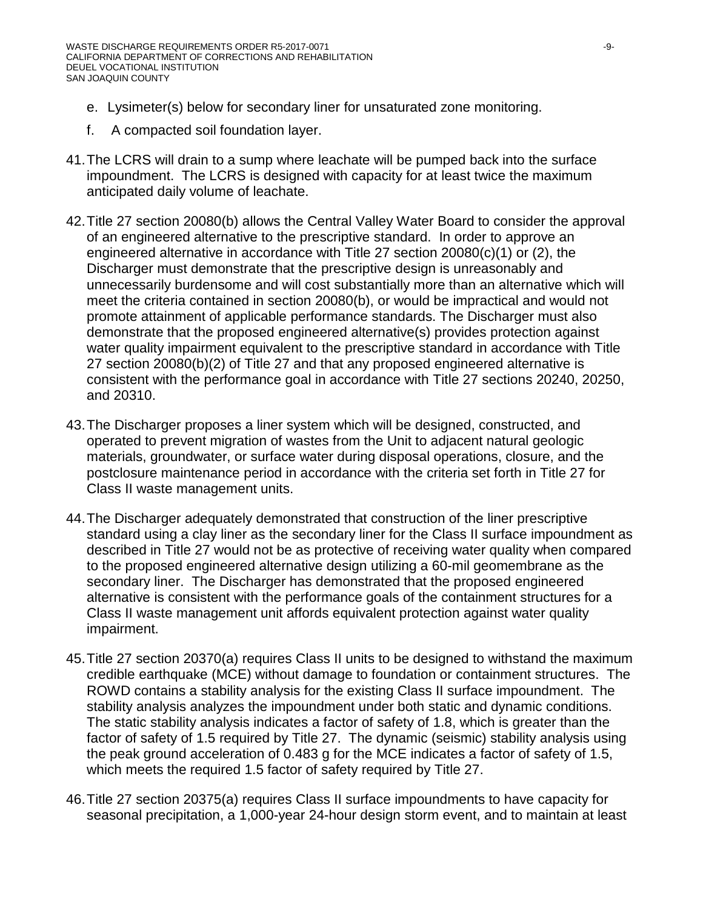- e. Lysimeter(s) below for secondary liner for unsaturated zone monitoring.
- f. A compacted soil foundation layer.
- 41.The LCRS will drain to a sump where leachate will be pumped back into the surface impoundment. The LCRS is designed with capacity for at least twice the maximum anticipated daily volume of leachate.
- 42.Title 27 section 20080(b) allows the Central Valley Water Board to consider the approval of an engineered alternative to the prescriptive standard. In order to approve an engineered alternative in accordance with Title 27 section 20080(c)(1) or (2), the Discharger must demonstrate that the prescriptive design is unreasonably and unnecessarily burdensome and will cost substantially more than an alternative which will meet the criteria contained in section 20080(b), or would be impractical and would not promote attainment of applicable performance standards. The Discharger must also demonstrate that the proposed engineered alternative(s) provides protection against water quality impairment equivalent to the prescriptive standard in accordance with Title 27 section 20080(b)(2) of Title 27 and that any proposed engineered alternative is consistent with the performance goal in accordance with Title 27 sections 20240, 20250, and 20310.
- 43.The Discharger proposes a liner system which will be designed, constructed, and operated to prevent migration of wastes from the Unit to adjacent natural geologic materials, groundwater, or surface water during disposal operations, closure, and the postclosure maintenance period in accordance with the criteria set forth in Title 27 for Class II waste management units.
- 44.The Discharger adequately demonstrated that construction of the liner prescriptive standard using a clay liner as the secondary liner for the Class II surface impoundment as described in Title 27 would not be as protective of receiving water quality when compared to the proposed engineered alternative design utilizing a 60-mil geomembrane as the secondary liner. The Discharger has demonstrated that the proposed engineered alternative is consistent with the performance goals of the containment structures for a Class II waste management unit affords equivalent protection against water quality impairment.
- 45.Title 27 section 20370(a) requires Class II units to be designed to withstand the maximum credible earthquake (MCE) without damage to foundation or containment structures. The ROWD contains a stability analysis for the existing Class II surface impoundment. The stability analysis analyzes the impoundment under both static and dynamic conditions. The static stability analysis indicates a factor of safety of 1.8, which is greater than the factor of safety of 1.5 required by Title 27. The dynamic (seismic) stability analysis using the peak ground acceleration of 0.483 g for the MCE indicates a factor of safety of 1.5, which meets the required 1.5 factor of safety required by Title 27.
- 46.Title 27 section 20375(a) requires Class II surface impoundments to have capacity for seasonal precipitation, a 1,000-year 24-hour design storm event, and to maintain at least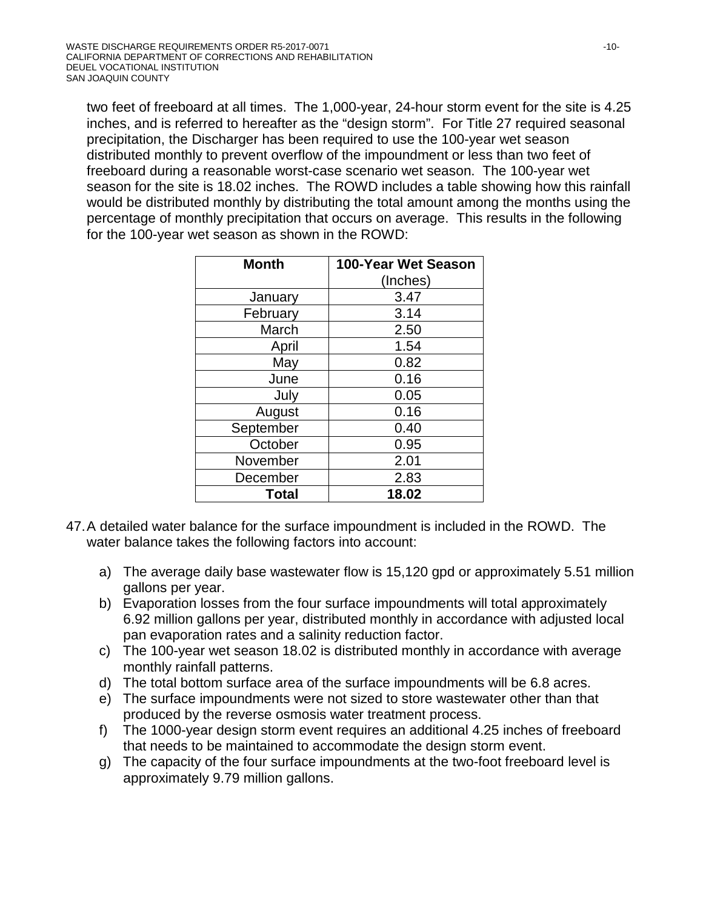two feet of freeboard at all times. The 1,000-year, 24-hour storm event for the site is 4.25 inches, and is referred to hereafter as the "design storm". For Title 27 required seasonal precipitation, the Discharger has been required to use the 100-year wet season distributed monthly to prevent overflow of the impoundment or less than two feet of freeboard during a reasonable worst-case scenario wet season. The 100-year wet season for the site is 18.02 inches. The ROWD includes a table showing how this rainfall would be distributed monthly by distributing the total amount among the months using the percentage of monthly precipitation that occurs on average. This results in the following for the 100-year wet season as shown in the ROWD:

| <b>Month</b> | 100-Year Wet Season<br>(Inches) |
|--------------|---------------------------------|
| January      | 3.47                            |
| February     | 3.14                            |
| March        | 2.50                            |
| April        | 1.54                            |
| May          | 0.82                            |
| June         | 0.16                            |
| July         | 0.05                            |
| August       | 0.16                            |
| September    | 0.40                            |
| October      | 0.95                            |
| November     | 2.01                            |
| December     | 2.83                            |
| Total        | 18.02                           |

- 47.A detailed water balance for the surface impoundment is included in the ROWD. The water balance takes the following factors into account:
	- a) The average daily base wastewater flow is 15,120 gpd or approximately 5.51 million gallons per year.
	- b) Evaporation losses from the four surface impoundments will total approximately 6.92 million gallons per year, distributed monthly in accordance with adjusted local pan evaporation rates and a salinity reduction factor.
	- c) The 100-year wet season 18.02 is distributed monthly in accordance with average monthly rainfall patterns.
	- d) The total bottom surface area of the surface impoundments will be 6.8 acres.
	- e) The surface impoundments were not sized to store wastewater other than that produced by the reverse osmosis water treatment process.
	- f) The 1000-year design storm event requires an additional 4.25 inches of freeboard that needs to be maintained to accommodate the design storm event.
	- g) The capacity of the four surface impoundments at the two-foot freeboard level is approximately 9.79 million gallons.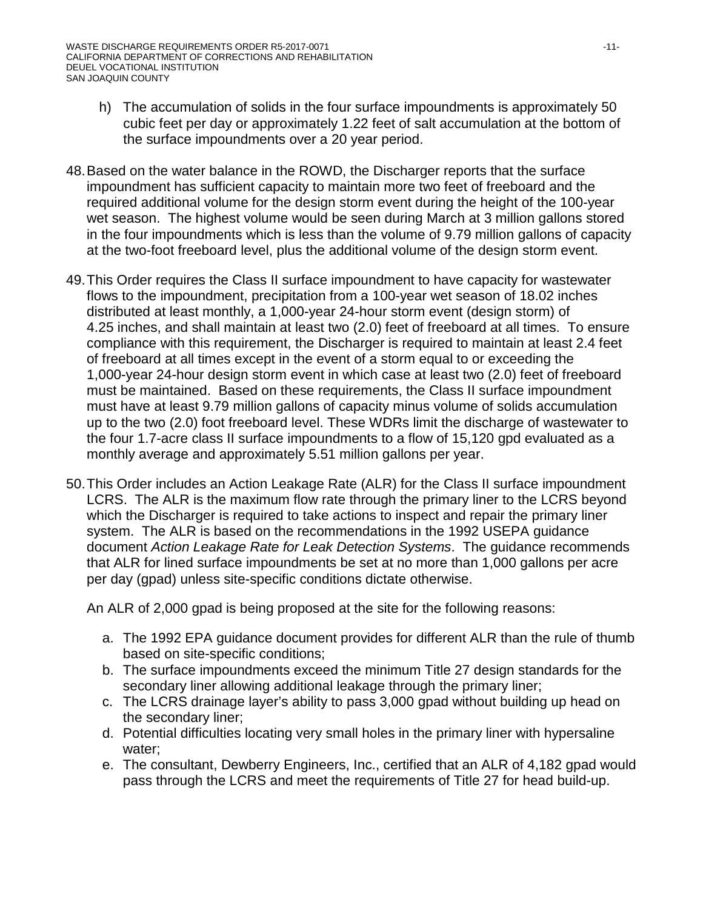- h) The accumulation of solids in the four surface impoundments is approximately 50 cubic feet per day or approximately 1.22 feet of salt accumulation at the bottom of the surface impoundments over a 20 year period.
- 48.Based on the water balance in the ROWD, the Discharger reports that the surface impoundment has sufficient capacity to maintain more two feet of freeboard and the required additional volume for the design storm event during the height of the 100-year wet season. The highest volume would be seen during March at 3 million gallons stored in the four impoundments which is less than the volume of 9.79 million gallons of capacity at the two-foot freeboard level, plus the additional volume of the design storm event.
- 49.This Order requires the Class II surface impoundment to have capacity for wastewater flows to the impoundment, precipitation from a 100-year wet season of 18.02 inches distributed at least monthly, a 1,000-year 24-hour storm event (design storm) of 4.25 inches, and shall maintain at least two (2.0) feet of freeboard at all times. To ensure compliance with this requirement, the Discharger is required to maintain at least 2.4 feet of freeboard at all times except in the event of a storm equal to or exceeding the 1,000-year 24-hour design storm event in which case at least two (2.0) feet of freeboard must be maintained. Based on these requirements, the Class II surface impoundment must have at least 9.79 million gallons of capacity minus volume of solids accumulation up to the two (2.0) foot freeboard level. These WDRs limit the discharge of wastewater to the four 1.7-acre class II surface impoundments to a flow of 15,120 gpd evaluated as a monthly average and approximately 5.51 million gallons per year.
- 50.This Order includes an Action Leakage Rate (ALR) for the Class II surface impoundment LCRS. The ALR is the maximum flow rate through the primary liner to the LCRS beyond which the Discharger is required to take actions to inspect and repair the primary liner system. The ALR is based on the recommendations in the 1992 USEPA guidance document *Action Leakage Rate for Leak Detection Systems*. The guidance recommends that ALR for lined surface impoundments be set at no more than 1,000 gallons per acre per day (gpad) unless site-specific conditions dictate otherwise.

An ALR of 2,000 gpad is being proposed at the site for the following reasons:

- a. The 1992 EPA guidance document provides for different ALR than the rule of thumb based on site-specific conditions;
- b. The surface impoundments exceed the minimum Title 27 design standards for the secondary liner allowing additional leakage through the primary liner;
- c. The LCRS drainage layer's ability to pass 3,000 gpad without building up head on the secondary liner;
- d. Potential difficulties locating very small holes in the primary liner with hypersaline water;
- e. The consultant, Dewberry Engineers, Inc., certified that an ALR of 4,182 gpad would pass through the LCRS and meet the requirements of Title 27 for head build-up.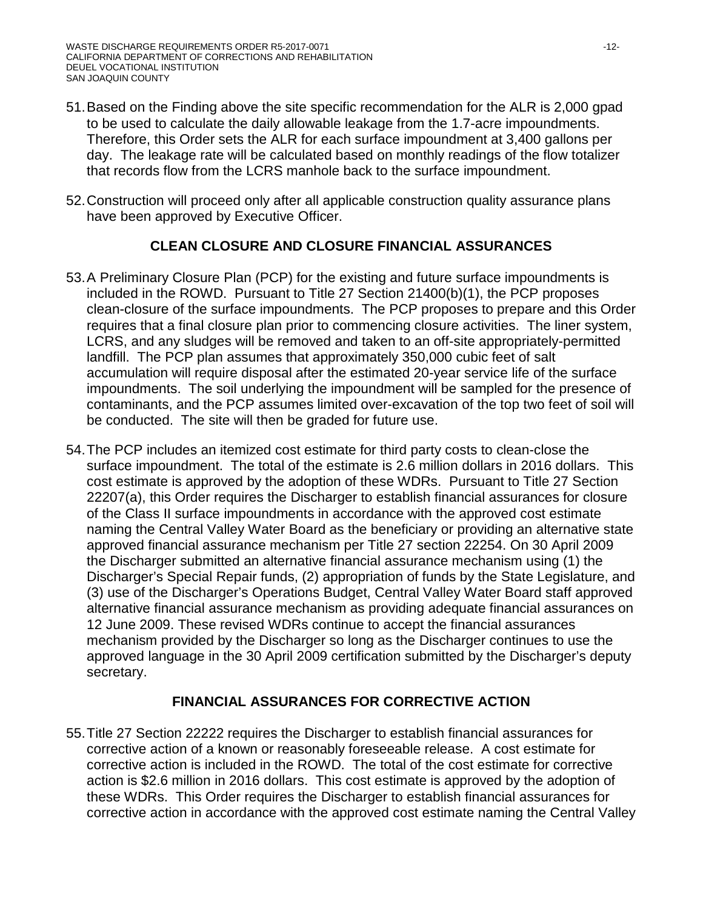- 51.Based on the Finding above the site specific recommendation for the ALR is 2,000 gpad to be used to calculate the daily allowable leakage from the 1.7-acre impoundments. Therefore, this Order sets the ALR for each surface impoundment at 3,400 gallons per day. The leakage rate will be calculated based on monthly readings of the flow totalizer that records flow from the LCRS manhole back to the surface impoundment.
- 52.Construction will proceed only after all applicable construction quality assurance plans have been approved by Executive Officer.

### **CLEAN CLOSURE AND CLOSURE FINANCIAL ASSURANCES**

- 53.A Preliminary Closure Plan (PCP) for the existing and future surface impoundments is included in the ROWD. Pursuant to Title 27 Section 21400(b)(1), the PCP proposes clean-closure of the surface impoundments. The PCP proposes to prepare and this Order requires that a final closure plan prior to commencing closure activities. The liner system, LCRS, and any sludges will be removed and taken to an off-site appropriately-permitted landfill. The PCP plan assumes that approximately 350,000 cubic feet of salt accumulation will require disposal after the estimated 20-year service life of the surface impoundments. The soil underlying the impoundment will be sampled for the presence of contaminants, and the PCP assumes limited over-excavation of the top two feet of soil will be conducted. The site will then be graded for future use.
- 54.The PCP includes an itemized cost estimate for third party costs to clean-close the surface impoundment. The total of the estimate is 2.6 million dollars in 2016 dollars. This cost estimate is approved by the adoption of these WDRs. Pursuant to Title 27 Section 22207(a), this Order requires the Discharger to establish financial assurances for closure of the Class II surface impoundments in accordance with the approved cost estimate naming the Central Valley Water Board as the beneficiary or providing an alternative state approved financial assurance mechanism per Title 27 section 22254. On 30 April 2009 the Discharger submitted an alternative financial assurance mechanism using (1) the Discharger's Special Repair funds, (2) appropriation of funds by the State Legislature, and (3) use of the Discharger's Operations Budget, Central Valley Water Board staff approved alternative financial assurance mechanism as providing adequate financial assurances on 12 June 2009. These revised WDRs continue to accept the financial assurances mechanism provided by the Discharger so long as the Discharger continues to use the approved language in the 30 April 2009 certification submitted by the Discharger's deputy secretary.

### **FINANCIAL ASSURANCES FOR CORRECTIVE ACTION**

55.Title 27 Section 22222 requires the Discharger to establish financial assurances for corrective action of a known or reasonably foreseeable release. A cost estimate for corrective action is included in the ROWD. The total of the cost estimate for corrective action is \$2.6 million in 2016 dollars. This cost estimate is approved by the adoption of these WDRs. This Order requires the Discharger to establish financial assurances for corrective action in accordance with the approved cost estimate naming the Central Valley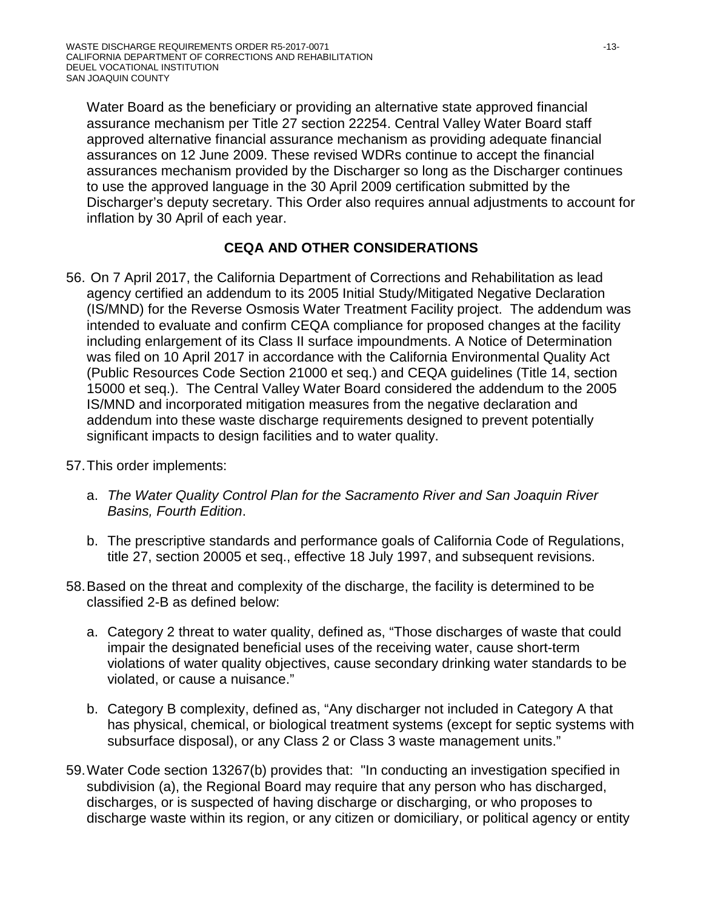Water Board as the beneficiary or providing an alternative state approved financial assurance mechanism per Title 27 section 22254. Central Valley Water Board staff approved alternative financial assurance mechanism as providing adequate financial assurances on 12 June 2009. These revised WDRs continue to accept the financial assurances mechanism provided by the Discharger so long as the Discharger continues to use the approved language in the 30 April 2009 certification submitted by the Discharger's deputy secretary. This Order also requires annual adjustments to account for inflation by 30 April of each year.

# **CEQA AND OTHER CONSIDERATIONS**

- 56. On 7 April 2017, the California Department of Corrections and Rehabilitation as lead agency certified an addendum to its 2005 Initial Study/Mitigated Negative Declaration (IS/MND) for the Reverse Osmosis Water Treatment Facility project. The addendum was intended to evaluate and confirm CEQA compliance for proposed changes at the facility including enlargement of its Class II surface impoundments. A Notice of Determination was filed on 10 April 2017 in accordance with the California Environmental Quality Act (Public Resources Code Section 21000 et seq.) and CEQA guidelines (Title 14, section 15000 et seq.). The Central Valley Water Board considered the addendum to the 2005 IS/MND and incorporated mitigation measures from the negative declaration and addendum into these waste discharge requirements designed to prevent potentially significant impacts to design facilities and to water quality.
- 57.This order implements:
	- a. *The Water Quality Control Plan for the Sacramento River and San Joaquin River Basins, Fourth Edition*.
	- b. The prescriptive standards and performance goals of California Code of Regulations, title 27, section 20005 et seq., effective 18 July 1997, and subsequent revisions.
- 58.Based on the threat and complexity of the discharge, the facility is determined to be classified 2-B as defined below:
	- a. Category 2 threat to water quality, defined as, "Those discharges of waste that could impair the designated beneficial uses of the receiving water, cause short-term violations of water quality objectives, cause secondary drinking water standards to be violated, or cause a nuisance."
	- b. Category B complexity, defined as, "Any discharger not included in Category A that has physical, chemical, or biological treatment systems (except for septic systems with subsurface disposal), or any Class 2 or Class 3 waste management units."
- 59.Water Code section 13267(b) provides that: "In conducting an investigation specified in subdivision (a), the Regional Board may require that any person who has discharged, discharges, or is suspected of having discharge or discharging, or who proposes to discharge waste within its region, or any citizen or domiciliary, or political agency or entity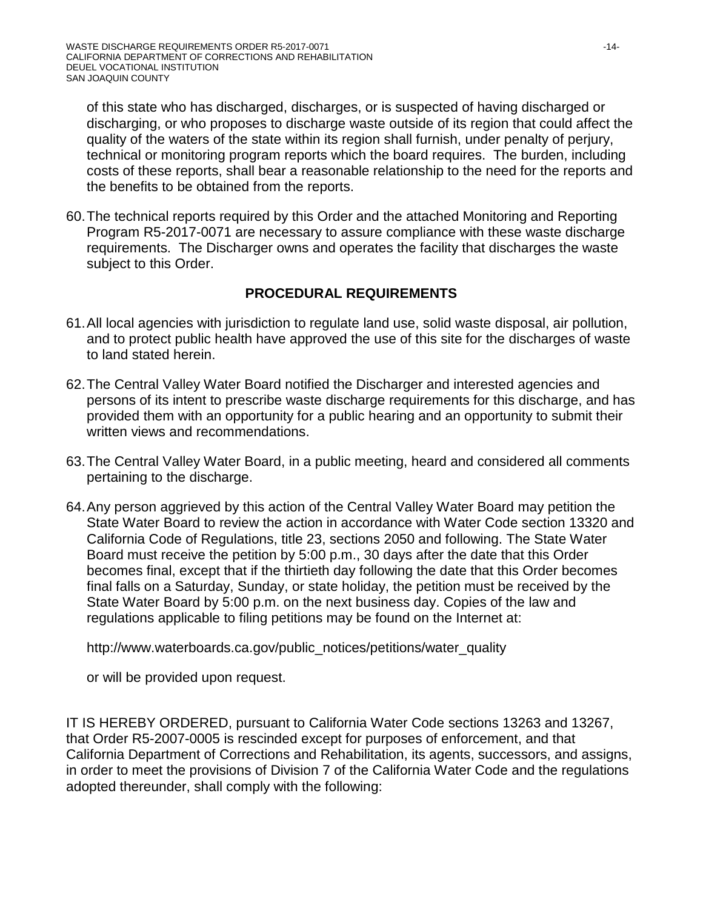of this state who has discharged, discharges, or is suspected of having discharged or discharging, or who proposes to discharge waste outside of its region that could affect the quality of the waters of the state within its region shall furnish, under penalty of perjury, technical or monitoring program reports which the board requires. The burden, including costs of these reports, shall bear a reasonable relationship to the need for the reports and the benefits to be obtained from the reports.

60.The technical reports required by this Order and the attached Monitoring and Reporting Program R5-2017-0071 are necessary to assure compliance with these waste discharge requirements. The Discharger owns and operates the facility that discharges the waste subject to this Order.

### **PROCEDURAL REQUIREMENTS**

- 61.All local agencies with jurisdiction to regulate land use, solid waste disposal, air pollution, and to protect public health have approved the use of this site for the discharges of waste to land stated herein.
- 62.The Central Valley Water Board notified the Discharger and interested agencies and persons of its intent to prescribe waste discharge requirements for this discharge, and has provided them with an opportunity for a public hearing and an opportunity to submit their written views and recommendations.
- 63.The Central Valley Water Board, in a public meeting, heard and considered all comments pertaining to the discharge.
- 64.Any person aggrieved by this action of the Central Valley Water Board may petition the State Water Board to review the action in accordance with Water Code section 13320 and California Code of Regulations, title 23, sections 2050 and following. The State Water Board must receive the petition by 5:00 p.m., 30 days after the date that this Order becomes final, except that if the thirtieth day following the date that this Order becomes final falls on a Saturday, Sunday, or state holiday, the petition must be received by the State Water Board by 5:00 p.m. on the next business day. Copies of the law and regulations applicable to filing petitions may be found on the Internet at:

http://www.waterboards.ca.gov/public\_notices/petitions/water\_quality

or will be provided upon request.

IT IS HEREBY ORDERED, pursuant to California Water Code sections 13263 and 13267, that Order R5-2007-0005 is rescinded except for purposes of enforcement, and that California Department of Corrections and Rehabilitation, its agents, successors, and assigns, in order to meet the provisions of Division 7 of the California Water Code and the regulations adopted thereunder, shall comply with the following: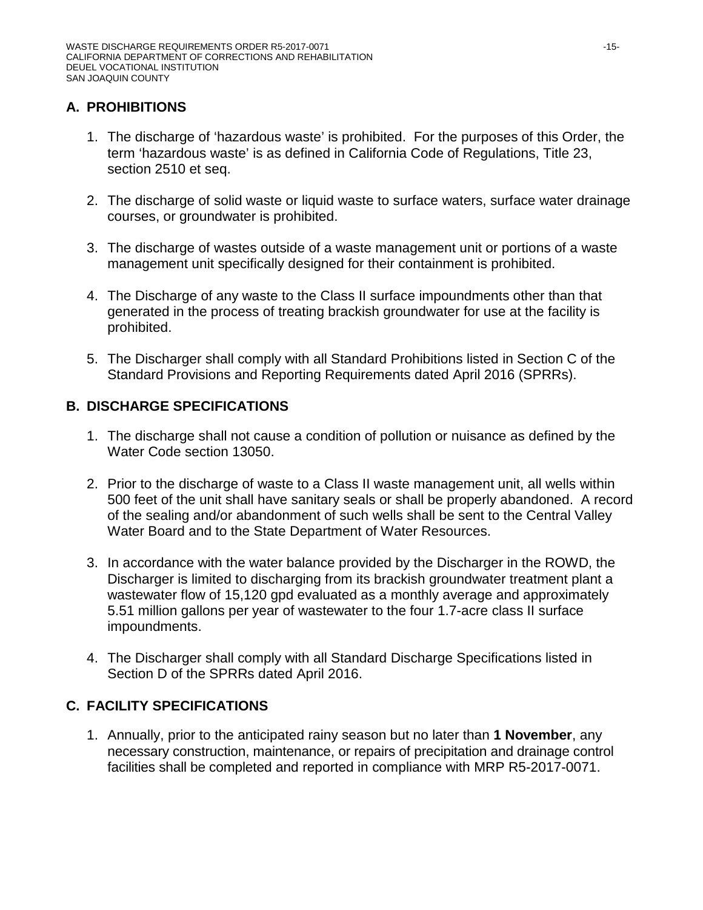# **A. PROHIBITIONS**

- 1. The discharge of 'hazardous waste' is prohibited. For the purposes of this Order, the term 'hazardous waste' is as defined in California Code of Regulations, Title 23, section 2510 et seq.
- 2. The discharge of solid waste or liquid waste to surface waters, surface water drainage courses, or groundwater is prohibited.
- 3. The discharge of wastes outside of a waste management unit or portions of a waste management unit specifically designed for their containment is prohibited.
- 4. The Discharge of any waste to the Class II surface impoundments other than that generated in the process of treating brackish groundwater for use at the facility is prohibited.
- 5. The Discharger shall comply with all Standard Prohibitions listed in Section C of the Standard Provisions and Reporting Requirements dated April 2016 (SPRRs).

## **B. DISCHARGE SPECIFICATIONS**

- 1. The discharge shall not cause a condition of pollution or nuisance as defined by the Water Code section 13050.
- 2. Prior to the discharge of waste to a Class II waste management unit, all wells within 500 feet of the unit shall have sanitary seals or shall be properly abandoned. A record of the sealing and/or abandonment of such wells shall be sent to the Central Valley Water Board and to the State Department of Water Resources.
- 3. In accordance with the water balance provided by the Discharger in the ROWD, the Discharger is limited to discharging from its brackish groundwater treatment plant a wastewater flow of 15,120 gpd evaluated as a monthly average and approximately 5.51 million gallons per year of wastewater to the four 1.7-acre class II surface impoundments.
- 4. The Discharger shall comply with all Standard Discharge Specifications listed in Section D of the SPRRs dated April 2016.

## **C. FACILITY SPECIFICATIONS**

1. Annually, prior to the anticipated rainy season but no later than **1 November**, any necessary construction, maintenance, or repairs of precipitation and drainage control facilities shall be completed and reported in compliance with MRP R5-2017-0071.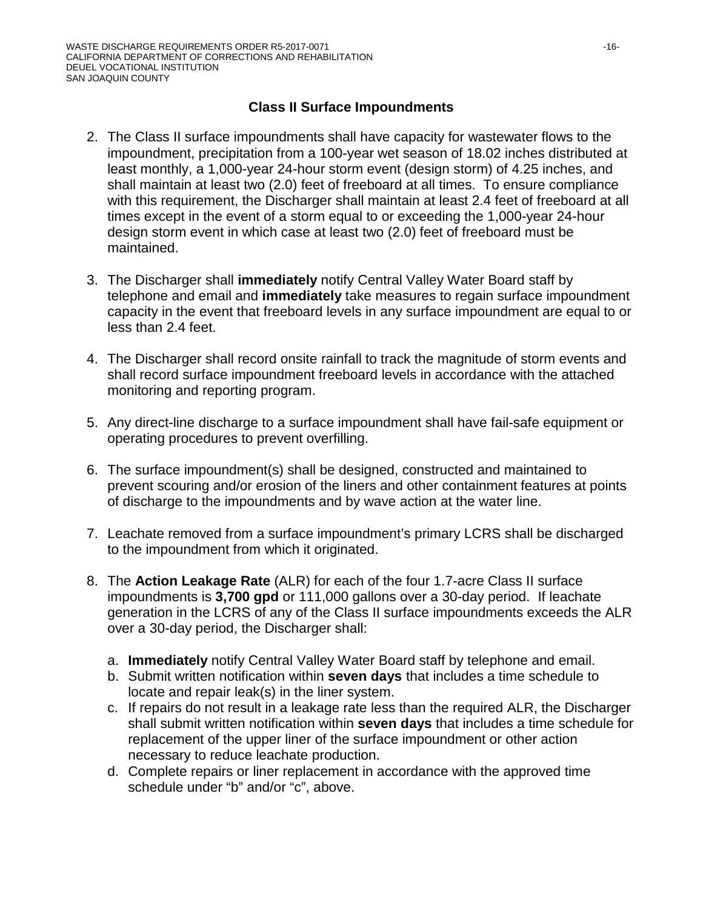## **Class II Surface Impoundments**

- 2. The Class II surface impoundments shall have capacity for wastewater flows to the impoundment, precipitation from a 100-year wet season of 18.02 inches distributed at least monthly, a 1,000-year 24-hour storm event (design storm) of 4.25 inches, and shall maintain at least two (2.0) feet of freeboard at all times. To ensure compliance with this requirement, the Discharger shall maintain at least 2.4 feet of freeboard at all times except in the event of a storm equal to or exceeding the 1,000-year 24-hour design storm event in which case at least two (2.0) feet of freeboard must be maintained.
- 3. The Discharger shall **immediately** notify Central Valley Water Board staff by telephone and email and **immediately** take measures to regain surface impoundment capacity in the event that freeboard levels in any surface impoundment are equal to or less than 2.4 feet.
- 4. The Discharger shall record onsite rainfall to track the magnitude of storm events and shall record surface impoundment freeboard levels in accordance with the attached monitoring and reporting program.
- 5. Any direct-line discharge to a surface impoundment shall have fail-safe equipment or operating procedures to prevent overfilling.
- 6. The surface impoundment(s) shall be designed, constructed and maintained to prevent scouring and/or erosion of the liners and other containment features at points of discharge to the impoundments and by wave action at the water line.
- 7. Leachate removed from a surface impoundment's primary LCRS shall be discharged to the impoundment from which it originated.
- 8. The **Action Leakage Rate** (ALR) for each of the four 1.7-acre Class II surface impoundments is **3,700 gpd** or 111,000 gallons over a 30-day period. If leachate generation in the LCRS of any of the Class II surface impoundments exceeds the ALR over a 30-day period, the Discharger shall:
	- a. **Immediately** notify Central Valley Water Board staff by telephone and email.
	- b. Submit written notification within **seven days** that includes a time schedule to locate and repair leak(s) in the liner system.
	- c. If repairs do not result in a leakage rate less than the required ALR, the Discharger shall submit written notification within **seven days** that includes a time schedule for replacement of the upper liner of the surface impoundment or other action necessary to reduce leachate production.
	- d. Complete repairs or liner replacement in accordance with the approved time schedule under "b" and/or "c", above.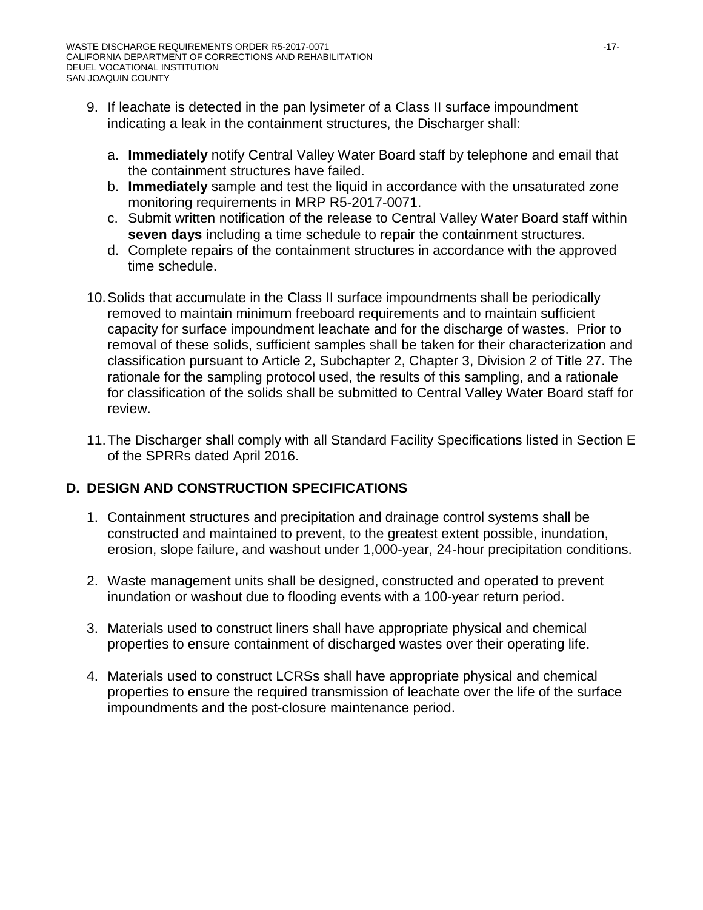- 9. If leachate is detected in the pan lysimeter of a Class II surface impoundment indicating a leak in the containment structures, the Discharger shall:
	- a. **Immediately** notify Central Valley Water Board staff by telephone and email that the containment structures have failed.
	- b. **Immediately** sample and test the liquid in accordance with the unsaturated zone monitoring requirements in MRP R5-2017-0071.
	- c. Submit written notification of the release to Central Valley Water Board staff within **seven days** including a time schedule to repair the containment structures.
	- d. Complete repairs of the containment structures in accordance with the approved time schedule.
- 10.Solids that accumulate in the Class II surface impoundments shall be periodically removed to maintain minimum freeboard requirements and to maintain sufficient capacity for surface impoundment leachate and for the discharge of wastes. Prior to removal of these solids, sufficient samples shall be taken for their characterization and classification pursuant to Article 2, Subchapter 2, Chapter 3, Division 2 of Title 27. The rationale for the sampling protocol used, the results of this sampling, and a rationale for classification of the solids shall be submitted to Central Valley Water Board staff for review.
- 11.The Discharger shall comply with all Standard Facility Specifications listed in Section E of the SPRRs dated April 2016.

# **D. DESIGN AND CONSTRUCTION SPECIFICATIONS**

- 1. Containment structures and precipitation and drainage control systems shall be constructed and maintained to prevent, to the greatest extent possible, inundation, erosion, slope failure, and washout under 1,000-year, 24-hour precipitation conditions.
- 2. Waste management units shall be designed, constructed and operated to prevent inundation or washout due to flooding events with a 100-year return period.
- 3. Materials used to construct liners shall have appropriate physical and chemical properties to ensure containment of discharged wastes over their operating life.
- 4. Materials used to construct LCRSs shall have appropriate physical and chemical properties to ensure the required transmission of leachate over the life of the surface impoundments and the post-closure maintenance period.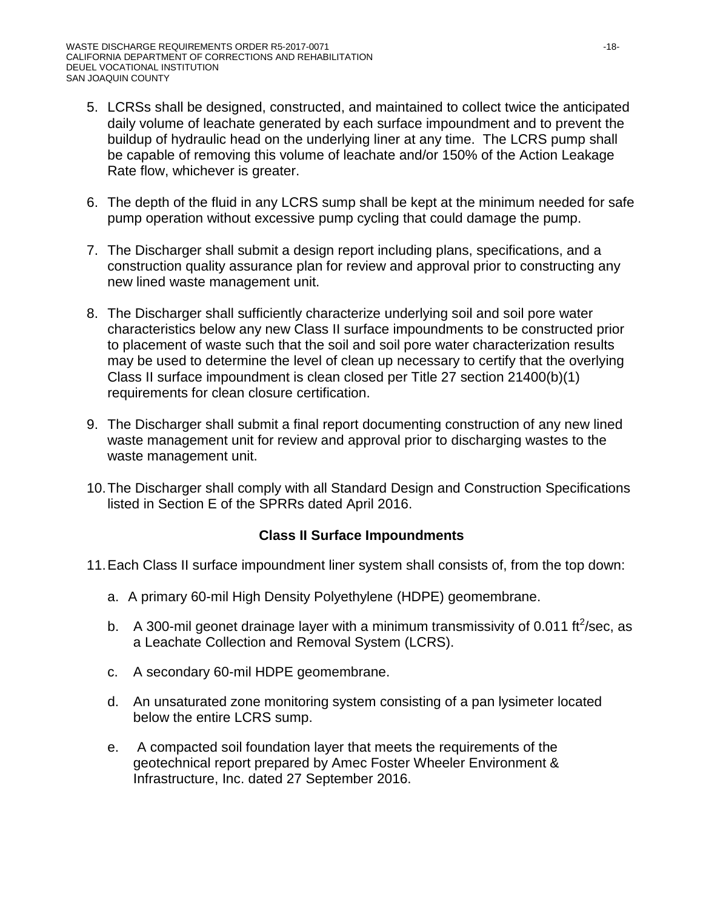- 5. LCRSs shall be designed, constructed, and maintained to collect twice the anticipated daily volume of leachate generated by each surface impoundment and to prevent the buildup of hydraulic head on the underlying liner at any time. The LCRS pump shall be capable of removing this volume of leachate and/or 150% of the Action Leakage Rate flow, whichever is greater.
- 6. The depth of the fluid in any LCRS sump shall be kept at the minimum needed for safe pump operation without excessive pump cycling that could damage the pump.
- 7. The Discharger shall submit a design report including plans, specifications, and a construction quality assurance plan for review and approval prior to constructing any new lined waste management unit.
- 8. The Discharger shall sufficiently characterize underlying soil and soil pore water characteristics below any new Class II surface impoundments to be constructed prior to placement of waste such that the soil and soil pore water characterization results may be used to determine the level of clean up necessary to certify that the overlying Class II surface impoundment is clean closed per Title 27 section 21400(b)(1) requirements for clean closure certification.
- 9. The Discharger shall submit a final report documenting construction of any new lined waste management unit for review and approval prior to discharging wastes to the waste management unit.
- 10.The Discharger shall comply with all Standard Design and Construction Specifications listed in Section E of the SPRRs dated April 2016.

## **Class II Surface Impoundments**

- 11.Each Class II surface impoundment liner system shall consists of, from the top down:
	- a. A primary 60-mil High Density Polyethylene (HDPE) geomembrane.
	- b. A 300-mil geonet drainage layer with a minimum transmissivity of 0.011 ft<sup>2</sup>/sec, as a Leachate Collection and Removal System (LCRS).
	- c. A secondary 60-mil HDPE geomembrane.
	- d. An unsaturated zone monitoring system consisting of a pan lysimeter located below the entire LCRS sump.
	- e. A compacted soil foundation layer that meets the requirements of the geotechnical report prepared by Amec Foster Wheeler Environment & Infrastructure, Inc. dated 27 September 2016.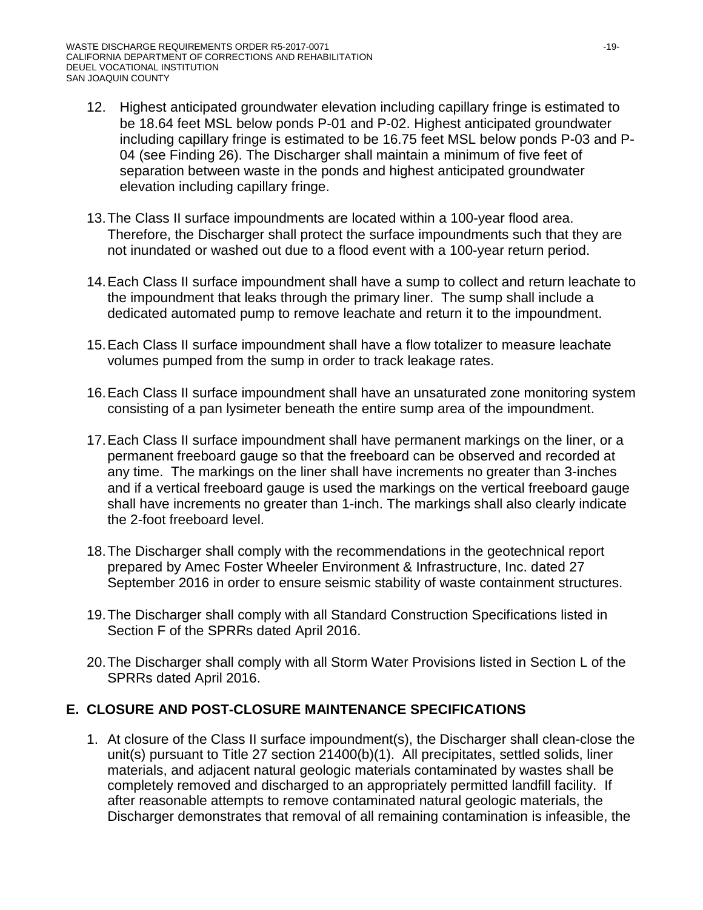- 12. Highest anticipated groundwater elevation including capillary fringe is estimated to be 18.64 feet MSL below ponds P-01 and P-02. Highest anticipated groundwater including capillary fringe is estimated to be 16.75 feet MSL below ponds P-03 and P-04 (see Finding 26). The Discharger shall maintain a minimum of five feet of separation between waste in the ponds and highest anticipated groundwater elevation including capillary fringe.
- 13.The Class II surface impoundments are located within a 100-year flood area. Therefore, the Discharger shall protect the surface impoundments such that they are not inundated or washed out due to a flood event with a 100-year return period.
- 14.Each Class II surface impoundment shall have a sump to collect and return leachate to the impoundment that leaks through the primary liner. The sump shall include a dedicated automated pump to remove leachate and return it to the impoundment.
- 15.Each Class II surface impoundment shall have a flow totalizer to measure leachate volumes pumped from the sump in order to track leakage rates.
- 16.Each Class II surface impoundment shall have an unsaturated zone monitoring system consisting of a pan lysimeter beneath the entire sump area of the impoundment.
- 17.Each Class II surface impoundment shall have permanent markings on the liner, or a permanent freeboard gauge so that the freeboard can be observed and recorded at any time. The markings on the liner shall have increments no greater than 3-inches and if a vertical freeboard gauge is used the markings on the vertical freeboard gauge shall have increments no greater than 1-inch. The markings shall also clearly indicate the 2-foot freeboard level.
- 18.The Discharger shall comply with the recommendations in the geotechnical report prepared by Amec Foster Wheeler Environment & Infrastructure, Inc. dated 27 September 2016 in order to ensure seismic stability of waste containment structures.
- 19.The Discharger shall comply with all Standard Construction Specifications listed in Section F of the SPRRs dated April 2016.
- 20.The Discharger shall comply with all Storm Water Provisions listed in Section L of the SPRRs dated April 2016.

## **E. CLOSURE AND POST-CLOSURE MAINTENANCE SPECIFICATIONS**

1. At closure of the Class II surface impoundment(s), the Discharger shall clean-close the unit(s) pursuant to Title 27 section 21400(b)(1). All precipitates, settled solids, liner materials, and adjacent natural geologic materials contaminated by wastes shall be completely removed and discharged to an appropriately permitted landfill facility. If after reasonable attempts to remove contaminated natural geologic materials, the Discharger demonstrates that removal of all remaining contamination is infeasible, the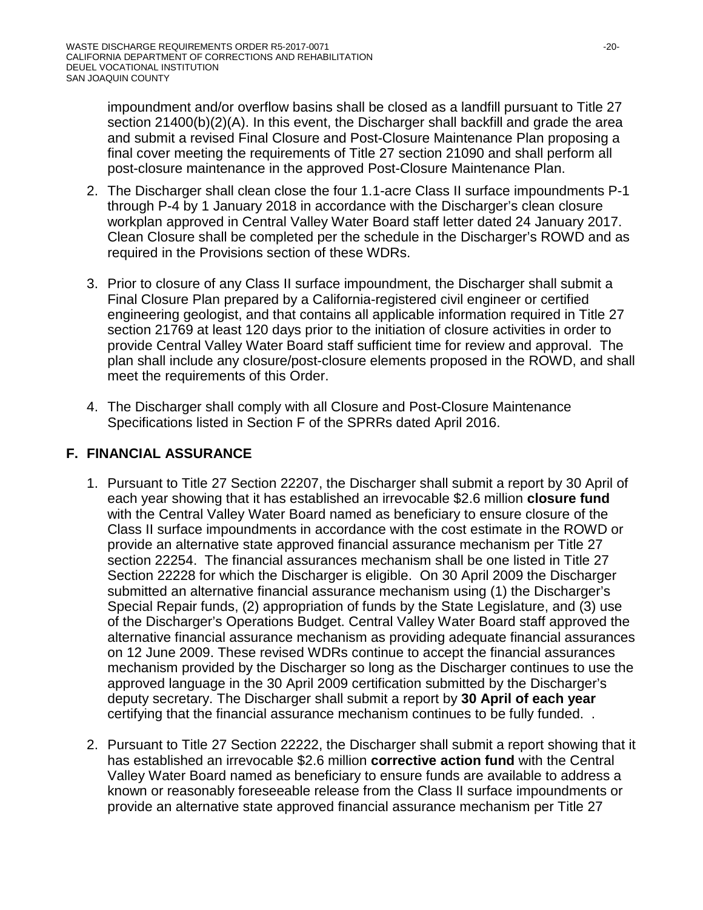impoundment and/or overflow basins shall be closed as a landfill pursuant to Title 27 section 21400(b)(2)(A). In this event, the Discharger shall backfill and grade the area and submit a revised Final Closure and Post-Closure Maintenance Plan proposing a final cover meeting the requirements of Title 27 section 21090 and shall perform all post-closure maintenance in the approved Post-Closure Maintenance Plan.

- 2. The Discharger shall clean close the four 1.1-acre Class II surface impoundments P-1 through P-4 by 1 January 2018 in accordance with the Discharger's clean closure workplan approved in Central Valley Water Board staff letter dated 24 January 2017. Clean Closure shall be completed per the schedule in the Discharger's ROWD and as required in the Provisions section of these WDRs.
- 3. Prior to closure of any Class II surface impoundment, the Discharger shall submit a Final Closure Plan prepared by a California-registered civil engineer or certified engineering geologist, and that contains all applicable information required in Title 27 section 21769 at least 120 days prior to the initiation of closure activities in order to provide Central Valley Water Board staff sufficient time for review and approval. The plan shall include any closure/post-closure elements proposed in the ROWD, and shall meet the requirements of this Order.
- 4. The Discharger shall comply with all Closure and Post-Closure Maintenance Specifications listed in Section F of the SPRRs dated April 2016.

# **F. FINANCIAL ASSURANCE**

- 1. Pursuant to Title 27 Section 22207, the Discharger shall submit a report by 30 April of each year showing that it has established an irrevocable \$2.6 million **closure fund** with the Central Valley Water Board named as beneficiary to ensure closure of the Class II surface impoundments in accordance with the cost estimate in the ROWD or provide an alternative state approved financial assurance mechanism per Title 27 section 22254. The financial assurances mechanism shall be one listed in Title 27 Section 22228 for which the Discharger is eligible. On 30 April 2009 the Discharger submitted an alternative financial assurance mechanism using (1) the Discharger's Special Repair funds, (2) appropriation of funds by the State Legislature, and (3) use of the Discharger's Operations Budget. Central Valley Water Board staff approved the alternative financial assurance mechanism as providing adequate financial assurances on 12 June 2009. These revised WDRs continue to accept the financial assurances mechanism provided by the Discharger so long as the Discharger continues to use the approved language in the 30 April 2009 certification submitted by the Discharger's deputy secretary. The Discharger shall submit a report by **30 April of each year** certifying that the financial assurance mechanism continues to be fully funded. .
- 2. Pursuant to Title 27 Section 22222, the Discharger shall submit a report showing that it has established an irrevocable \$2.6 million **corrective action fund** with the Central Valley Water Board named as beneficiary to ensure funds are available to address a known or reasonably foreseeable release from the Class II surface impoundments or provide an alternative state approved financial assurance mechanism per Title 27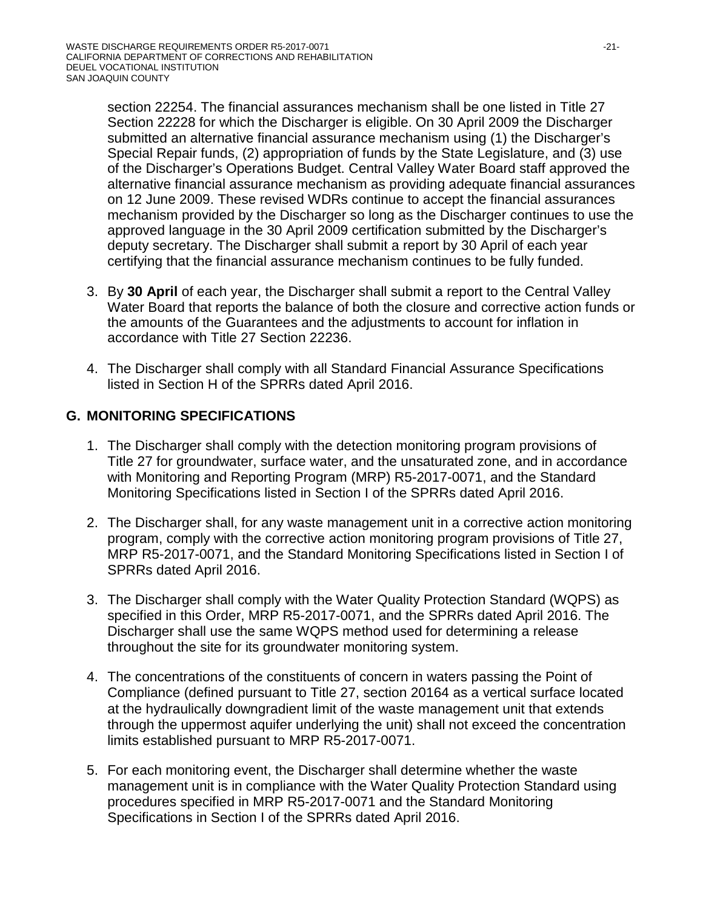section 22254. The financial assurances mechanism shall be one listed in Title 27 Section 22228 for which the Discharger is eligible. On 30 April 2009 the Discharger submitted an alternative financial assurance mechanism using (1) the Discharger's Special Repair funds, (2) appropriation of funds by the State Legislature, and (3) use of the Discharger's Operations Budget. Central Valley Water Board staff approved the alternative financial assurance mechanism as providing adequate financial assurances on 12 June 2009. These revised WDRs continue to accept the financial assurances mechanism provided by the Discharger so long as the Discharger continues to use the approved language in the 30 April 2009 certification submitted by the Discharger's deputy secretary. The Discharger shall submit a report by 30 April of each year certifying that the financial assurance mechanism continues to be fully funded.

- 3. By **30 April** of each year, the Discharger shall submit a report to the Central Valley Water Board that reports the balance of both the closure and corrective action funds or the amounts of the Guarantees and the adjustments to account for inflation in accordance with Title 27 Section 22236.
- 4. The Discharger shall comply with all Standard Financial Assurance Specifications listed in Section H of the SPRRs dated April 2016.

# **G. MONITORING SPECIFICATIONS**

- 1. The Discharger shall comply with the detection monitoring program provisions of Title 27 for groundwater, surface water, and the unsaturated zone, and in accordance with Monitoring and Reporting Program (MRP) R5-2017-0071, and the Standard Monitoring Specifications listed in Section I of the SPRRs dated April 2016.
- 2. The Discharger shall, for any waste management unit in a corrective action monitoring program, comply with the corrective action monitoring program provisions of Title 27, MRP R5-2017-0071, and the Standard Monitoring Specifications listed in Section I of SPRRs dated April 2016.
- 3. The Discharger shall comply with the Water Quality Protection Standard (WQPS) as specified in this Order, MRP R5-2017-0071, and the SPRRs dated April 2016. The Discharger shall use the same WQPS method used for determining a release throughout the site for its groundwater monitoring system.
- 4. The concentrations of the constituents of concern in waters passing the Point of Compliance (defined pursuant to Title 27, section 20164 as a vertical surface located at the hydraulically downgradient limit of the waste management unit that extends through the uppermost aquifer underlying the unit) shall not exceed the concentration limits established pursuant to MRP R5-2017-0071.
- 5. For each monitoring event, the Discharger shall determine whether the waste management unit is in compliance with the Water Quality Protection Standard using procedures specified in MRP R5-2017-0071 and the Standard Monitoring Specifications in Section I of the SPRRs dated April 2016.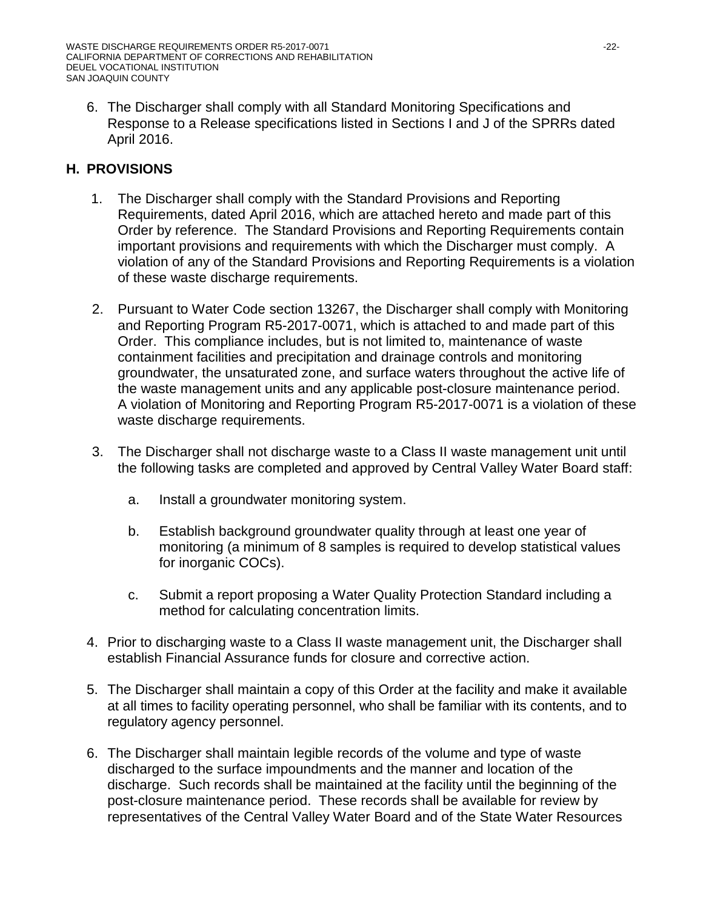6. The Discharger shall comply with all Standard Monitoring Specifications and Response to a Release specifications listed in Sections I and J of the SPRRs dated April 2016.

# **H. PROVISIONS**

- 1. The Discharger shall comply with the Standard Provisions and Reporting Requirements, dated April 2016, which are attached hereto and made part of this Order by reference. The Standard Provisions and Reporting Requirements contain important provisions and requirements with which the Discharger must comply. A violation of any of the Standard Provisions and Reporting Requirements is a violation of these waste discharge requirements.
- 2. Pursuant to Water Code section 13267, the Discharger shall comply with Monitoring and Reporting Program R5-2017-0071, which is attached to and made part of this Order. This compliance includes, but is not limited to, maintenance of waste containment facilities and precipitation and drainage controls and monitoring groundwater, the unsaturated zone, and surface waters throughout the active life of the waste management units and any applicable post-closure maintenance period. A violation of Monitoring and Reporting Program R5-2017-0071 is a violation of these waste discharge requirements.
- 3. The Discharger shall not discharge waste to a Class II waste management unit until the following tasks are completed and approved by Central Valley Water Board staff:
	- a. Install a groundwater monitoring system.
	- b. Establish background groundwater quality through at least one year of monitoring (a minimum of 8 samples is required to develop statistical values for inorganic COCs).
	- c. Submit a report proposing a Water Quality Protection Standard including a method for calculating concentration limits.
- 4. Prior to discharging waste to a Class II waste management unit, the Discharger shall establish Financial Assurance funds for closure and corrective action.
- 5. The Discharger shall maintain a copy of this Order at the facility and make it available at all times to facility operating personnel, who shall be familiar with its contents, and to regulatory agency personnel.
- 6. The Discharger shall maintain legible records of the volume and type of waste discharged to the surface impoundments and the manner and location of the discharge. Such records shall be maintained at the facility until the beginning of the post-closure maintenance period. These records shall be available for review by representatives of the Central Valley Water Board and of the State Water Resources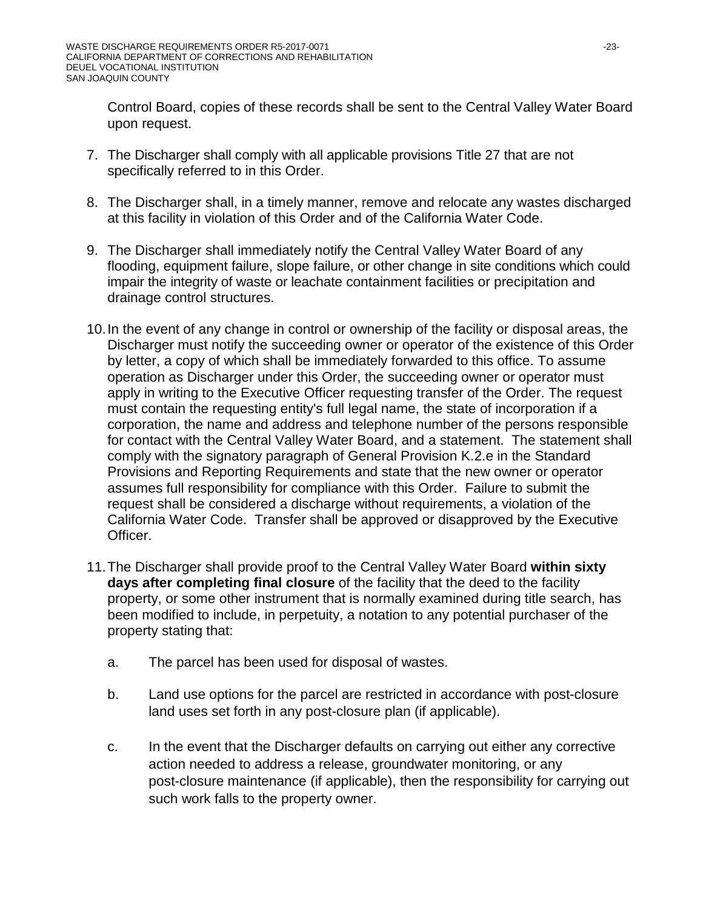Control Board, copies of these records shall be sent to the Central Valley Water Board upon request.

- 7. The Discharger shall comply with all applicable provisions Title 27 that are not specifically referred to in this Order.
- 8. The Discharger shall, in a timely manner, remove and relocate any wastes discharged at this facility in violation of this Order and of the California Water Code.
- 9. The Discharger shall immediately notify the Central Valley Water Board of any flooding, equipment failure, slope failure, or other change in site conditions which could impair the integrity of waste or leachate containment facilities or precipitation and drainage control structures.
- 10.In the event of any change in control or ownership of the facility or disposal areas, the Discharger must notify the succeeding owner or operator of the existence of this Order by letter, a copy of which shall be immediately forwarded to this office. To assume operation as Discharger under this Order, the succeeding owner or operator must apply in writing to the Executive Officer requesting transfer of the Order. The request must contain the requesting entity's full legal name, the state of incorporation if a corporation, the name and address and telephone number of the persons responsible for contact with the Central Valley Water Board, and a statement. The statement shall comply with the signatory paragraph of General Provision K.2.e in the Standard Provisions and Reporting Requirements and state that the new owner or operator assumes full responsibility for compliance with this Order. Failure to submit the request shall be considered a discharge without requirements, a violation of the California Water Code. Transfer shall be approved or disapproved by the Executive Officer.
- 11.The Discharger shall provide proof to the Central Valley Water Board **within sixty days after completing final closure** of the facility that the deed to the facility property, or some other instrument that is normally examined during title search, has been modified to include, in perpetuity, a notation to any potential purchaser of the property stating that:
	- a. The parcel has been used for disposal of wastes.
	- b. Land use options for the parcel are restricted in accordance with post-closure land uses set forth in any post-closure plan (if applicable).
	- c. In the event that the Discharger defaults on carrying out either any corrective action needed to address a release, groundwater monitoring, or any post-closure maintenance (if applicable), then the responsibility for carrying out such work falls to the property owner.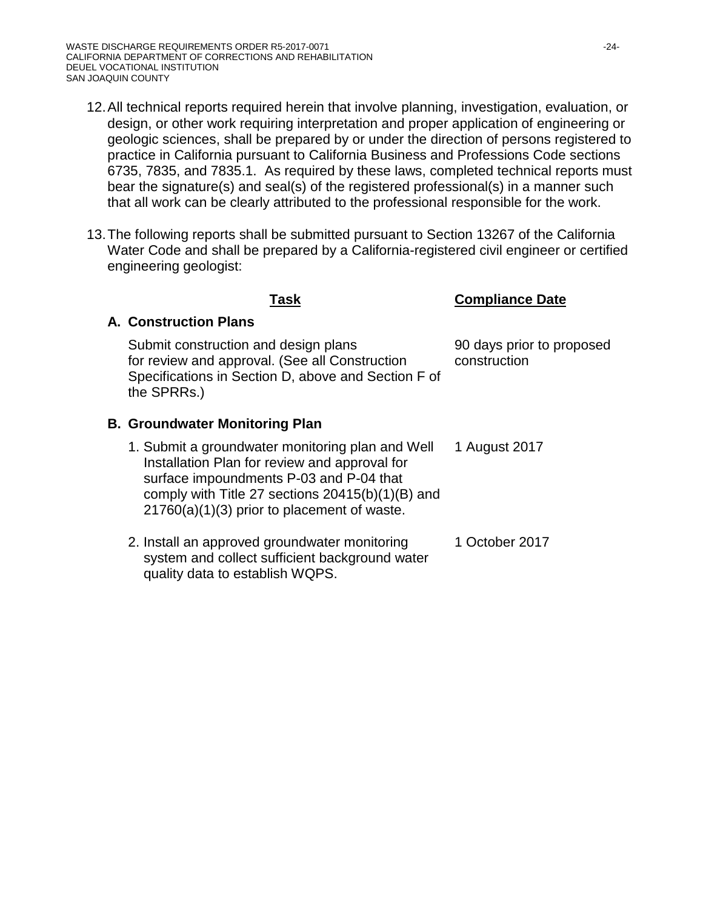- 12.All technical reports required herein that involve planning, investigation, evaluation, or design, or other work requiring interpretation and proper application of engineering or geologic sciences, shall be prepared by or under the direction of persons registered to practice in California pursuant to California Business and Professions Code sections 6735, 7835, and 7835.1. As required by these laws, completed technical reports must bear the signature(s) and seal(s) of the registered professional(s) in a manner such that all work can be clearly attributed to the professional responsible for the work.
- 13.The following reports shall be submitted pursuant to Section 13267 of the California Water Code and shall be prepared by a California-registered civil engineer or certified engineering geologist:

### **Compliance Date**

## **A. Construction Plans**

Submit construction and design plans for review and approval. (See all Construction Specifications in Section D, above and Section F of the SPRRs.) 90 days prior to proposed construction

### **B. Groundwater Monitoring Plan**

- 1. Submit a groundwater monitoring plan and Well Installation Plan for review and approval for surface impoundments P-03 and P-04 that comply with Title 27 sections 20415(b)(1)(B) and 21760(a)(1)(3) prior to placement of waste. 1 August 2017
- 2. Install an approved groundwater monitoring system and collect sufficient background water quality data to establish WQPS. 1 October 2017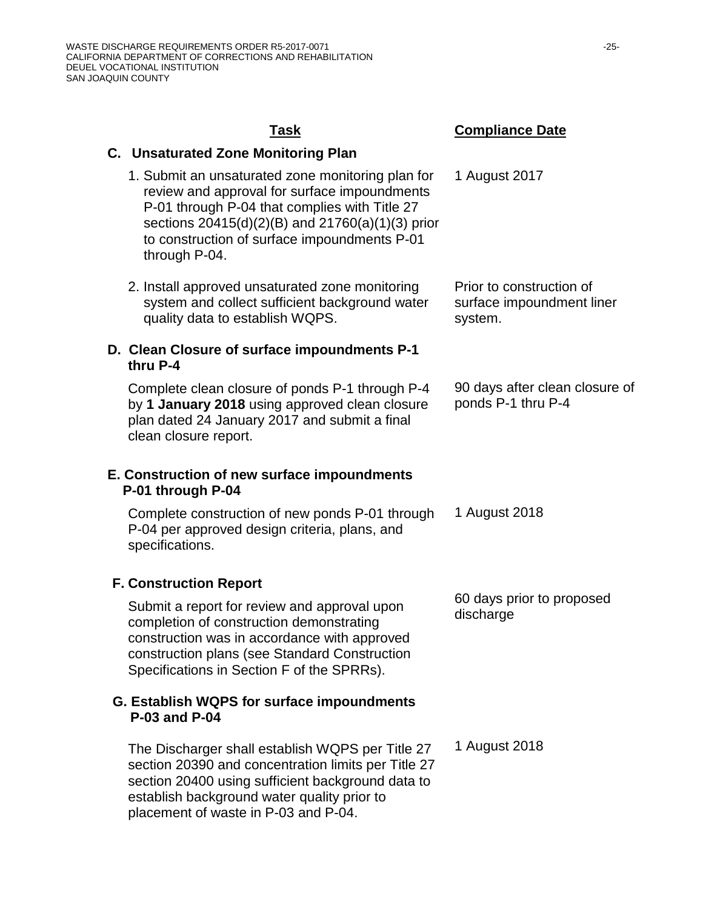placement of waste in P-03 and P-04.

#### **Task Compliance Date C. Unsaturated Zone Monitoring Plan** 1. Submit an unsaturated zone monitoring plan for review and approval for surface impoundments P-01 through P-04 that complies with Title 27 sections 20415(d)(2)(B) and 21760(a)(1)(3) prior to construction of surface impoundments P-01 through P-04. 1 August 2017 2. Install approved unsaturated zone monitoring system and collect sufficient background water quality data to establish WQPS. Prior to construction of surface impoundment liner system. **D. Clean Closure of surface impoundments P-1 thru P-4** Complete clean closure of ponds P-1 through P-4 by **1 January 2018** using approved clean closure plan dated 24 January 2017 and submit a final clean closure report. 90 days after clean closure of ponds P-1 thru P-4 **E. Construction of new surface impoundments P-01 through P-04** Complete construction of new ponds P-01 through P-04 per approved design criteria, plans, and specifications. 1 August 2018 **F. Construction Report** Submit a report for review and approval upon completion of construction demonstrating construction was in accordance with approved construction plans (see Standard Construction Specifications in Section F of the SPRRs). 60 days prior to proposed discharge **G. Establish WQPS for surface impoundments P-03 and P-04** The Discharger shall establish WQPS per Title 27 section 20390 and concentration limits per Title 27 section 20400 using sufficient background data to establish background water quality prior to 1 August 2018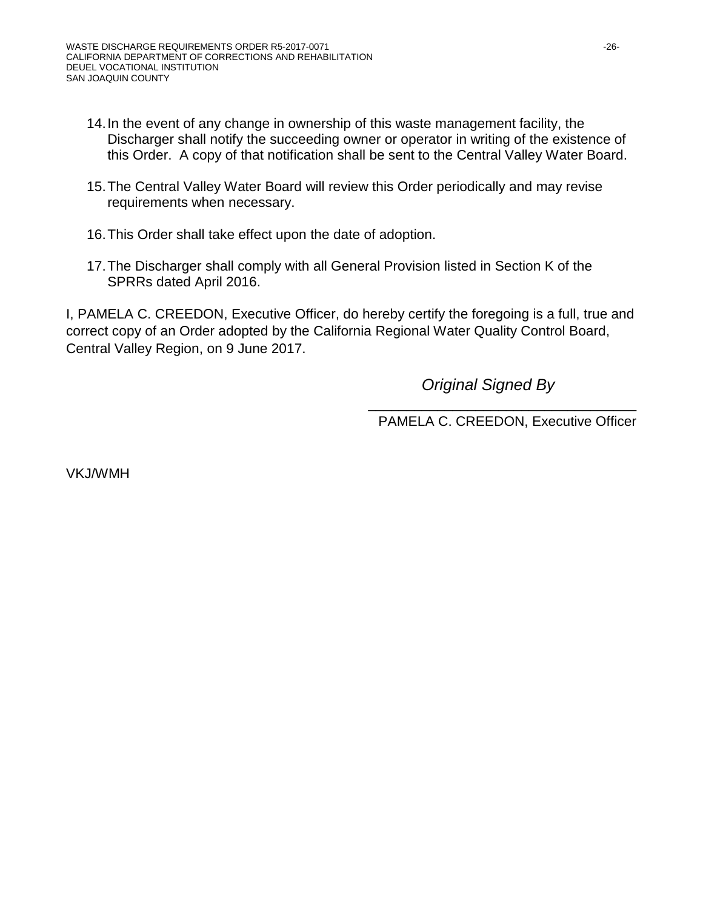- 14.In the event of any change in ownership of this waste management facility, the Discharger shall notify the succeeding owner or operator in writing of the existence of this Order. A copy of that notification shall be sent to the Central Valley Water Board.
- 15.The Central Valley Water Board will review this Order periodically and may revise requirements when necessary.
- 16.This Order shall take effect upon the date of adoption.
- 17.The Discharger shall comply with all General Provision listed in Section K of the SPRRs dated April 2016.

I, PAMELA C. CREEDON, Executive Officer, do hereby certify the foregoing is a full, true and correct copy of an Order adopted by the California Regional Water Quality Control Board, Central Valley Region, on 9 June 2017.

*Original Signed By* 

\_\_\_\_\_\_\_\_\_\_\_\_\_\_\_\_\_\_\_\_\_\_\_\_\_\_\_\_\_\_\_\_\_\_\_ PAMELA C. CREEDON, Executive Officer

VKJ/WMH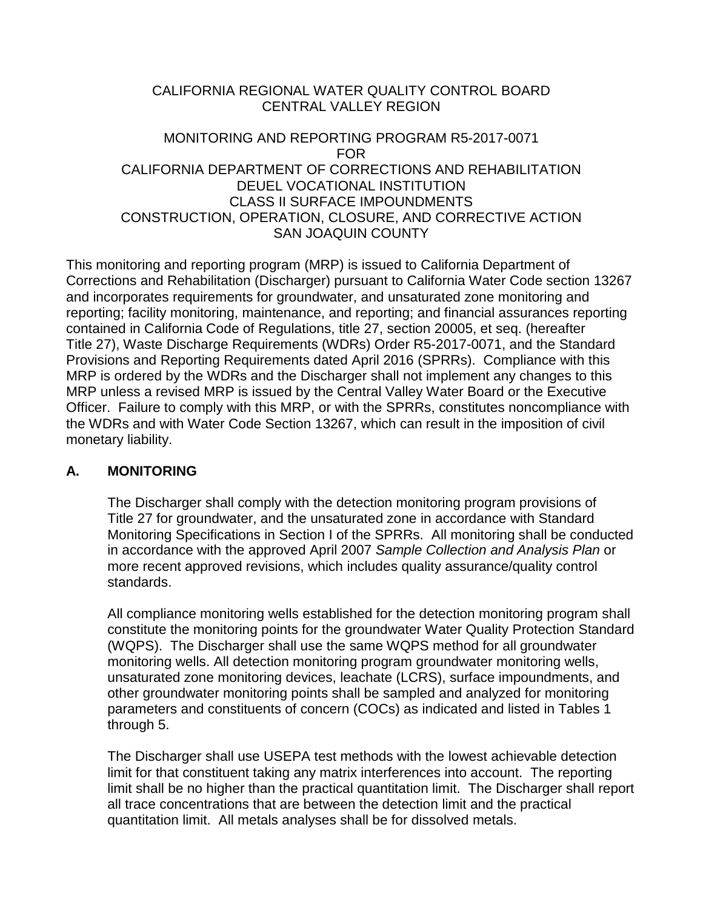### CALIFORNIA REGIONAL WATER QUALITY CONTROL BOARD CENTRAL VALLEY REGION

### MONITORING AND REPORTING PROGRAM R5-2017-0071 FOR CALIFORNIA DEPARTMENT OF CORRECTIONS AND REHABILITATION DEUEL VOCATIONAL INSTITUTION CLASS II SURFACE IMPOUNDMENTS CONSTRUCTION, OPERATION, CLOSURE, AND CORRECTIVE ACTION SAN JOAQUIN COUNTY

This monitoring and reporting program (MRP) is issued to California Department of Corrections and Rehabilitation (Discharger) pursuant to California Water Code section 13267 and incorporates requirements for groundwater, and unsaturated zone monitoring and reporting; facility monitoring, maintenance, and reporting; and financial assurances reporting contained in California Code of Regulations, title 27, section 20005, et seq. (hereafter Title 27), Waste Discharge Requirements (WDRs) Order R5-2017-0071, and the Standard Provisions and Reporting Requirements dated April 2016 (SPRRs). Compliance with this MRP is ordered by the WDRs and the Discharger shall not implement any changes to this MRP unless a revised MRP is issued by the Central Valley Water Board or the Executive Officer. Failure to comply with this MRP, or with the SPRRs, constitutes noncompliance with the WDRs and with Water Code Section 13267, which can result in the imposition of civil monetary liability.

## **A. MONITORING**

The Discharger shall comply with the detection monitoring program provisions of Title 27 for groundwater, and the unsaturated zone in accordance with Standard Monitoring Specifications in Section I of the SPRRs. All monitoring shall be conducted in accordance with the approved April 2007 *Sample Collection and Analysis Plan* or more recent approved revisions, which includes quality assurance/quality control standards.

All compliance monitoring wells established for the detection monitoring program shall constitute the monitoring points for the groundwater Water Quality Protection Standard (WQPS). The Discharger shall use the same WQPS method for all groundwater monitoring wells. All detection monitoring program groundwater monitoring wells, unsaturated zone monitoring devices, leachate (LCRS), surface impoundments, and other groundwater monitoring points shall be sampled and analyzed for monitoring parameters and constituents of concern (COCs) as indicated and listed in Tables 1 through 5.

The Discharger shall use USEPA test methods with the lowest achievable detection limit for that constituent taking any matrix interferences into account. The reporting limit shall be no higher than the practical quantitation limit. The Discharger shall report all trace concentrations that are between the detection limit and the practical quantitation limit. All metals analyses shall be for dissolved metals.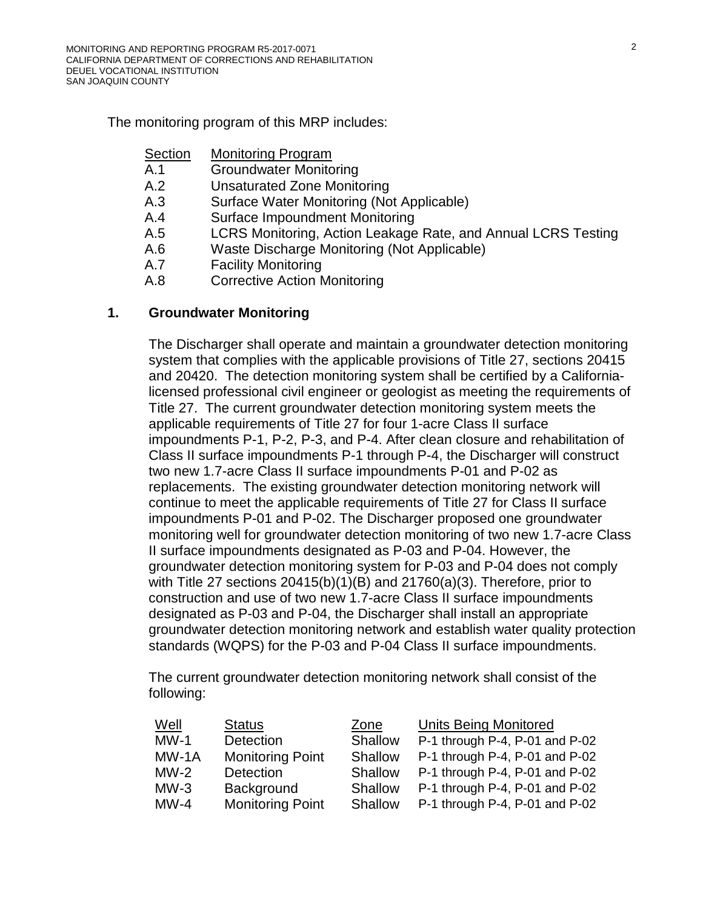The monitoring program of this MRP includes:

- Section Monitoring Program
- A[.1](#page-27-0) Groundwater Monitoring
- A[.2](#page-29-0) Unsaturated Zone Monitoring
- A[.3](#page-31-0) Surface Water Monitoring (Not Applicable)
- A[.4](#page-31-1) Surface Impoundment Monitoring
- A[.5](#page-32-0) LCRS Monitoring, Action Leakage Rate, and Annual LCRS Testing
- A[.6](#page-34-0) Waste Discharge Monitoring (Not Applicable)
- A[.7](#page-34-1) Facility Monitoring
- A[.8](#page-35-0) Corrective Action Monitoring

#### <span id="page-27-0"></span>**1. Groundwater Monitoring**

The Discharger shall operate and maintain a groundwater detection monitoring system that complies with the applicable provisions of Title 27, sections 20415 and 20420. The detection monitoring system shall be certified by a Californialicensed professional civil engineer or geologist as meeting the requirements of Title 27. The current groundwater detection monitoring system meets the applicable requirements of Title 27 for four 1-acre Class II surface impoundments P-1, P-2, P-3, and P-4. After clean closure and rehabilitation of Class II surface impoundments P-1 through P-4, the Discharger will construct two new 1.7-acre Class II surface impoundments P-01 and P-02 as replacements. The existing groundwater detection monitoring network will continue to meet the applicable requirements of Title 27 for Class II surface impoundments P-01 and P-02. The Discharger proposed one groundwater monitoring well for groundwater detection monitoring of two new 1.7-acre Class II surface impoundments designated as P-03 and P-04. However, the groundwater detection monitoring system for P-03 and P-04 does not comply with Title 27 sections 20415(b)(1)(B) and 21760(a)(3). Therefore, prior to construction and use of two new 1.7-acre Class II surface impoundments designated as P-03 and P-04, the Discharger shall install an appropriate groundwater detection monitoring network and establish water quality protection standards (WQPS) for the P-03 and P-04 Class II surface impoundments.

The current groundwater detection monitoring network shall consist of the following:

| Well    | <b>Status</b>           | Zone    | <b>Units Being Monitored</b>   |
|---------|-------------------------|---------|--------------------------------|
| $MW-1$  | <b>Detection</b>        | Shallow | P-1 through P-4, P-01 and P-02 |
| $MW-1A$ | <b>Monitoring Point</b> | Shallow | P-1 through P-4, P-01 and P-02 |
| $MW-2$  | Detection               | Shallow | P-1 through P-4, P-01 and P-02 |
| $MW-3$  | Background              | Shallow | P-1 through P-4, P-01 and P-02 |
| $MW-4$  | <b>Monitoring Point</b> | Shallow | P-1 through P-4, P-01 and P-02 |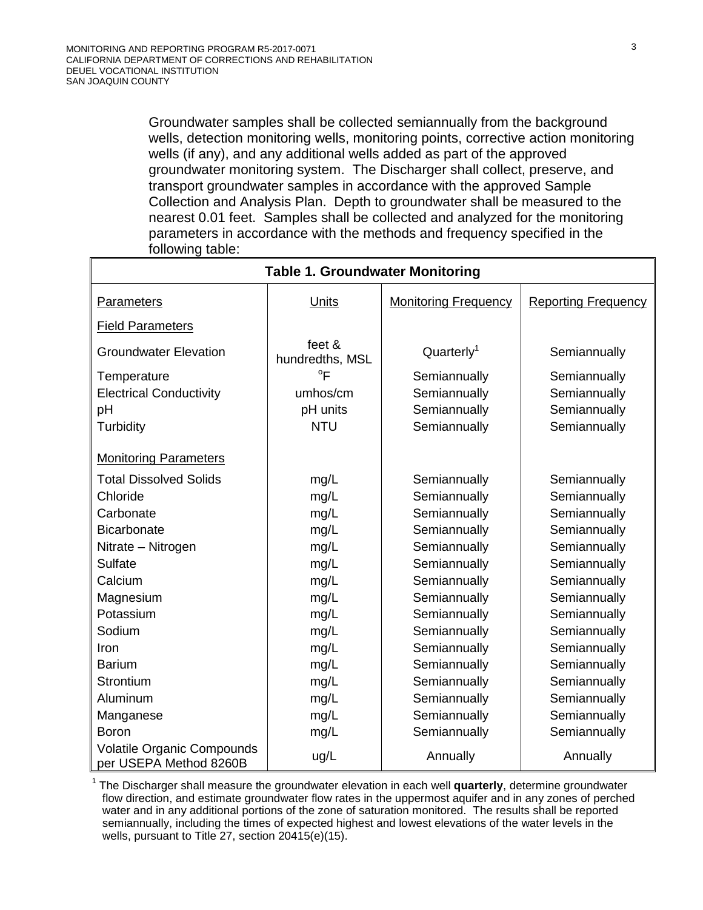Groundwater samples shall be collected semiannually from the background wells, detection monitoring wells, monitoring points, corrective action monitoring wells (if any), and any additional wells added as part of the approved groundwater monitoring system. The Discharger shall collect, preserve, and transport groundwater samples in accordance with the approved Sample Collection and Analysis Plan. Depth to groundwater shall be measured to the nearest 0.01 feet. Samples shall be collected and analyzed for the monitoring parameters in accordance with the methods and frequency specified in the following table:

| <b>Table 1. Groundwater Monitoring</b>               |                           |                             |                            |
|------------------------------------------------------|---------------------------|-----------------------------|----------------------------|
| Parameters                                           | Units                     | <b>Monitoring Frequency</b> | <b>Reporting Frequency</b> |
| <b>Field Parameters</b>                              |                           |                             |                            |
| <b>Groundwater Elevation</b>                         | feet &<br>hundredths, MSL | Quarterly <sup>1</sup>      | Semiannually               |
| Temperature                                          | $\mathrm{P}$              | Semiannually                | Semiannually               |
| <b>Electrical Conductivity</b>                       | umhos/cm                  | Semiannually                | Semiannually               |
| pH                                                   | pH units                  | Semiannually                | Semiannually               |
| Turbidity                                            | <b>NTU</b>                | Semiannually                | Semiannually               |
| <b>Monitoring Parameters</b>                         |                           |                             |                            |
| <b>Total Dissolved Solids</b>                        | mg/L                      | Semiannually                | Semiannually               |
| Chloride                                             | mg/L                      | Semiannually                | Semiannually               |
| Carbonate                                            | mg/L                      | Semiannually                | Semiannually               |
| <b>Bicarbonate</b>                                   | mg/L                      | Semiannually                | Semiannually               |
| Nitrate - Nitrogen                                   | mg/L                      | Semiannually                | Semiannually               |
| <b>Sulfate</b>                                       | mg/L                      | Semiannually                | Semiannually               |
| Calcium                                              | mg/L                      | Semiannually                | Semiannually               |
| Magnesium                                            | mg/L                      | Semiannually                | Semiannually               |
| Potassium                                            | mg/L                      | Semiannually                | Semiannually               |
| Sodium                                               | mg/L                      | Semiannually                | Semiannually               |
| Iron                                                 | mg/L                      | Semiannually                | Semiannually               |
| <b>Barium</b>                                        | mg/L                      | Semiannually                | Semiannually               |
| Strontium                                            | mg/L                      | Semiannually                | Semiannually               |
| Aluminum                                             | mg/L                      | Semiannually                | Semiannually               |
| Manganese                                            | mg/L                      | Semiannually                | Semiannually               |
| <b>Boron</b>                                         | mg/L                      | Semiannually                | Semiannually               |
| Volatile Organic Compounds<br>per USEPA Method 8260B | ug/L                      | Annually                    | Annually                   |

<sup>1</sup> The Discharger shall measure the groundwater elevation in each well **quarterly**, determine groundwater flow direction, and estimate groundwater flow rates in the uppermost aquifer and in any zones of perched water and in any additional portions of the zone of saturation monitored. The results shall be reported semiannually, including the times of expected highest and lowest elevations of the water levels in the wells, pursuant to Title 27, section 20415(e)(15).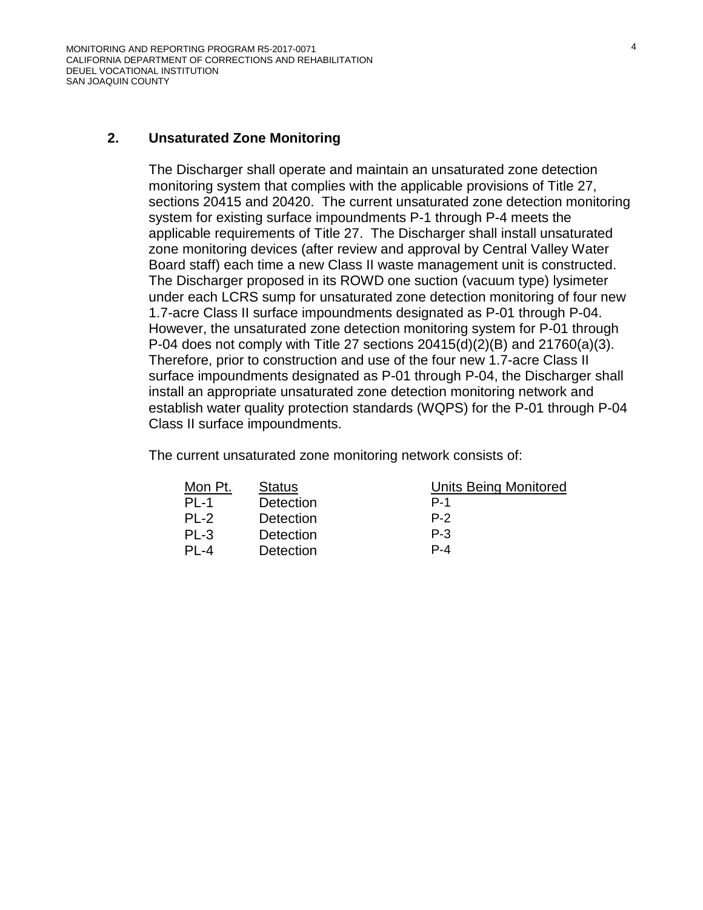#### <span id="page-29-0"></span>**2. Unsaturated Zone Monitoring**

The Discharger shall operate and maintain an unsaturated zone detection monitoring system that complies with the applicable provisions of Title 27, sections 20415 and 20420. The current unsaturated zone detection monitoring system for existing surface impoundments P-1 through P-4 meets the applicable requirements of Title 27. The Discharger shall install unsaturated zone monitoring devices (after review and approval by Central Valley Water Board staff) each time a new Class II waste management unit is constructed. The Discharger proposed in its ROWD one suction (vacuum type) lysimeter under each LCRS sump for unsaturated zone detection monitoring of four new 1.7-acre Class II surface impoundments designated as P-01 through P-04. However, the unsaturated zone detection monitoring system for P-01 through P-04 does not comply with Title 27 sections  $20415(d)(2)(B)$  and  $21760(a)(3)$ . Therefore, prior to construction and use of the four new 1.7-acre Class II surface impoundments designated as P-01 through P-04, the Discharger shall install an appropriate unsaturated zone detection monitoring network and establish water quality protection standards (WQPS) for the P-01 through P-04 Class II surface impoundments.

The current unsaturated zone monitoring network consists of:

| Mon Pt. | <b>Status</b> | Unil    |
|---------|---------------|---------|
| $PI -1$ | Detection     | P-1     |
| $PI -2$ | Detection     | $P-2$   |
| PL-3    | Detection     | $P - 3$ |
| PL-4    | Detection     | P-4     |

Units Being Monitored

- 
- 
-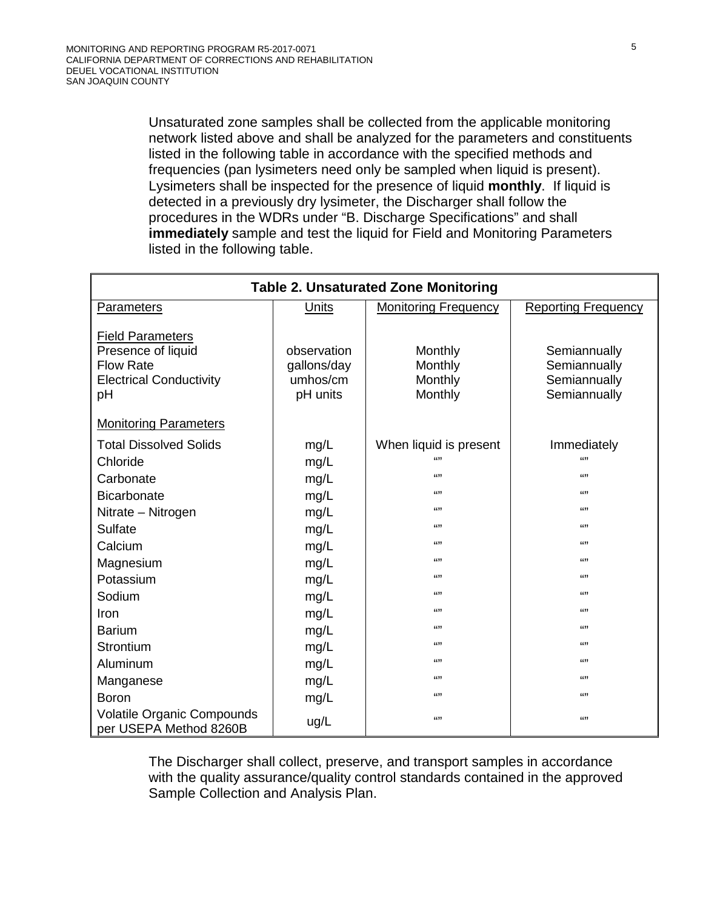Unsaturated zone samples shall be collected from the applicable monitoring network listed above and shall be analyzed for the parameters and constituents listed in the following table in accordance with the specified methods and frequencies (pan lysimeters need only be sampled when liquid is present). Lysimeters shall be inspected for the presence of liquid **monthly**. If liquid is detected in a previously dry lysimeter, the Discharger shall follow the procedures in the WDRs under "B. Discharge Specifications" and shall **immediately** sample and test the liquid for Field and Monitoring Parameters listed in the following table.

| <b>Table 2. Unsaturated Zone Monitoring</b>                                                               |                                                    |                                          |                                                              |
|-----------------------------------------------------------------------------------------------------------|----------------------------------------------------|------------------------------------------|--------------------------------------------------------------|
| Parameters                                                                                                | Units                                              | <b>Monitoring Frequency</b>              | <b>Reporting Frequency</b>                                   |
| <b>Field Parameters</b><br>Presence of liquid<br><b>Flow Rate</b><br><b>Electrical Conductivity</b><br>рH | observation<br>gallons/day<br>umhos/cm<br>pH units | Monthly<br>Monthly<br>Monthly<br>Monthly | Semiannually<br>Semiannually<br>Semiannually<br>Semiannually |
| <b>Monitoring Parameters</b>                                                                              |                                                    |                                          |                                                              |
| <b>Total Dissolved Solids</b><br>Chloride<br>Carbonate                                                    | mg/L<br>mg/L<br>mg/L                               | When liquid is present<br>6699<br>(1)    | Immediately<br>6699<br>6699                                  |
| <b>Bicarbonate</b>                                                                                        | mg/L                                               | (1)                                      | 6699                                                         |
| Nitrate - Nitrogen                                                                                        | mg/L                                               | 6699                                     | 6699                                                         |
| Sulfate                                                                                                   | mg/L                                               | 6699                                     | 6699                                                         |
| Calcium                                                                                                   | mg/L                                               | (1)                                      | 6699                                                         |
| Magnesium                                                                                                 | mg/L                                               | (1)                                      | (1)                                                          |
| Potassium                                                                                                 | mg/L                                               | (1)                                      | (1)                                                          |
| Sodium                                                                                                    | mg/L                                               | (1)                                      | 6699                                                         |
| Iron                                                                                                      | mg/L                                               | (1)                                      | 6699                                                         |
| <b>Barium</b>                                                                                             | mg/L                                               | 6699                                     | 6699                                                         |
| Strontium                                                                                                 | mg/L                                               | 6699                                     | 6699                                                         |
| Aluminum                                                                                                  | mg/L                                               | (1)                                      | (1)                                                          |
| Manganese                                                                                                 | mg/L                                               | (1)                                      | 6699                                                         |
| <b>Boron</b>                                                                                              | mg/L                                               | (1)                                      | 6699                                                         |
| <b>Volatile Organic Compounds</b><br>per USEPA Method 8260B                                               | ug/L                                               | (1)                                      | 6699                                                         |

The Discharger shall collect, preserve, and transport samples in accordance with the quality assurance/quality control standards contained in the approved Sample Collection and Analysis Plan.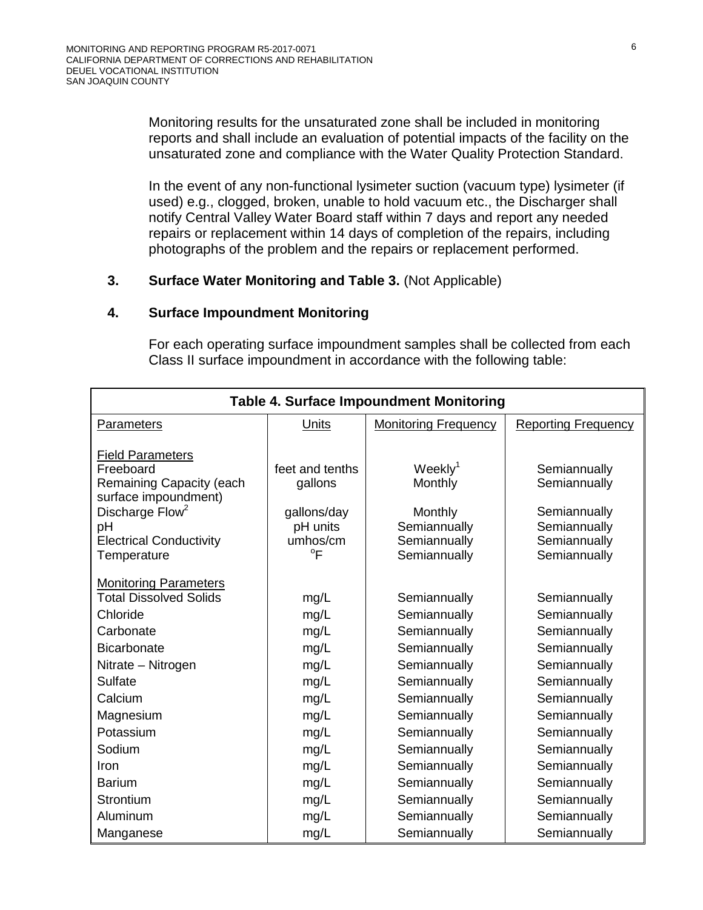Monitoring results for the unsaturated zone shall be included in monitoring reports and shall include an evaluation of potential impacts of the facility on the unsaturated zone and compliance with the Water Quality Protection Standard.

In the event of any non-functional lysimeter suction (vacuum type) lysimeter (if used) e.g., clogged, broken, unable to hold vacuum etc., the Discharger shall notify Central Valley Water Board staff within 7 days and report any needed repairs or replacement within 14 days of completion of the repairs, including photographs of the problem and the repairs or replacement performed.

#### <span id="page-31-0"></span>**3. Surface Water Monitoring and Table 3.** (Not Applicable)

#### <span id="page-31-1"></span>**4. Surface Impoundment Monitoring**

For each operating surface impoundment samples shall be collected from each Class II surface impoundment in accordance with the following table:

| <b>Table 4. Surface Impoundment Monitoring</b>   |                 |                             |                            |
|--------------------------------------------------|-----------------|-----------------------------|----------------------------|
| <b>Parameters</b>                                | <b>Units</b>    | <b>Monitoring Frequency</b> | <b>Reporting Frequency</b> |
| <b>Field Parameters</b>                          |                 |                             |                            |
| Freeboard                                        | feet and tenths | Weekly <sup>1</sup>         | Semiannually               |
| Remaining Capacity (each<br>surface impoundment) | gallons         | Monthly                     | Semiannually               |
| Discharge Flow <sup>2</sup>                      | gallons/day     | Monthly                     | Semiannually               |
| pH                                               | pH units        | Semiannually                | Semiannually               |
| <b>Electrical Conductivity</b>                   | umhos/cm        | Semiannually                | Semiannually               |
| Temperature                                      | $\mathrm{P}$    | Semiannually                | Semiannually               |
| <b>Monitoring Parameters</b>                     |                 |                             |                            |
| <b>Total Dissolved Solids</b>                    | mg/L            | Semiannually                | Semiannually               |
| Chloride                                         | mg/L            | Semiannually                | Semiannually               |
| Carbonate                                        | mg/L            | Semiannually                | Semiannually               |
| <b>Bicarbonate</b>                               | mg/L            | Semiannually                | Semiannually               |
| Nitrate - Nitrogen                               | mg/L            | Semiannually                | Semiannually               |
| <b>Sulfate</b>                                   | mg/L            | Semiannually                | Semiannually               |
| Calcium                                          | mg/L            | Semiannually                | Semiannually               |
| Magnesium                                        | mg/L            | Semiannually                | Semiannually               |
| Potassium                                        | mg/L            | Semiannually                | Semiannually               |
| Sodium                                           | mg/L            | Semiannually                | Semiannually               |
| Iron                                             | mg/L            | Semiannually                | Semiannually               |
| <b>Barium</b>                                    | mg/L            | Semiannually                | Semiannually               |
| Strontium                                        | mg/L            | Semiannually                | Semiannually               |
| Aluminum                                         | mg/L            | Semiannually                | Semiannually               |
| Manganese                                        | mg/L            | Semiannually                | Semiannually               |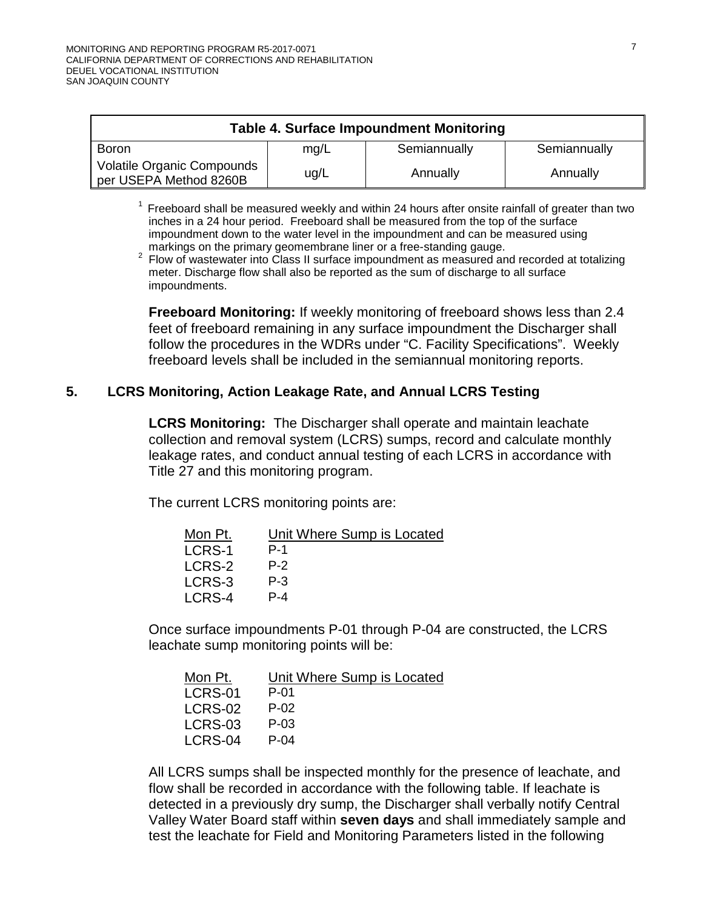| <b>Table 4. Surface Impoundment Monitoring</b>              |      |              |              |
|-------------------------------------------------------------|------|--------------|--------------|
| Boron                                                       | mq/L | Semiannually | Semiannually |
| <b>Volatile Organic Compounds</b><br>per USEPA Method 8260B | ug/L | Annually     | Annually     |

 $<sup>1</sup>$  Freeboard shall be measured weekly and within 24 hours after onsite rainfall of greater than two</sup> inches in a 24 hour period. Freeboard shall be measured from the top of the surface impoundment down to the water level in the impoundment and can be measured using markings on the primary geomembrane liner or a free-standing gauge.

markings on the primary geomembrane liner or a free-standing gauge. 2 Flow of wastewater into Class II surface impoundment as measured and recorded at totalizing meter. Discharge flow shall also be reported as the sum of discharge to all surface impoundments.

**Freeboard Monitoring:** If weekly monitoring of freeboard shows less than 2.4 feet of freeboard remaining in any surface impoundment the Discharger shall follow the procedures in the WDRs under "C. Facility Specifications". Weekly freeboard levels shall be included in the semiannual monitoring reports.

### <span id="page-32-0"></span>**5. LCRS Monitoring, Action Leakage Rate, and Annual LCRS Testing**

**LCRS Monitoring:** The Discharger shall operate and maintain leachate collection and removal system (LCRS) sumps, record and calculate monthly leakage rates, and conduct annual testing of each LCRS in accordance with Title 27 and this monitoring program.

The current LCRS monitoring points are:

| Mon Pt. | Unit Where Sump is Located |
|---------|----------------------------|
| LCRS-1  | $P-1$                      |
| LCRS-2  | $P-2$                      |
| LCRS-3  | $P - 3$                    |
| LCRS-4  | $P - 4$                    |
|         |                            |

Once surface impoundments P-01 through P-04 are constructed, the LCRS leachate sump monitoring points will be:

| Mon Pt. | Unit Where Sump is Located |
|---------|----------------------------|
| LCRS-01 | $P-01$                     |
| LCRS-02 | P-02                       |
| LCRS-03 | P-03                       |
| LCRS-04 | $P - 04$                   |
|         |                            |

All LCRS sumps shall be inspected monthly for the presence of leachate, and flow shall be recorded in accordance with the following table. If leachate is detected in a previously dry sump, the Discharger shall verbally notify Central Valley Water Board staff within **seven days** and shall immediately sample and test the leachate for Field and Monitoring Parameters listed in the following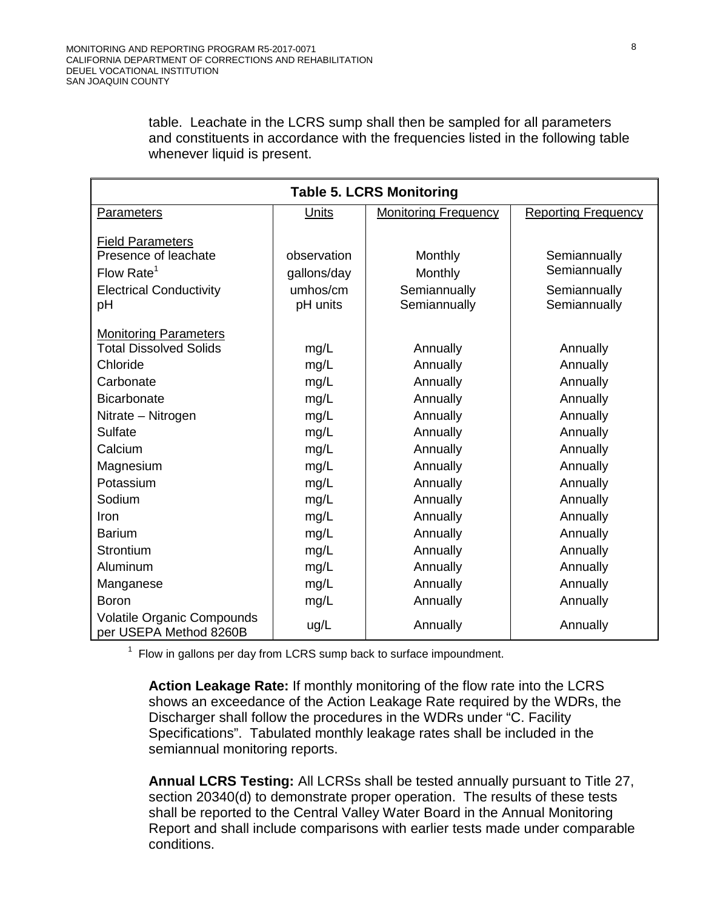table. Leachate in the LCRS sump shall then be sampled for all parameters and constituents in accordance with the frequencies listed in the following table whenever liquid is present.

| <b>Table 5. LCRS Monitoring</b>                             |             |                             |                            |  |  |
|-------------------------------------------------------------|-------------|-----------------------------|----------------------------|--|--|
| Parameters                                                  | Units       | <b>Monitoring Frequency</b> | <b>Reporting Frequency</b> |  |  |
| <b>Field Parameters</b>                                     |             |                             |                            |  |  |
| Presence of leachate                                        | observation | Monthly                     | Semiannually               |  |  |
| Flow Rate <sup>1</sup>                                      | gallons/day | Monthly                     | Semiannually               |  |  |
| <b>Electrical Conductivity</b>                              | umhos/cm    | Semiannually                | Semiannually               |  |  |
| pH                                                          | pH units    | Semiannually                | Semiannually               |  |  |
| <b>Monitoring Parameters</b>                                |             |                             |                            |  |  |
| <b>Total Dissolved Solids</b>                               | mg/L        | Annually                    | Annually                   |  |  |
| Chloride                                                    | mg/L        | Annually                    | Annually                   |  |  |
| Carbonate                                                   | mg/L        | Annually                    | Annually                   |  |  |
| <b>Bicarbonate</b>                                          | mg/L        | Annually                    | Annually                   |  |  |
| Nitrate - Nitrogen                                          | mg/L        | Annually                    | Annually                   |  |  |
| <b>Sulfate</b>                                              | mg/L        | Annually                    | Annually                   |  |  |
| Calcium                                                     | mg/L        | Annually                    | Annually                   |  |  |
| Magnesium                                                   | mg/L        | Annually                    | Annually                   |  |  |
| Potassium                                                   | mg/L        | Annually                    | Annually                   |  |  |
| Sodium                                                      | mg/L        | Annually                    | Annually                   |  |  |
| Iron                                                        | mg/L        | Annually                    | Annually                   |  |  |
| <b>Barium</b>                                               | mg/L        | Annually                    | Annually                   |  |  |
| Strontium                                                   | mg/L        | Annually                    | Annually                   |  |  |
| Aluminum                                                    | mg/L        | Annually                    | Annually                   |  |  |
| Manganese                                                   | mg/L        | Annually                    | Annually                   |  |  |
| <b>Boron</b>                                                | mg/L        | Annually                    | Annually                   |  |  |
| <b>Volatile Organic Compounds</b><br>per USEPA Method 8260B | ug/L        | Annually                    | Annually                   |  |  |

 $1$  Flow in gallons per day from LCRS sump back to surface impoundment.

**Action Leakage Rate:** If monthly monitoring of the flow rate into the LCRS shows an exceedance of the Action Leakage Rate required by the WDRs, the Discharger shall follow the procedures in the WDRs under "C. Facility Specifications". Tabulated monthly leakage rates shall be included in the semiannual monitoring reports.

**Annual LCRS Testing:** All LCRSs shall be tested annually pursuant to Title 27, section 20340(d) to demonstrate proper operation. The results of these tests shall be reported to the Central Valley Water Board in the Annual Monitoring Report and shall include comparisons with earlier tests made under comparable conditions.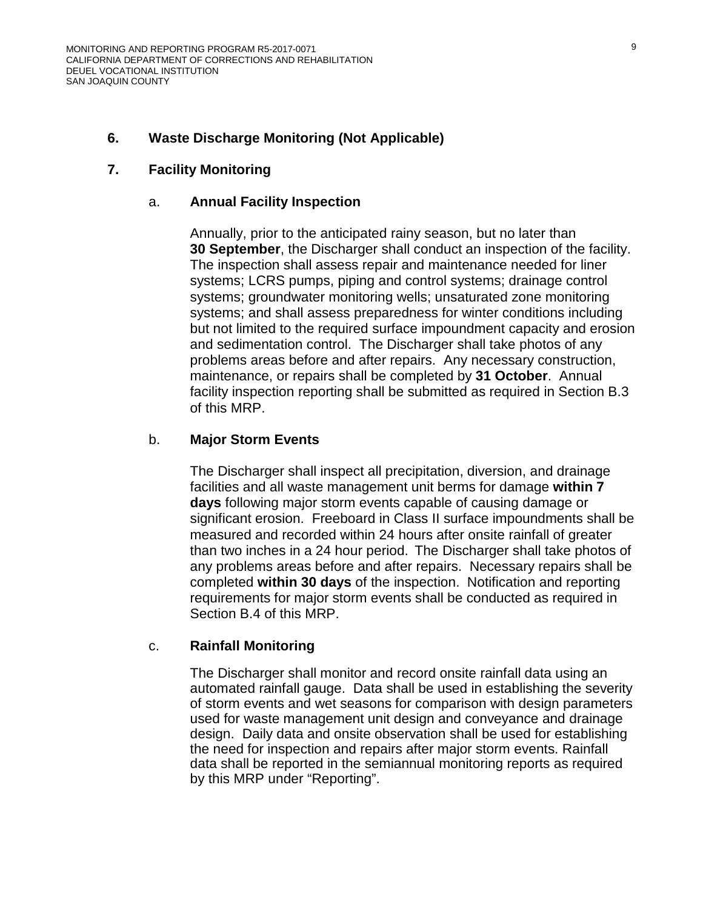#### <span id="page-34-0"></span>**6. Waste Discharge Monitoring (Not Applicable)**

#### <span id="page-34-1"></span>**7. Facility Monitoring**

#### a. **Annual Facility Inspection**

Annually, prior to the anticipated rainy season, but no later than **30 September**, the Discharger shall conduct an inspection of the facility. The inspection shall assess repair and maintenance needed for liner systems; LCRS pumps, piping and control systems; drainage control systems; groundwater monitoring wells; unsaturated zone monitoring systems; and shall assess preparedness for winter conditions including but not limited to the required surface impoundment capacity and erosion and sedimentation control. The Discharger shall take photos of any problems areas before and after repairs. Any necessary construction, maintenance, or repairs shall be completed by **31 October**. Annual facility inspection reporting shall be submitted as required in Section B[.3](#page-39-0) of this MRP.

#### b. **Major Storm Events**

The Discharger shall inspect all precipitation, diversion, and drainage facilities and all waste management unit berms for damage **within 7 days** following major storm events capable of causing damage or significant erosion. Freeboard in Class II surface impoundments shall be measured and recorded within 24 hours after onsite rainfall of greater than two inches in a 24 hour period. The Discharger shall take photos of any problems areas before and after repairs. Necessary repairs shall be completed **within 30 days** of the inspection. Notification and reporting requirements for major storm events shall be conducted as required in Section B[.4](#page-39-1) of this MRP.

#### c. **Rainfall Monitoring**

The Discharger shall monitor and record onsite rainfall data using an automated rainfall gauge. Data shall be used in establishing the severity of storm events and wet seasons for comparison with design parameters used for waste management unit design and conveyance and drainage design. Daily data and onsite observation shall be used for establishing the need for inspection and repairs after major storm events. Rainfall data shall be reported in the semiannual monitoring reports as required by this MRP under "Reporting".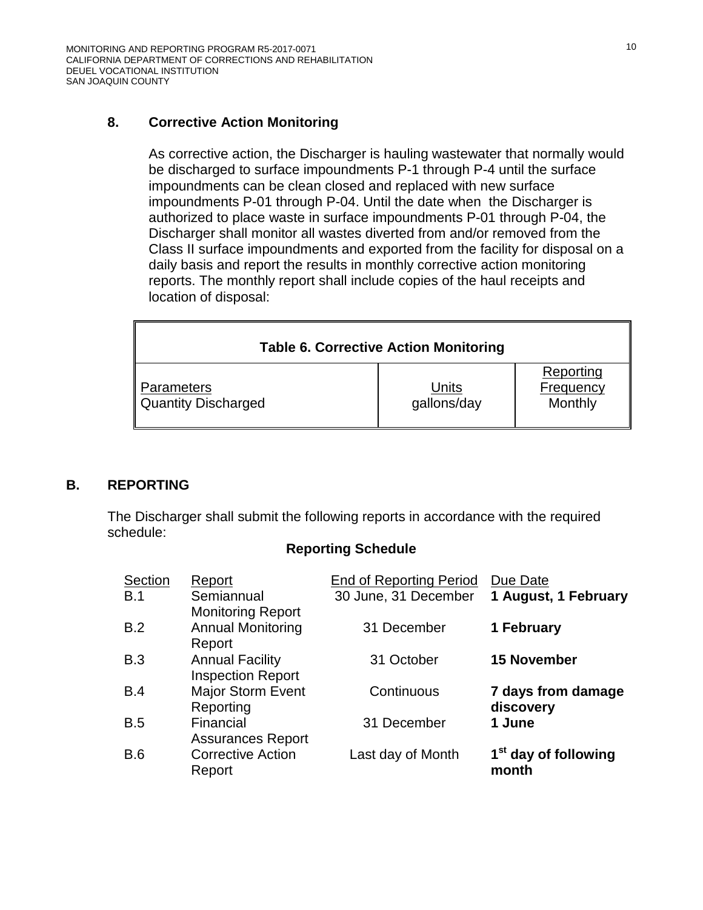## <span id="page-35-0"></span>**8. Corrective Action Monitoring**

As corrective action, the Discharger is hauling wastewater that normally would be discharged to surface impoundments P-1 through P-4 until the surface impoundments can be clean closed and replaced with new surface impoundments P-01 through P-04. Until the date when the Discharger is authorized to place waste in surface impoundments P-01 through P-04, the Discharger shall monitor all wastes diverted from and/or removed from the Class II surface impoundments and exported from the facility for disposal on a daily basis and report the results in monthly corrective action monitoring reports. The monthly report shall include copies of the haul receipts and location of disposal:

| <b>Table 6. Corrective Action Monitoring</b> |                      |                                   |  |  |
|----------------------------------------------|----------------------|-----------------------------------|--|--|
| <b>Parameters</b><br>  Quantity Discharged   | Units<br>gallons/day | Reporting<br>Frequency<br>Monthly |  |  |

### **B. REPORTING**

The Discharger shall submit the following reports in accordance with the required schedule:

#### **Reporting Schedule**

| Section<br>B.1 | Report<br>Semiannual                                           | <b>End of Reporting Period</b><br>30 June, 31 December | Due Date<br>1 August, 1 February          |
|----------------|----------------------------------------------------------------|--------------------------------------------------------|-------------------------------------------|
| B.2            | <b>Monitoring Report</b><br><b>Annual Monitoring</b><br>Report | 31 December                                            | 1 February                                |
| B.3            | <b>Annual Facility</b><br><b>Inspection Report</b>             | 31 October                                             | <b>15 November</b>                        |
| B.4            | <b>Major Storm Event</b><br>Reporting                          | Continuous                                             | 7 days from damage<br>discovery           |
| B.5            | Financial<br><b>Assurances Report</b>                          | 31 December                                            | 1 June                                    |
| B.6            | <b>Corrective Action</b><br>Report                             | Last day of Month                                      | 1 <sup>st</sup> day of following<br>month |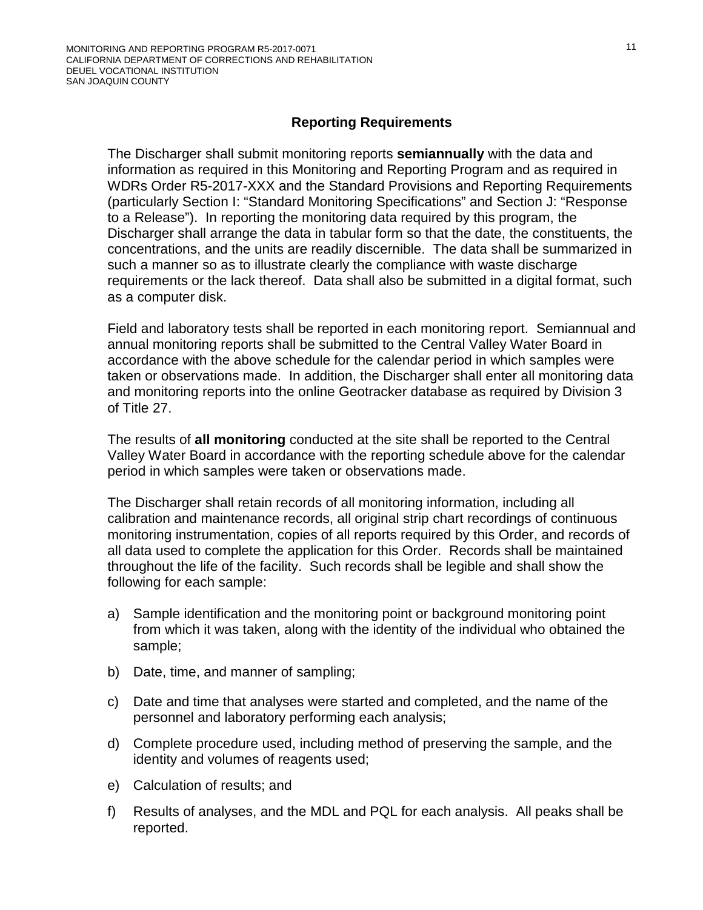# **Reporting Requirements**

The Discharger shall submit monitoring reports **semiannually** with the data and information as required in this Monitoring and Reporting Program and as required in WDRs Order R5-2017-XXX and the Standard Provisions and Reporting Requirements (particularly Section I: "Standard Monitoring Specifications" and Section J: "Response to a Release"). In reporting the monitoring data required by this program, the Discharger shall arrange the data in tabular form so that the date, the constituents, the concentrations, and the units are readily discernible. The data shall be summarized in such a manner so as to illustrate clearly the compliance with waste discharge requirements or the lack thereof. Data shall also be submitted in a digital format, such as a computer disk.

Field and laboratory tests shall be reported in each monitoring report. Semiannual and annual monitoring reports shall be submitted to the Central Valley Water Board in accordance with the above schedule for the calendar period in which samples were taken or observations made. In addition, the Discharger shall enter all monitoring data and monitoring reports into the online Geotracker database as required by Division 3 of Title 27.

The results of **all monitoring** conducted at the site shall be reported to the Central Valley Water Board in accordance with the reporting schedule above for the calendar period in which samples were taken or observations made.

The Discharger shall retain records of all monitoring information, including all calibration and maintenance records, all original strip chart recordings of continuous monitoring instrumentation, copies of all reports required by this Order, and records of all data used to complete the application for this Order. Records shall be maintained throughout the life of the facility. Such records shall be legible and shall show the following for each sample:

- a) Sample identification and the monitoring point or background monitoring point from which it was taken, along with the identity of the individual who obtained the sample;
- b) Date, time, and manner of sampling;
- c) Date and time that analyses were started and completed, and the name of the personnel and laboratory performing each analysis;
- d) Complete procedure used, including method of preserving the sample, and the identity and volumes of reagents used;
- e) Calculation of results; and
- f) Results of analyses, and the MDL and PQL for each analysis. All peaks shall be reported.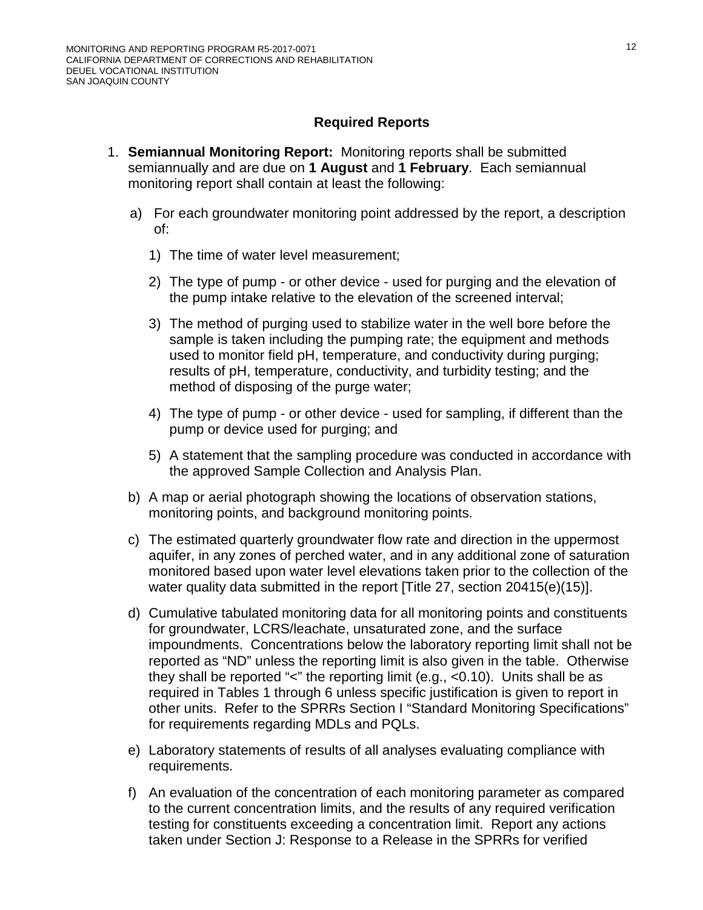# **Required Reports**

- 1. **Semiannual Monitoring Report:** Monitoring reports shall be submitted semiannually and are due on **1 August** and **1 February**. Each semiannual monitoring report shall contain at least the following:
	- a) For each groundwater monitoring point addressed by the report, a description of:
		- 1) The time of water level measurement;
		- 2) The type of pump or other device used for purging and the elevation of the pump intake relative to the elevation of the screened interval;
		- 3) The method of purging used to stabilize water in the well bore before the sample is taken including the pumping rate; the equipment and methods used to monitor field pH, temperature, and conductivity during purging; results of pH, temperature, conductivity, and turbidity testing; and the method of disposing of the purge water;
		- 4) The type of pump or other device used for sampling, if different than the pump or device used for purging; and
		- 5) A statement that the sampling procedure was conducted in accordance with the approved Sample Collection and Analysis Plan.
	- b) A map or aerial photograph showing the locations of observation stations, monitoring points, and background monitoring points.
	- c) The estimated quarterly groundwater flow rate and direction in the uppermost aquifer, in any zones of perched water, and in any additional zone of saturation monitored based upon water level elevations taken prior to the collection of the water quality data submitted in the report [Title 27, section 20415(e)(15)].
	- d) Cumulative tabulated monitoring data for all monitoring points and constituents for groundwater, LCRS/leachate, unsaturated zone, and the surface impoundments. Concentrations below the laboratory reporting limit shall not be reported as "ND" unless the reporting limit is also given in the table. Otherwise they shall be reported "<" the reporting limit (e.g., <0.10). Units shall be as required in Tables 1 through 6 unless specific justification is given to report in other units. Refer to the SPRRs Section I "Standard Monitoring Specifications" for requirements regarding MDLs and PQLs.
	- e) Laboratory statements of results of all analyses evaluating compliance with requirements.
	- f) An evaluation of the concentration of each monitoring parameter as compared to the current concentration limits, and the results of any required verification testing for constituents exceeding a concentration limit. Report any actions taken under Section J: Response to a Release in the SPRRs for verified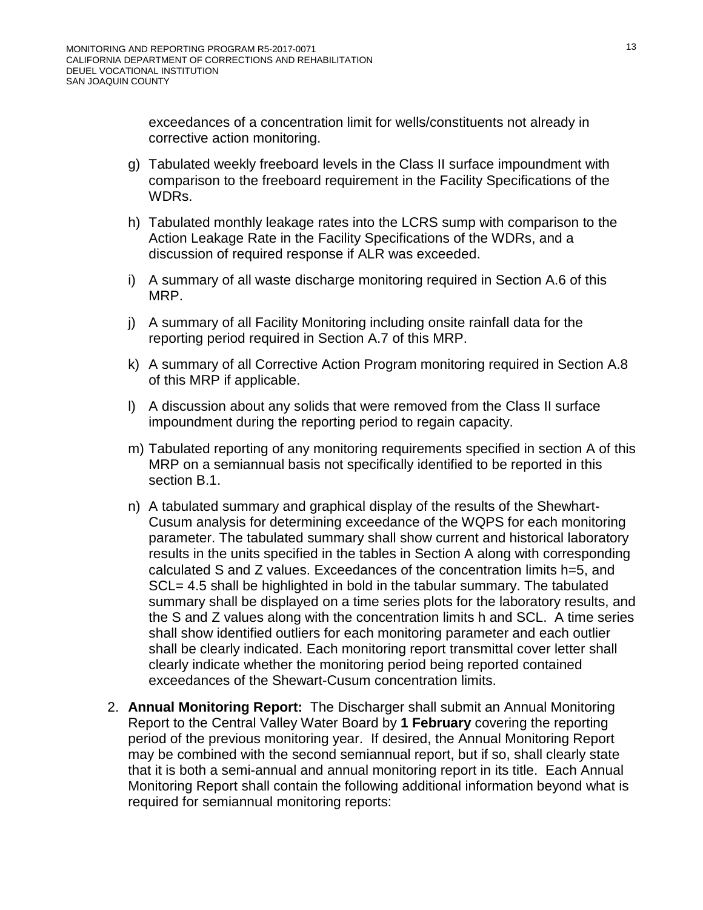exceedances of a concentration limit for wells/constituents not already in corrective action monitoring.

- g) Tabulated weekly freeboard levels in the Class II surface impoundment with comparison to the freeboard requirement in the Facility Specifications of the WDRs.
- h) Tabulated monthly leakage rates into the LCRS sump with comparison to the Action Leakage Rate in the Facility Specifications of the WDRs, and a discussion of required response if ALR was exceeded.
- i) A summary of all waste discharge monitoring required in Section A[.6](#page-34-0) of this MRP.
- j) A summary of all Facility Monitoring including onsite rainfall data for the reporting period required in Section A[.7](#page-34-1) of this MRP.
- k) A summary of all Corrective Action Program monitoring required in Section A[.8](#page-35-0) of this MRP if applicable.
- l) A discussion about any solids that were removed from the Class II surface impoundment during the reporting period to regain capacity.
- m) Tabulated reporting of any monitoring requirements specified in section A of this MRP on a semiannual basis not specifically identified to be reported in this section B.1.
- n) A tabulated summary and graphical display of the results of the Shewhart-Cusum analysis for determining exceedance of the WQPS for each monitoring parameter. The tabulated summary shall show current and historical laboratory results in the units specified in the tables in Section A along with corresponding calculated S and Z values. Exceedances of the concentration limits h=5, and SCL= 4.5 shall be highlighted in bold in the tabular summary. The tabulated summary shall be displayed on a time series plots for the laboratory results, and the S and Z values along with the concentration limits h and SCL. A time series shall show identified outliers for each monitoring parameter and each outlier shall be clearly indicated. Each monitoring report transmittal cover letter shall clearly indicate whether the monitoring period being reported contained exceedances of the Shewart-Cusum concentration limits.
- 2. **Annual Monitoring Report:** The Discharger shall submit an Annual Monitoring Report to the Central Valley Water Board by **1 February** covering the reporting period of the previous monitoring year. If desired, the Annual Monitoring Report may be combined with the second semiannual report, but if so, shall clearly state that it is both a semi-annual and annual monitoring report in its title. Each Annual Monitoring Report shall contain the following additional information beyond what is required for semiannual monitoring reports: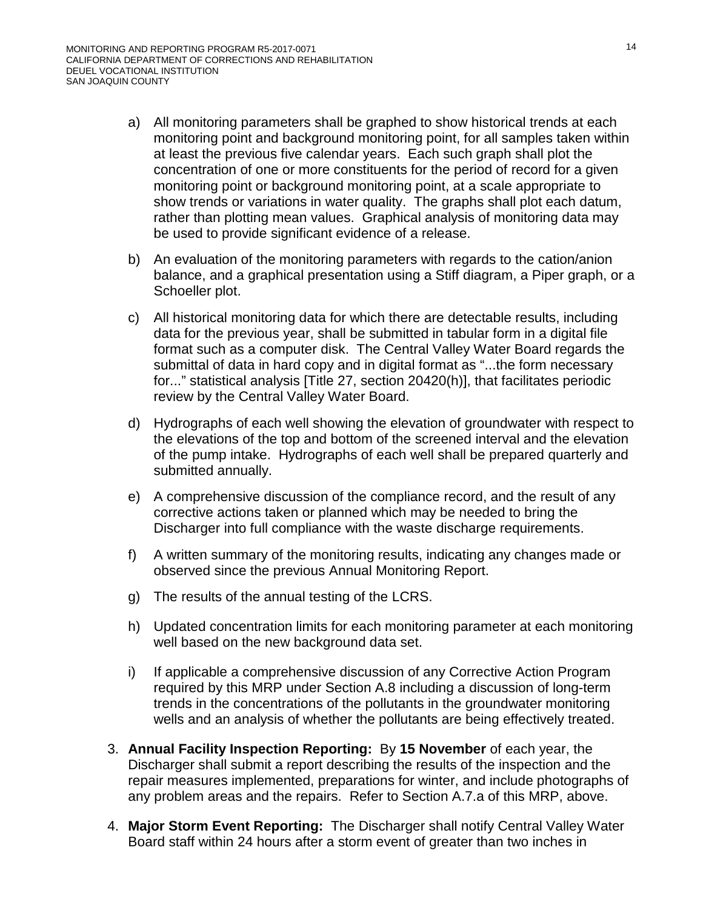- a) All monitoring parameters shall be graphed to show historical trends at each monitoring point and background monitoring point, for all samples taken within at least the previous five calendar years. Each such graph shall plot the concentration of one or more constituents for the period of record for a given monitoring point or background monitoring point, at a scale appropriate to show trends or variations in water quality. The graphs shall plot each datum, rather than plotting mean values. Graphical analysis of monitoring data may be used to provide significant evidence of a release.
- b) An evaluation of the monitoring parameters with regards to the cation/anion balance, and a graphical presentation using a Stiff diagram, a Piper graph, or a Schoeller plot.
- c) All historical monitoring data for which there are detectable results, including data for the previous year, shall be submitted in tabular form in a digital file format such as a computer disk. The Central Valley Water Board regards the submittal of data in hard copy and in digital format as "...the form necessary for..." statistical analysis [Title 27, section 20420(h)], that facilitates periodic review by the Central Valley Water Board.
- d) Hydrographs of each well showing the elevation of groundwater with respect to the elevations of the top and bottom of the screened interval and the elevation of the pump intake. Hydrographs of each well shall be prepared quarterly and submitted annually.
- e) A comprehensive discussion of the compliance record, and the result of any corrective actions taken or planned which may be needed to bring the Discharger into full compliance with the waste discharge requirements.
- f) A written summary of the monitoring results, indicating any changes made or observed since the previous Annual Monitoring Report.
- g) The results of the annual testing of the LCRS.
- h) Updated concentration limits for each monitoring parameter at each monitoring well based on the new background data set.
- i) If applicable a comprehensive discussion of any Corrective Action Program required by this MRP under Section A[.8](#page-35-0) including a discussion of long-term trends in the concentrations of the pollutants in the groundwater monitoring wells and an analysis of whether the pollutants are being effectively treated.
- 3. **Annual Facility Inspection Reporting:** By **15 November** of each year, the Discharger shall submit a report describing the results of the inspection and the repair measures implemented, preparations for winter, and include photographs of any problem areas and the repairs. Refer to Section A[.7.a](#page-34-2) of this MRP, above.
- 4. **Major Storm Event Reporting:** The Discharger shall notify Central Valley Water Board staff within 24 hours after a storm event of greater than two inches in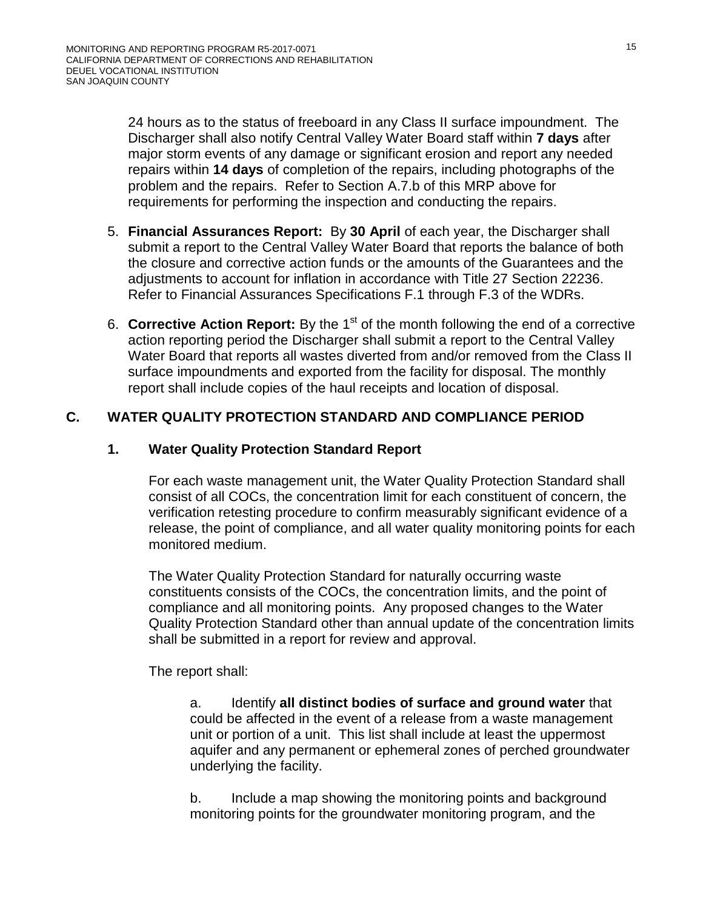24 hours as to the status of freeboard in any Class II surface impoundment. The Discharger shall also notify Central Valley Water Board staff within **7 days** after major storm events of any damage or significant erosion and report any needed repairs within **14 days** of completion of the repairs, including photographs of the problem and the repairs. Refer to Section A[.7.b](#page-34-3) of this MRP above for requirements for performing the inspection and conducting the repairs.

- 5. **Financial Assurances Report:** By **30 April** of each year, the Discharger shall submit a report to the Central Valley Water Board that reports the balance of both the closure and corrective action funds or the amounts of the Guarantees and the adjustments to account for inflation in accordance with Title 27 Section 22236. Refer to Financial Assurances Specifications F.1 through F.3 of the WDRs.
- 6. **Corrective Action Report:** By the 1<sup>st</sup> of the month following the end of a corrective action reporting period the Discharger shall submit a report to the Central Valley Water Board that reports all wastes diverted from and/or removed from the Class II surface impoundments and exported from the facility for disposal. The monthly report shall include copies of the haul receipts and location of disposal.

# **C. WATER QUALITY PROTECTION STANDARD AND COMPLIANCE PERIOD**

# **1. Water Quality Protection Standard Report**

For each waste management unit, the Water Quality Protection Standard shall consist of all COCs, the concentration limit for each constituent of concern, the verification retesting procedure to confirm measurably significant evidence of a release, the point of compliance, and all water quality monitoring points for each monitored medium.

The Water Quality Protection Standard for naturally occurring waste constituents consists of the COCs, the concentration limits, and the point of compliance and all monitoring points. Any proposed changes to the Water Quality Protection Standard other than annual update of the concentration limits shall be submitted in a report for review and approval.

The report shall:

a. Identify **all distinct bodies of surface and ground water** that could be affected in the event of a release from a waste management unit or portion of a unit. This list shall include at least the uppermost aquifer and any permanent or ephemeral zones of perched groundwater underlying the facility.

b. Include a map showing the monitoring points and background monitoring points for the groundwater monitoring program, and the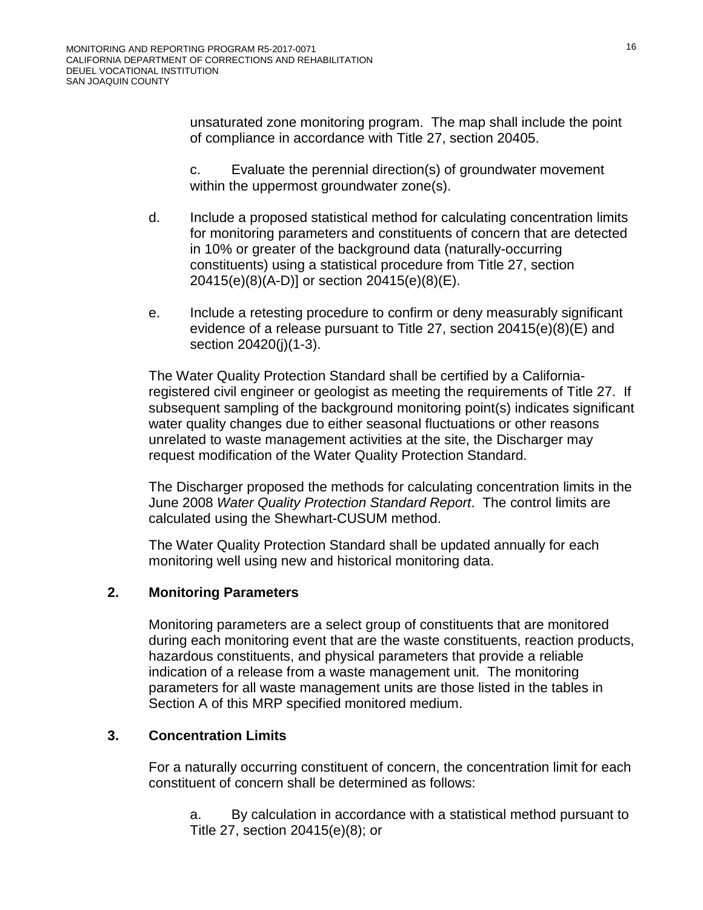unsaturated zone monitoring program. The map shall include the point of compliance in accordance with Title 27, section 20405.

c. Evaluate the perennial direction(s) of groundwater movement within the uppermost groundwater zone(s).

- d. Include a proposed statistical method for calculating concentration limits for monitoring parameters and constituents of concern that are detected in 10% or greater of the background data (naturally-occurring constituents) using a statistical procedure from Title 27, section 20415(e)(8)(A-D)] or section 20415(e)(8)(E).
- e. Include a retesting procedure to confirm or deny measurably significant evidence of a release pursuant to Title 27, section 20415(e)(8)(E) and section 20420(j)(1-3).

The Water Quality Protection Standard shall be certified by a Californiaregistered civil engineer or geologist as meeting the requirements of Title 27. If subsequent sampling of the background monitoring point(s) indicates significant water quality changes due to either seasonal fluctuations or other reasons unrelated to waste management activities at the site, the Discharger may request modification of the Water Quality Protection Standard.

The Discharger proposed the methods for calculating concentration limits in the June 2008 *Water Quality Protection Standard Report*. The control limits are calculated using the Shewhart-CUSUM method.

The Water Quality Protection Standard shall be updated annually for each monitoring well using new and historical monitoring data.

# **2. Monitoring Parameters**

Monitoring parameters are a select group of constituents that are monitored during each monitoring event that are the waste constituents, reaction products, hazardous constituents, and physical parameters that provide a reliable indication of a release from a waste management unit. The monitoring parameters for all waste management units are those listed in the tables in Section A of this MRP specified monitored medium.

# **3. Concentration Limits**

For a naturally occurring constituent of concern, the concentration limit for each constituent of concern shall be determined as follows:

a. By calculation in accordance with a statistical method pursuant to Title 27, section 20415(e)(8); or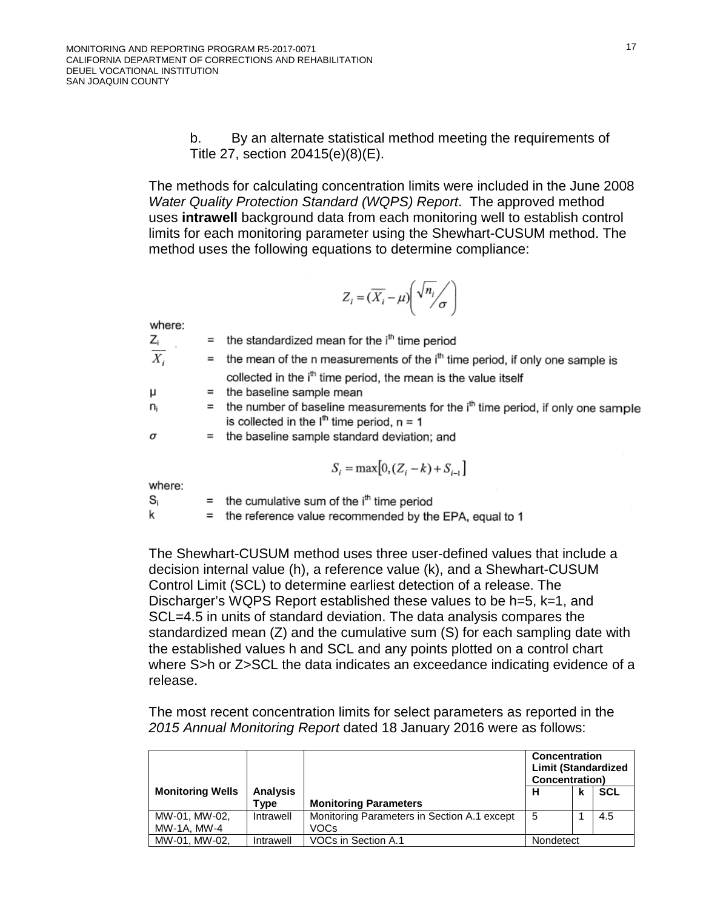b. By an alternate statistical method meeting the requirements of Title 27, section 20415(e)(8)(E).

The methods for calculating concentration limits were included in the June 2008 *Water Quality Protection Standard (WQPS) Report*. The approved method uses **intrawell** background data from each monitoring well to establish control limits for each monitoring parameter using the Shewhart-CUSUM method. The method uses the following equations to determine compliance:

$$
Z_i = (\overline{X_i} - \mu) \left( \sqrt{n_i} / \sigma \right)
$$

where:

| $Z_i$            | $=$ the standardized mean for the $ith$ time period                                                                                     |
|------------------|-----------------------------------------------------------------------------------------------------------------------------------------|
| $\overline{X_i}$ | $=$ the mean of the n measurements of the $ith$ time period, if only one sample is                                                      |
|                  | collected in the i <sup>th</sup> time period, the mean is the value itself                                                              |
| μ                | $=$ the baseline sample mean                                                                                                            |
| n:               | $=$ the number of baseline measurements for the $ith$ time period, if only one sample<br>is collected in the $Ith$ time period, $n = 1$ |
| σ                | $=$ the baseline sample standard deviation; and                                                                                         |
|                  |                                                                                                                                         |

$$
S_i = \max[0, (Z_i - k) + S_{i-1}]
$$

where:

 $\mathbf{S}_{\rm i}$ 

 $=$  the cumulative sum of the  $i<sup>th</sup>$  time period

k  $=$  the reference value recommended by the EPA, equal to 1

The Shewhart-CUSUM method uses three user-defined values that include a decision internal value (h), a reference value (k), and a Shewhart-CUSUM Control Limit (SCL) to determine earliest detection of a release. The Discharger's WQPS Report established these values to be h=5, k=1, and SCL=4.5 in units of standard deviation. The data analysis compares the standardized mean (Z) and the cumulative sum (S) for each sampling date with the established values h and SCL and any points plotted on a control chart where S>h or Z>SCL the data indicates an exceedance indicating evidence of a release.

The most recent concentration limits for select parameters as reported in the *2015 Annual Monitoring Report* dated 18 January 2016 were as follows:

|                              |                         |                                                     | <b>Concentration</b><br><b>Limit (Standardized</b><br>Concentration) |  |     |
|------------------------------|-------------------------|-----------------------------------------------------|----------------------------------------------------------------------|--|-----|
| <b>Monitoring Wells</b>      | <b>Analysis</b><br>Type | <b>Monitoring Parameters</b>                        | н                                                                    |  | SCL |
| MW-01, MW-02,<br>MW-1A, MW-4 | Intrawell               | Monitoring Parameters in Section A.1 except<br>VOCs | 5                                                                    |  | 4.5 |
| MW-01. MW-02.                | Intrawell               | VOCs in Section A.1                                 | Nondetect                                                            |  |     |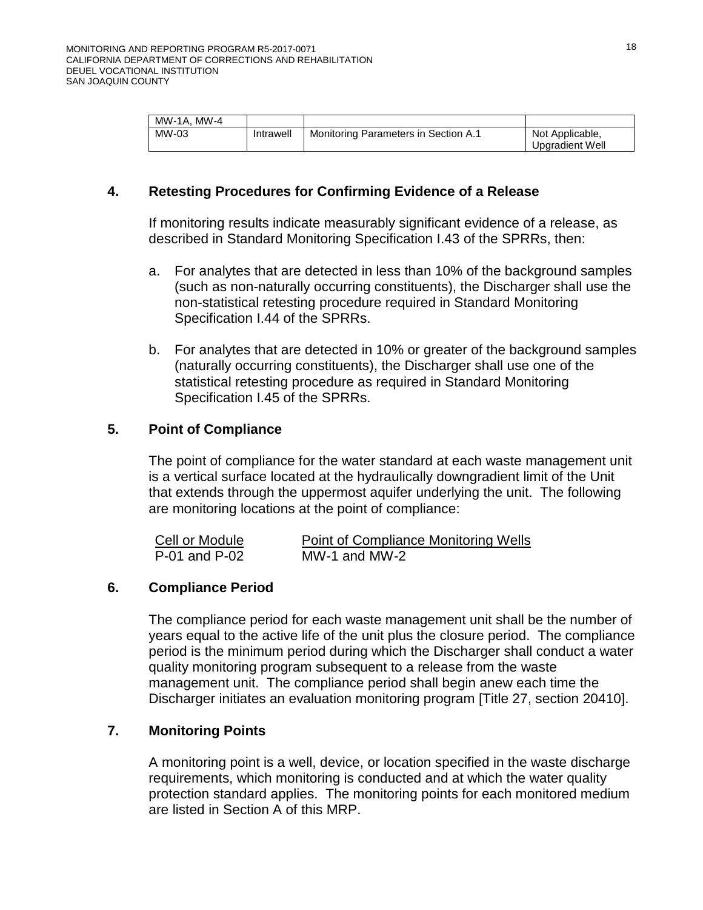| MW-1A, MW-4 |           |                                             |                 |
|-------------|-----------|---------------------------------------------|-----------------|
| MW-03       | Intrawell | <b>Monitoring Parameters in Section A.1</b> | Not Applicable, |
|             |           |                                             | Upgradient Well |

# **4. Retesting Procedures for Confirming Evidence of a Release**

If monitoring results indicate measurably significant evidence of a release, as described in Standard Monitoring Specification I.43 of the SPRRs, then:

- a. For analytes that are detected in less than 10% of the background samples (such as non-naturally occurring constituents), the Discharger shall use the non-statistical retesting procedure required in Standard Monitoring Specification I.44 of the SPRRs.
- b. For analytes that are detected in 10% or greater of the background samples (naturally occurring constituents), the Discharger shall use one of the statistical retesting procedure as required in Standard Monitoring Specification I.45 of the SPRRs.

# **5. Point of Compliance**

The point of compliance for the water standard at each waste management unit is a vertical surface located at the hydraulically downgradient limit of the Unit that extends through the uppermost aquifer underlying the unit. The following are monitoring locations at the point of compliance:

| Cell or Module | Point of Compliance Monitoring Wells |
|----------------|--------------------------------------|
| P-01 and P-02  | MW-1 and MW-2                        |

# **6. Compliance Period**

The compliance period for each waste management unit shall be the number of years equal to the active life of the unit plus the closure period. The compliance period is the minimum period during which the Discharger shall conduct a water quality monitoring program subsequent to a release from the waste management unit. The compliance period shall begin anew each time the Discharger initiates an evaluation monitoring program [Title 27, section 20410].

# **7. Monitoring Points**

A monitoring point is a well, device, or location specified in the waste discharge requirements, which monitoring is conducted and at which the water quality protection standard applies. The monitoring points for each monitored medium are listed in Section A of this MRP.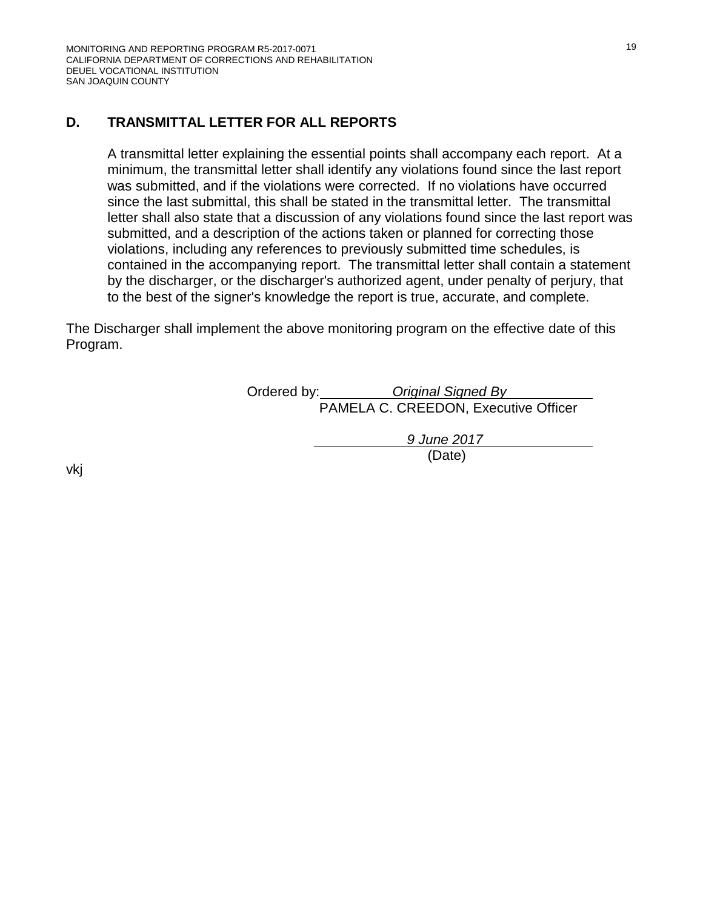# **D. TRANSMITTAL LETTER FOR ALL REPORTS**

A transmittal letter explaining the essential points shall accompany each report. At a minimum, the transmittal letter shall identify any violations found since the last report was submitted, and if the violations were corrected. If no violations have occurred since the last submittal, this shall be stated in the transmittal letter. The transmittal letter shall also state that a discussion of any violations found since the last report was submitted, and a description of the actions taken or planned for correcting those violations, including any references to previously submitted time schedules, is contained in the accompanying report. The transmittal letter shall contain a statement by the discharger, or the discharger's authorized agent, under penalty of perjury, that to the best of the signer's knowledge the report is true, accurate, and complete.

The Discharger shall implement the above monitoring program on the effective date of this Program.

| Ordered by: | Original Signed By                   |
|-------------|--------------------------------------|
|             | PAMELA C. CREEDON, Executive Officer |

*9 June 2017* (Date)

vkj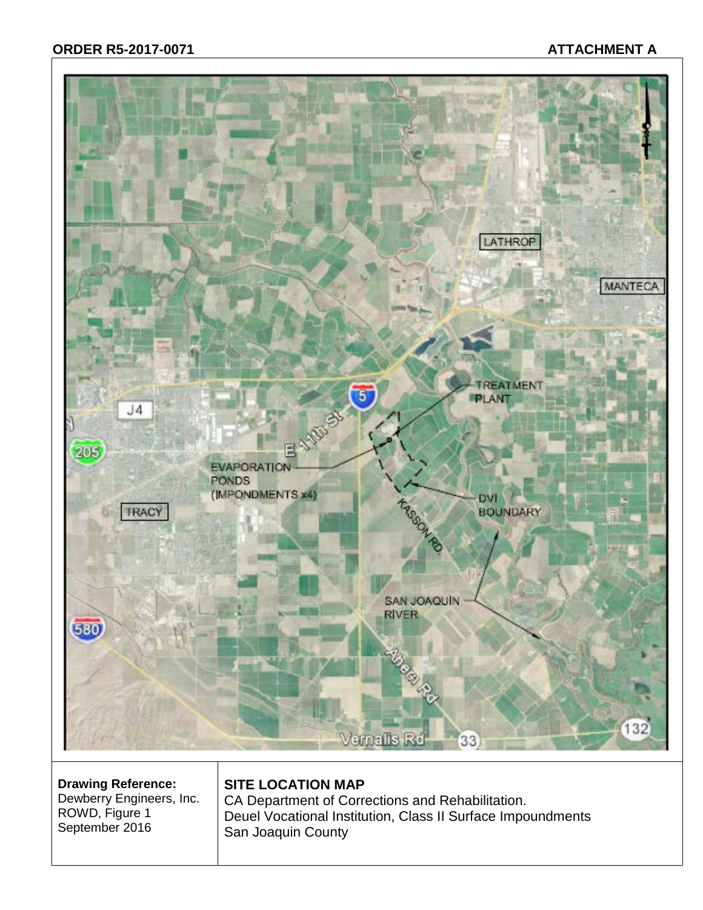# **ORDER R5-2017-0071 ATTACHMENT A**



**Drawing Reference:** Dewberry Engineers, Inc. ROWD, Figure 1 September 2016

# **SITE LOCATION MAP**

CA Department of Corrections and Rehabilitation. Deuel Vocational Institution, Class II Surface Impoundments San Joaquin County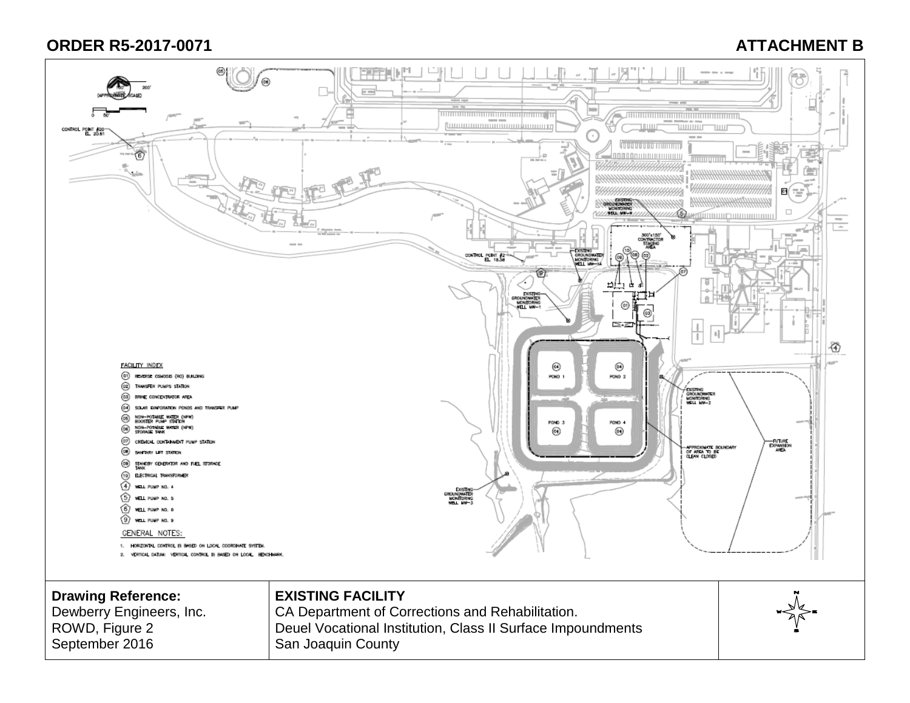# **ORDER R5-2017-0071 ATTACHMENT B**

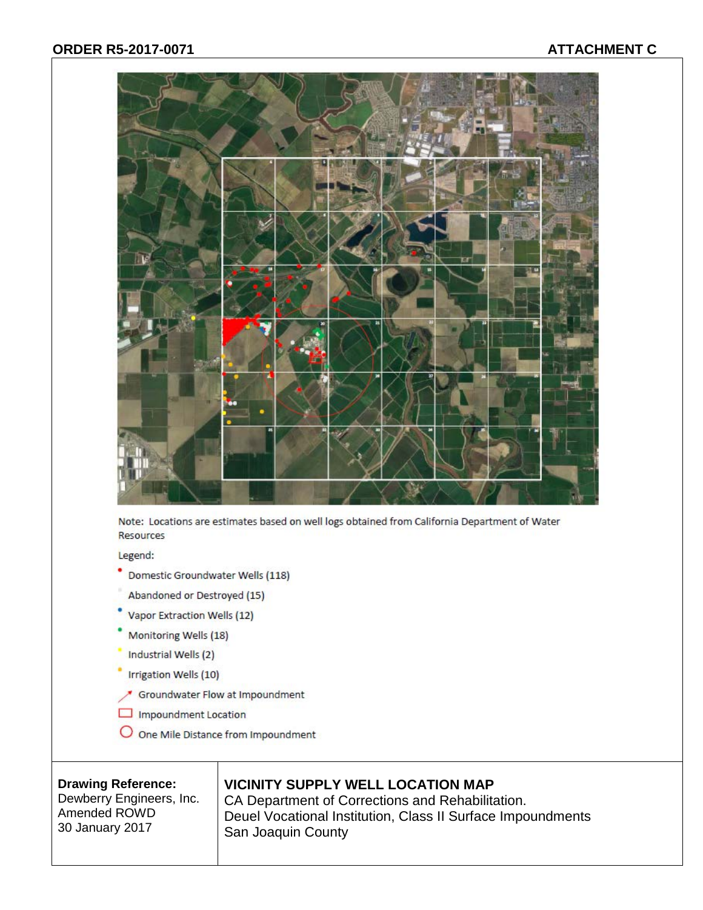

Note: Locations are estimates based on well logs obtained from California Department of Water **Resources** 

Legend:

- Domestic Groundwater Wells (118)
- Abandoned or Destroyed (15)
- Vapor Extraction Wells (12)
- Monitoring Wells (18)
- Industrial Wells (2)
- Irrigation Wells (10)
- Groundwater Flow at Impoundment
- Impoundment Location
- O One Mile Distance from Impoundment

### **Drawing Reference:**

Dewberry Engineers, Inc. Amended ROWD 30 January 2017

# **VICINITY SUPPLY WELL LOCATION MAP**

CA Department of Corrections and Rehabilitation. Deuel Vocational Institution, Class II Surface Impoundments San Joaquin County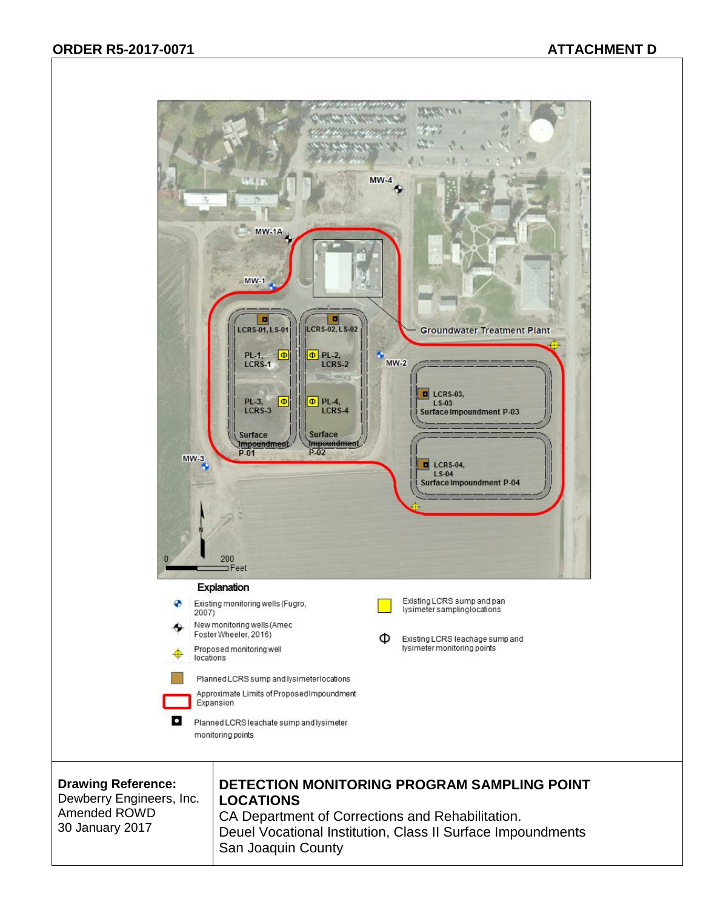

Dewberry Engineers, Inc. Amended ROWD 30 January 2017

# **LOCATIONS**

CA Department of Corrections and Rehabilitation. Deuel Vocational Institution, Class II Surface Impoundments San Joaquin County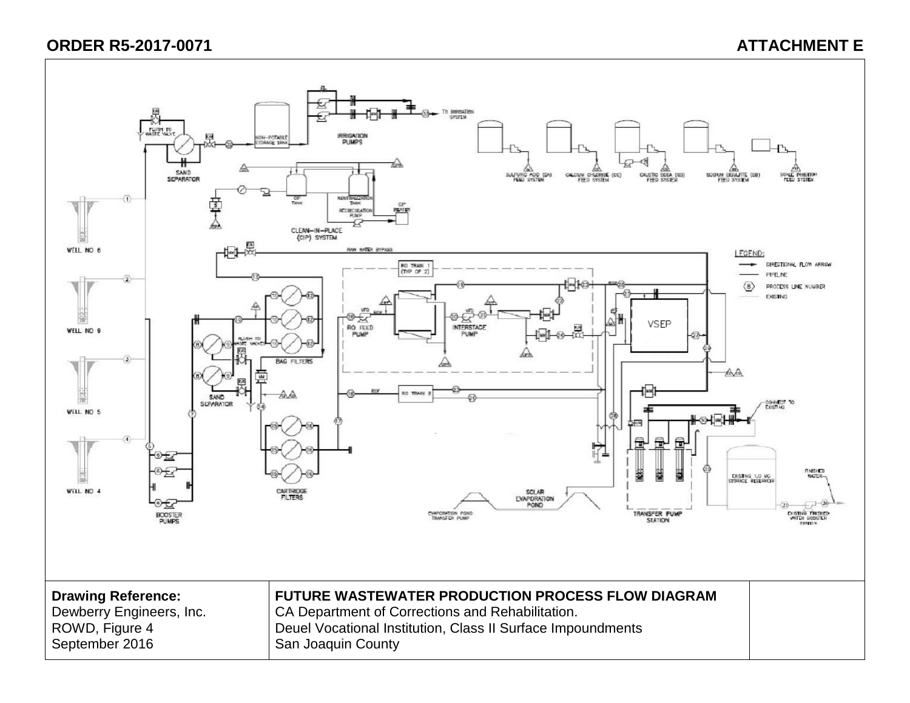# **ORDER R5-2017-0071 ATTACHMENT E**

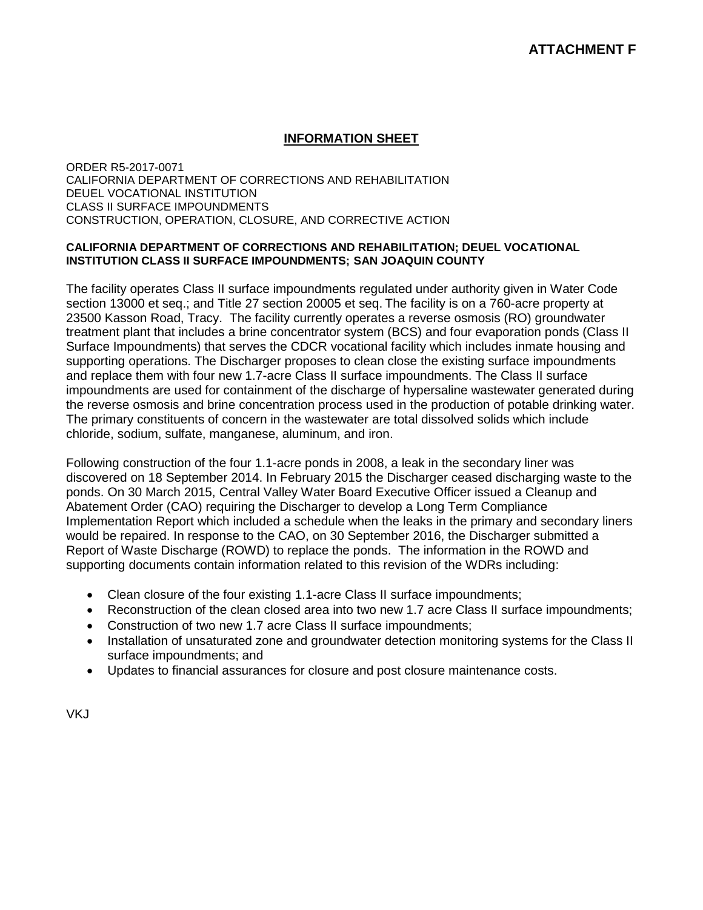### **INFORMATION SHEET**

ORDER R5-2017-0071 CALIFORNIA DEPARTMENT OF CORRECTIONS AND REHABILITATION DEUEL VOCATIONAL INSTITUTION CLASS II SURFACE IMPOUNDMENTS CONSTRUCTION, OPERATION, CLOSURE, AND CORRECTIVE ACTION

#### **CALIFORNIA DEPARTMENT OF CORRECTIONS AND REHABILITATION; DEUEL VOCATIONAL INSTITUTION CLASS II SURFACE IMPOUNDMENTS; SAN JOAQUIN COUNTY**

The facility operates Class II surface impoundments regulated under authority given in Water Code section 13000 et seq.; and Title 27 section 20005 et seq. The facility is on a 760-acre property at 23500 Kasson Road, Tracy. The facility currently operates a reverse osmosis (RO) groundwater treatment plant that includes a brine concentrator system (BCS) and four evaporation ponds (Class II Surface Impoundments) that serves the CDCR vocational facility which includes inmate housing and supporting operations. The Discharger proposes to clean close the existing surface impoundments and replace them with four new 1.7-acre Class II surface impoundments. The Class II surface impoundments are used for containment of the discharge of hypersaline wastewater generated during the reverse osmosis and brine concentration process used in the production of potable drinking water. The primary constituents of concern in the wastewater are total dissolved solids which include chloride, sodium, sulfate, manganese, aluminum, and iron.

Following construction of the four 1.1-acre ponds in 2008, a leak in the secondary liner was discovered on 18 September 2014. In February 2015 the Discharger ceased discharging waste to the ponds. On 30 March 2015, Central Valley Water Board Executive Officer issued a Cleanup and Abatement Order (CAO) requiring the Discharger to develop a Long Term Compliance Implementation Report which included a schedule when the leaks in the primary and secondary liners would be repaired. In response to the CAO, on 30 September 2016, the Discharger submitted a Report of Waste Discharge (ROWD) to replace the ponds. The information in the ROWD and supporting documents contain information related to this revision of the WDRs including:

- Clean closure of the four existing 1.1-acre Class II surface impoundments;
- Reconstruction of the clean closed area into two new 1.7 acre Class II surface impoundments:
- Construction of two new 1.7 acre Class II surface impoundments;
- Installation of unsaturated zone and groundwater detection monitoring systems for the Class II surface impoundments; and
- Updates to financial assurances for closure and post closure maintenance costs.

VKJ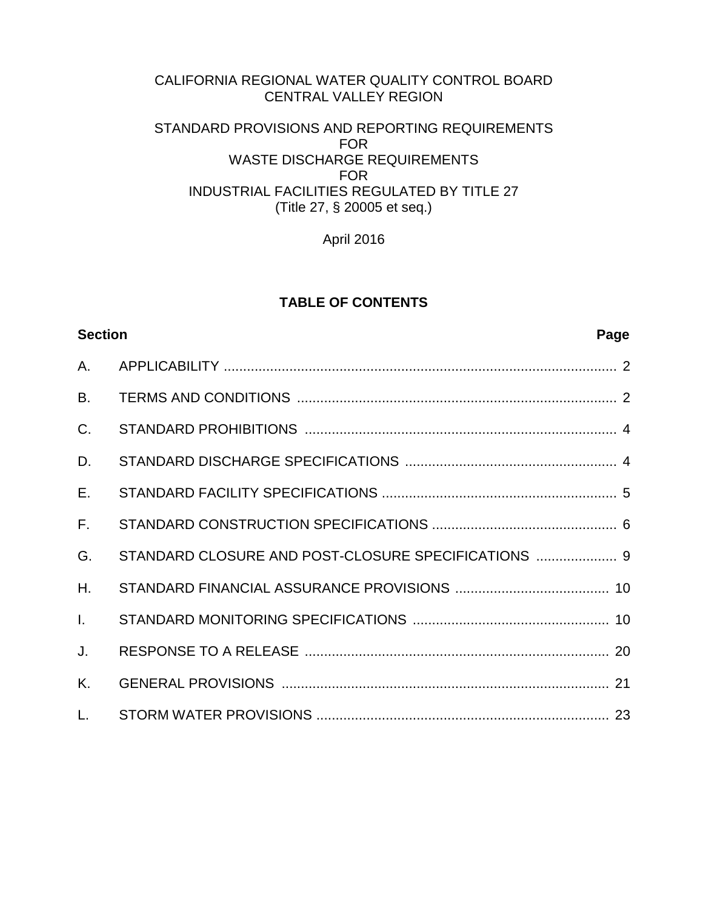# CALIFORNIA REGIONAL WATER QUALITY CONTROL BOARD CENTRAL VALLEY REGION STANDARD PROVISIONS AND REPORTING REQUIREMENTS

## FOR WASTE DISCHARGE REQUIREMENTS FOR INDUSTRIAL FACILITIES REGULATED BY TITLE 27 (Title 27, § 20005 et seq.)

April 2016

# **TABLE OF CONTENTS**

<span id="page-51-0"></span>

| <b>Section</b> | Page                                                |  |
|----------------|-----------------------------------------------------|--|
| A.             |                                                     |  |
| <b>B.</b>      |                                                     |  |
| C.             |                                                     |  |
| D.             |                                                     |  |
| E.             |                                                     |  |
| $F_{\rm{H}}$   |                                                     |  |
| G.             | STANDARD CLOSURE AND POST-CLOSURE SPECIFICATIONS  9 |  |
| H.             |                                                     |  |
| $\mathbf{L}$   |                                                     |  |
| J.             |                                                     |  |
| K.             |                                                     |  |
| L.             |                                                     |  |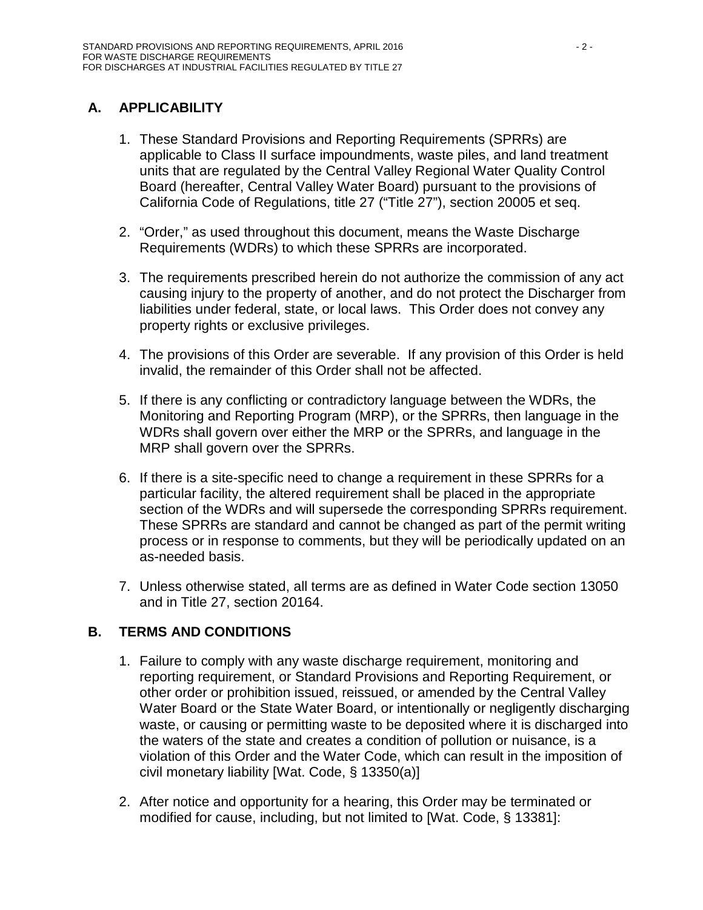# **A. APPLICABILITY**

- 1. These Standard Provisions and Reporting Requirements (SPRRs) are applicable to Class II surface impoundments, waste piles, and land treatment units that are regulated by the Central Valley Regional Water Quality Control Board (hereafter, Central Valley Water Board) pursuant to the provisions of California Code of Regulations, title 27 ("Title 27"), section 20005 et seq.
- 2. "Order," as used throughout this document, means the Waste Discharge Requirements (WDRs) to which these SPRRs are incorporated.
- 3. The requirements prescribed herein do not authorize the commission of any act causing injury to the property of another, and do not protect the Discharger from liabilities under federal, state, or local laws. This Order does not convey any property rights or exclusive privileges.
- 4. The provisions of this Order are severable. If any provision of this Order is held invalid, the remainder of this Order shall not be affected.
- 5. If there is any conflicting or contradictory language between the WDRs, the Monitoring and Reporting Program (MRP), or the SPRRs, then language in the WDRs shall govern over either the MRP or the SPRRs, and language in the MRP shall govern over the SPRRs.
- 6. If there is a site-specific need to change a requirement in these SPRRs for a particular facility, the altered requirement shall be placed in the appropriate section of the WDRs and will supersede the corresponding SPRRs requirement. These SPRRs are standard and cannot be changed as part of the permit writing process or in response to comments, but they will be periodically updated on an as-needed basis.
- 7. Unless otherwise stated, all terms are as defined in Water Code section 13050 and in Title 27, section 20164.

# <span id="page-52-0"></span>**B. TERMS AND CONDITIONS**

- 1. Failure to comply with any waste discharge requirement, monitoring and reporting requirement, or Standard Provisions and Reporting Requirement, or other order or prohibition issued, reissued, or amended by the Central Valley Water Board or the State Water Board, or intentionally or negligently discharging waste, or causing or permitting waste to be deposited where it is discharged into the waters of the state and creates a condition of pollution or nuisance, is a violation of this Order and the Water Code, which can result in the imposition of civil monetary liability [Wat. Code, § 13350(a)]
- 2. After notice and opportunity for a hearing, this Order may be terminated or modified for cause, including, but not limited to [Wat. Code, § 13381]: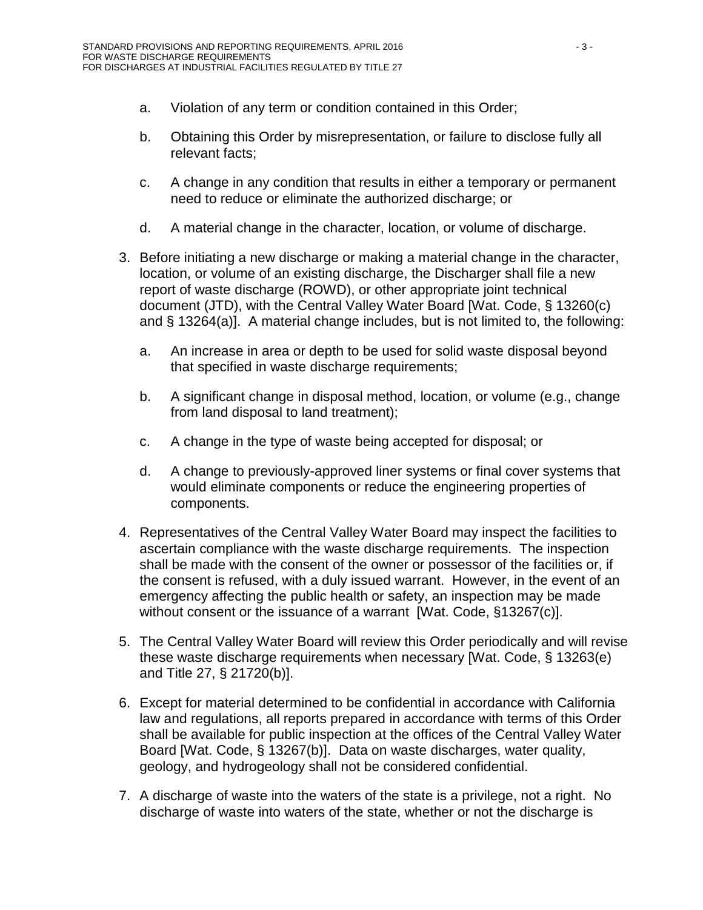- a. Violation of any term or condition contained in this Order;
- b. Obtaining this Order by misrepresentation, or failure to disclose fully all relevant facts;
- c. A change in any condition that results in either a temporary or permanent need to reduce or eliminate the authorized discharge; or
- d. A material change in the character, location, or volume of discharge.
- 3. Before initiating a new discharge or making a material change in the character, location, or volume of an existing discharge, the Discharger shall file a new report of waste discharge (ROWD), or other appropriate joint technical document (JTD), with the Central Valley Water Board [Wat. Code, § 13260(c) and § 13264(a)]. A material change includes, but is not limited to, the following:
	- a. An increase in area or depth to be used for solid waste disposal beyond that specified in waste discharge requirements;
	- b. A significant change in disposal method, location, or volume (e.g., change from land disposal to land treatment);
	- c. A change in the type of waste being accepted for disposal; or
	- d. A change to previously-approved liner systems or final cover systems that would eliminate components or reduce the engineering properties of components.
- 4. Representatives of the Central Valley Water Board may inspect the facilities to ascertain compliance with the waste discharge requirements. The inspection shall be made with the consent of the owner or possessor of the facilities or, if the consent is refused, with a duly issued warrant. However, in the event of an emergency affecting the public health or safety, an inspection may be made without consent or the issuance of a warrant [Wat. Code, §13267(c)].
- 5. The Central Valley Water Board will review this Order periodically and will revise these waste discharge requirements when necessary [Wat. Code, § 13263(e) and Title 27, § 21720(b)].
- 6. Except for material determined to be confidential in accordance with California law and regulations, all reports prepared in accordance with terms of this Order shall be available for public inspection at the offices of the Central Valley Water Board [Wat. Code, § 13267(b)]. Data on waste discharges, water quality, geology, and hydrogeology shall not be considered confidential.
- 7. A discharge of waste into the waters of the state is a privilege, not a right. No discharge of waste into waters of the state, whether or not the discharge is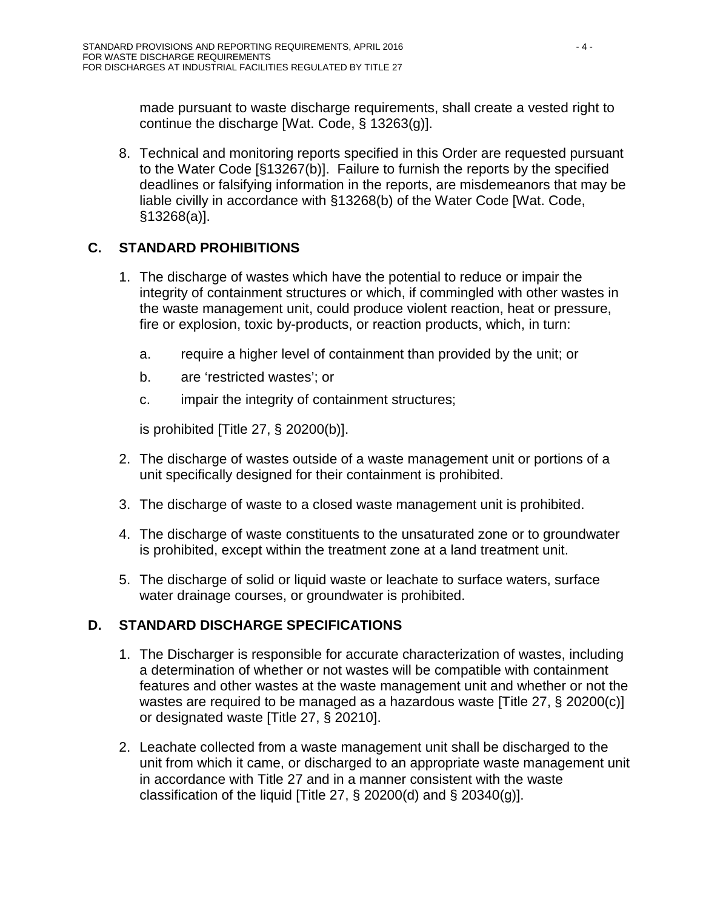made pursuant to waste discharge requirements, shall create a vested right to continue the discharge [Wat. Code, § 13263(g)].

8. Technical and monitoring reports specified in this Order are requested pursuant to the Water Code [§13267(b)]. Failure to furnish the reports by the specified deadlines or falsifying information in the reports, are misdemeanors that may be liable civilly in accordance with §13268(b) of the Water Code [Wat. Code, §13268(a)].

# <span id="page-54-0"></span>**C. STANDARD PROHIBITIONS**

- 1. The discharge of wastes which have the potential to reduce or impair the integrity of containment structures or which, if commingled with other wastes in the waste management unit, could produce violent reaction, heat or pressure, fire or explosion, toxic by-products, or reaction products, which, in turn:
	- a. require a higher level of containment than provided by the unit; or
	- b. are 'restricted wastes'; or
	- c. impair the integrity of containment structures;

is prohibited [Title 27, § 20200(b)].

- 2. The discharge of wastes outside of a waste management unit or portions of a unit specifically designed for their containment is prohibited.
- 3. The discharge of waste to a closed waste management unit is prohibited.
- 4. The discharge of waste constituents to the unsaturated zone or to groundwater is prohibited, except within the treatment zone at a land treatment unit.
- 5. The discharge of solid or liquid waste or leachate to surface waters, surface water drainage courses, or groundwater is prohibited.

# <span id="page-54-1"></span>**D. STANDARD DISCHARGE SPECIFICATIONS**

- 1. The Discharger is responsible for accurate characterization of wastes, including a determination of whether or not wastes will be compatible with containment features and other wastes at the waste management unit and whether or not the wastes are required to be managed as a hazardous waste [Title 27, § 20200(c)] or designated waste [Title 27, § 20210].
- 2. Leachate collected from a waste management unit shall be discharged to the unit from which it came, or discharged to an appropriate waste management unit in accordance with Title 27 and in a manner consistent with the waste classification of the liquid [Title 27,  $\S$  20200(d) and  $\S$  20340(g)].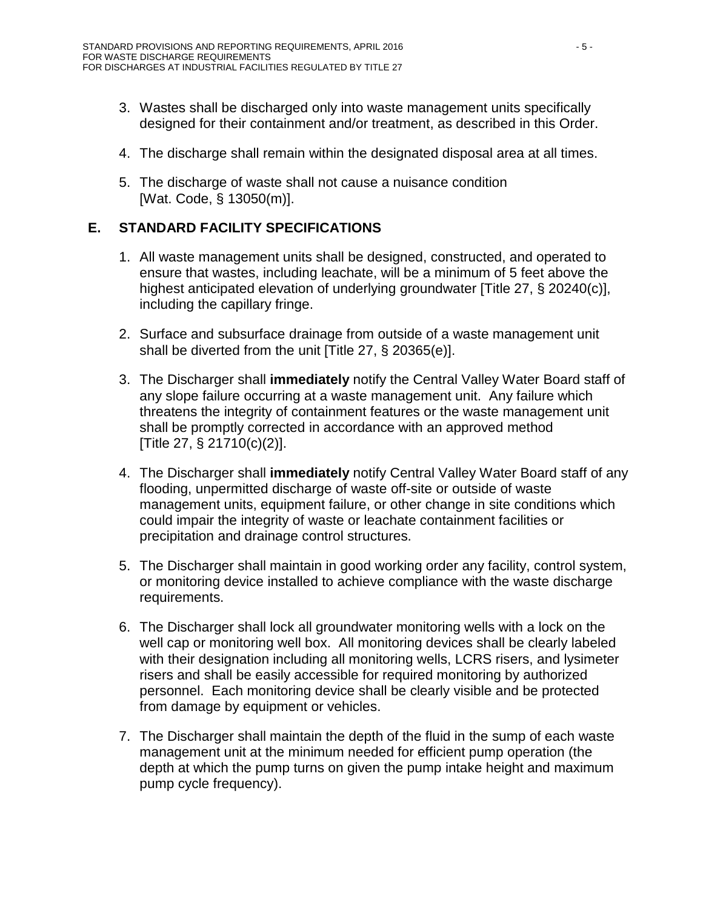- 3. Wastes shall be discharged only into waste management units specifically designed for their containment and/or treatment, as described in this Order.
- 4. The discharge shall remain within the designated disposal area at all times.
- 5. The discharge of waste shall not cause a nuisance condition [Wat. Code, § 13050(m)].

# <span id="page-55-0"></span>**E. STANDARD FACILITY SPECIFICATIONS**

- 1. All waste management units shall be designed, constructed, and operated to ensure that wastes, including leachate, will be a minimum of 5 feet above the highest anticipated elevation of underlying groundwater [Title 27, § 20240(c)], including the capillary fringe.
- 2. Surface and subsurface drainage from outside of a waste management unit shall be diverted from the unit [Title 27, § 20365(e)].
- 3. The Discharger shall **immediately** notify the Central Valley Water Board staff of any slope failure occurring at a waste management unit. Any failure which threatens the integrity of containment features or the waste management unit shall be promptly corrected in accordance with an approved method [Title 27, § 21710(c)(2)].
- 4. The Discharger shall **immediately** notify Central Valley Water Board staff of any flooding, unpermitted discharge of waste off-site or outside of waste management units, equipment failure, or other change in site conditions which could impair the integrity of waste or leachate containment facilities or precipitation and drainage control structures.
- 5. The Discharger shall maintain in good working order any facility, control system, or monitoring device installed to achieve compliance with the waste discharge requirements.
- 6. The Discharger shall lock all groundwater monitoring wells with a lock on the well cap or monitoring well box. All monitoring devices shall be clearly labeled with their designation including all monitoring wells, LCRS risers, and lysimeter risers and shall be easily accessible for required monitoring by authorized personnel. Each monitoring device shall be clearly visible and be protected from damage by equipment or vehicles.
- 7. The Discharger shall maintain the depth of the fluid in the sump of each waste management unit at the minimum needed for efficient pump operation (the depth at which the pump turns on given the pump intake height and maximum pump cycle frequency).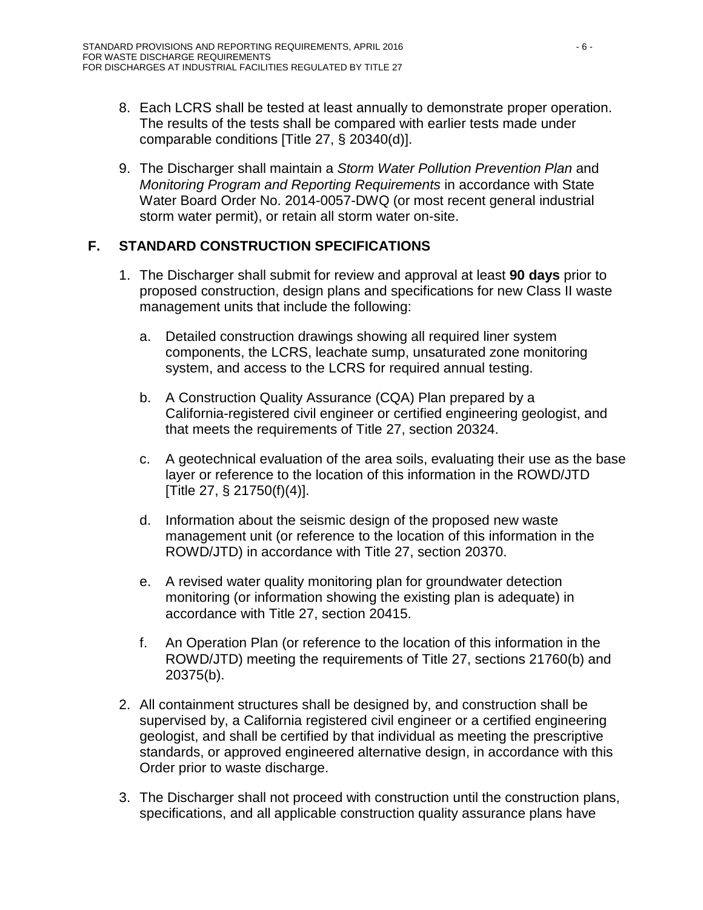- 8. Each LCRS shall be tested at least annually to demonstrate proper operation. The results of the tests shall be compared with earlier tests made under comparable conditions [Title 27, § 20340(d)].
- 9. The Discharger shall maintain a *Storm Water Pollution Prevention Plan* and *Monitoring Program and Reporting Requirements* in accordance with State Water Board Order No. 2014-0057-DWQ (or most recent general industrial storm water permit), or retain all storm water on-site.

# <span id="page-56-0"></span>**F. STANDARD CONSTRUCTION SPECIFICATIONS**

- 1. The Discharger shall submit for review and approval at least **90 days** prior to proposed construction, design plans and specifications for new Class II waste management units that include the following:
	- a. Detailed construction drawings showing all required liner system components, the LCRS, leachate sump, unsaturated zone monitoring system, and access to the LCRS for required annual testing.
	- b. A Construction Quality Assurance (CQA) Plan prepared by a California-registered civil engineer or certified engineering geologist, and that meets the requirements of Title 27, section 20324.
	- c. A geotechnical evaluation of the area soils, evaluating their use as the base layer or reference to the location of this information in the ROWD/JTD [Title 27, § 21750(f)(4)].
	- d. Information about the seismic design of the proposed new waste management unit (or reference to the location of this information in the ROWD/JTD) in accordance with Title 27, section 20370.
	- e. A revised water quality monitoring plan for groundwater detection monitoring (or information showing the existing plan is adequate) in accordance with Title 27, section 20415.
	- f. An Operation Plan (or reference to the location of this information in the ROWD/JTD) meeting the requirements of Title 27, sections 21760(b) and 20375(b).
- 2. All containment structures shall be designed by, and construction shall be supervised by, a California registered civil engineer or a certified engineering geologist, and shall be certified by that individual as meeting the prescriptive standards, or approved engineered alternative design, in accordance with this Order prior to waste discharge.
- 3. The Discharger shall not proceed with construction until the construction plans, specifications, and all applicable construction quality assurance plans have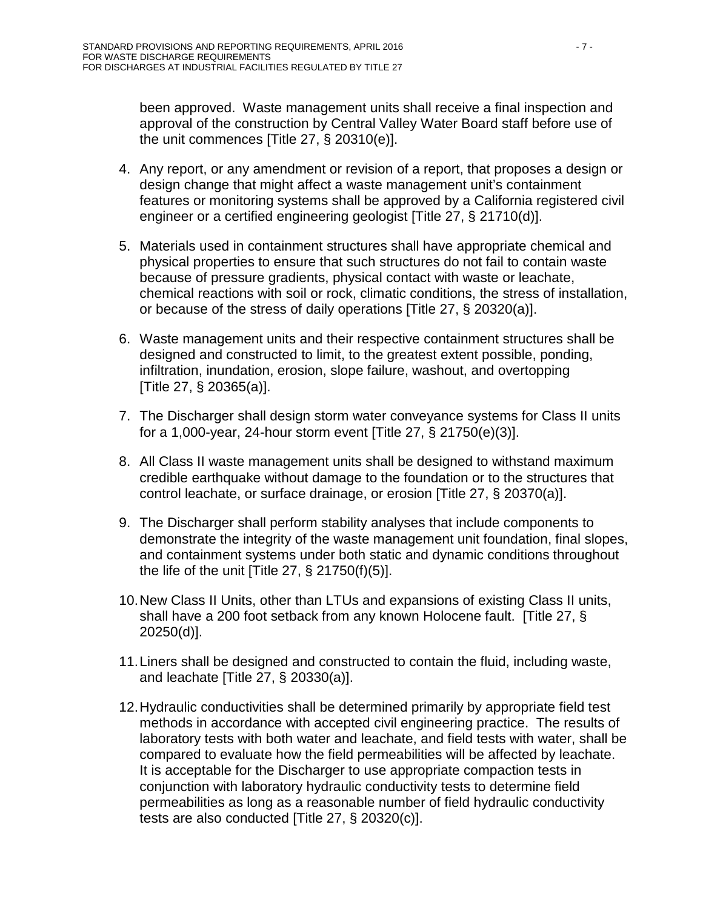been approved. Waste management units shall receive a final inspection and approval of the construction by Central Valley Water Board staff before use of the unit commences [Title 27, § 20310(e)].

- 4. Any report, or any amendment or revision of a report, that proposes a design or design change that might affect a waste management unit's containment features or monitoring systems shall be approved by a California registered civil engineer or a certified engineering geologist [Title 27, § 21710(d)].
- 5. Materials used in containment structures shall have appropriate chemical and physical properties to ensure that such structures do not fail to contain waste because of pressure gradients, physical contact with waste or leachate, chemical reactions with soil or rock, climatic conditions, the stress of installation, or because of the stress of daily operations [Title 27, § 20320(a)].
- 6. Waste management units and their respective containment structures shall be designed and constructed to limit, to the greatest extent possible, ponding, infiltration, inundation, erosion, slope failure, washout, and overtopping [Title 27, § 20365(a)].
- 7. The Discharger shall design storm water conveyance systems for Class II units for a 1,000-year, 24-hour storm event [Title 27, § 21750(e)(3)].
- 8. All Class II waste management units shall be designed to withstand maximum credible earthquake without damage to the foundation or to the structures that control leachate, or surface drainage, or erosion [Title 27, § 20370(a)].
- 9. The Discharger shall perform stability analyses that include components to demonstrate the integrity of the waste management unit foundation, final slopes, and containment systems under both static and dynamic conditions throughout the life of the unit  $[T$ itle 27, § 21750(f)(5)].
- 10.New Class II Units, other than LTUs and expansions of existing Class II units, shall have a 200 foot setback from any known Holocene fault. [Title 27, § 20250(d)].
- 11.Liners shall be designed and constructed to contain the fluid, including waste, and leachate [Title 27, § 20330(a)].
- 12.Hydraulic conductivities shall be determined primarily by appropriate field test methods in accordance with accepted civil engineering practice. The results of laboratory tests with both water and leachate, and field tests with water, shall be compared to evaluate how the field permeabilities will be affected by leachate. It is acceptable for the Discharger to use appropriate compaction tests in conjunction with laboratory hydraulic conductivity tests to determine field permeabilities as long as a reasonable number of field hydraulic conductivity tests are also conducted [Title 27, § 20320(c)].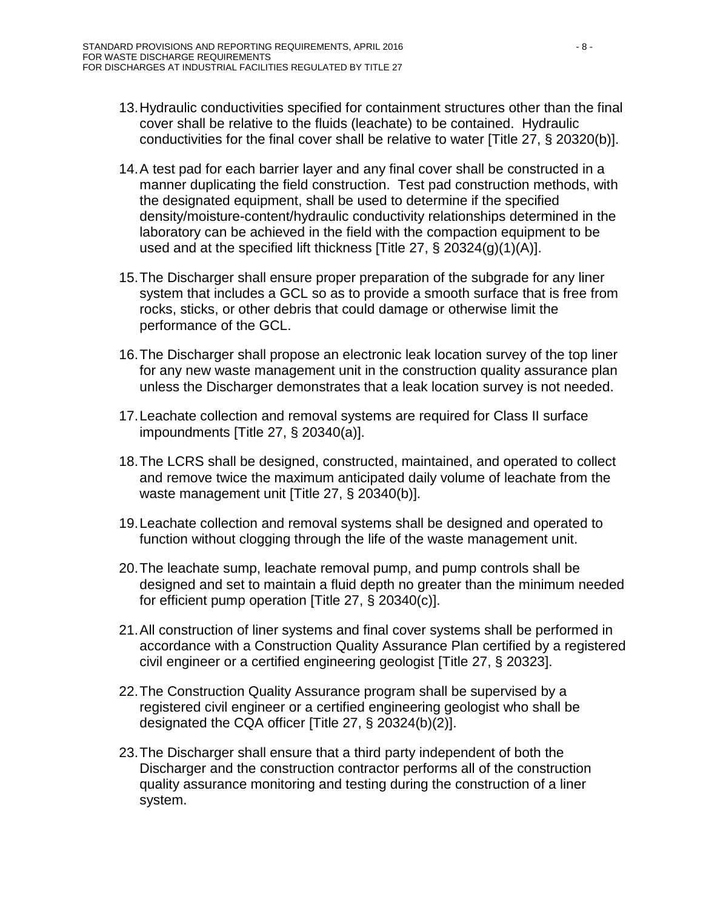- 13.Hydraulic conductivities specified for containment structures other than the final cover shall be relative to the fluids (leachate) to be contained. Hydraulic conductivities for the final cover shall be relative to water [Title 27, § 20320(b)].
- 14.A test pad for each barrier layer and any final cover shall be constructed in a manner duplicating the field construction. Test pad construction methods, with the designated equipment, shall be used to determine if the specified density/moisture-content/hydraulic conductivity relationships determined in the laboratory can be achieved in the field with the compaction equipment to be used and at the specified lift thickness [Title 27, § 20324(g)(1)(A)].
- 15.The Discharger shall ensure proper preparation of the subgrade for any liner system that includes a GCL so as to provide a smooth surface that is free from rocks, sticks, or other debris that could damage or otherwise limit the performance of the GCL.
- 16.The Discharger shall propose an electronic leak location survey of the top liner for any new waste management unit in the construction quality assurance plan unless the Discharger demonstrates that a leak location survey is not needed.
- 17.Leachate collection and removal systems are required for Class II surface impoundments [Title 27, § 20340(a)].
- 18.The LCRS shall be designed, constructed, maintained, and operated to collect and remove twice the maximum anticipated daily volume of leachate from the waste management unit [Title 27, § 20340(b)].
- 19.Leachate collection and removal systems shall be designed and operated to function without clogging through the life of the waste management unit.
- 20.The leachate sump, leachate removal pump, and pump controls shall be designed and set to maintain a fluid depth no greater than the minimum needed for efficient pump operation [Title 27, § 20340(c)].
- 21.All construction of liner systems and final cover systems shall be performed in accordance with a Construction Quality Assurance Plan certified by a registered civil engineer or a certified engineering geologist [Title 27, § 20323].
- 22.The Construction Quality Assurance program shall be supervised by a registered civil engineer or a certified engineering geologist who shall be designated the CQA officer [Title 27, § 20324(b)(2)].
- 23.The Discharger shall ensure that a third party independent of both the Discharger and the construction contractor performs all of the construction quality assurance monitoring and testing during the construction of a liner system.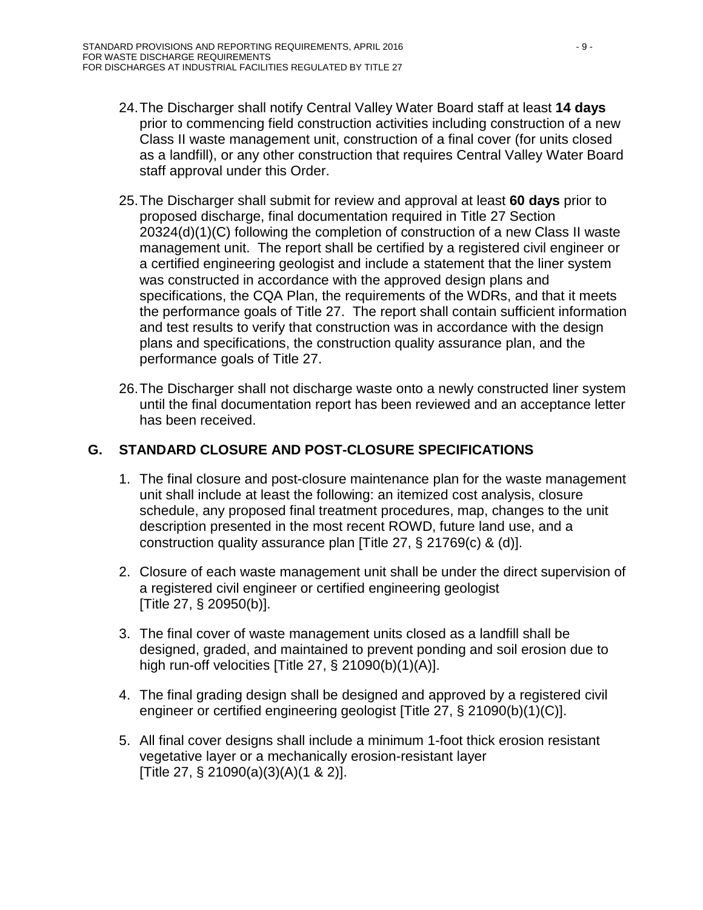- 24.The Discharger shall notify Central Valley Water Board staff at least **14 days** prior to commencing field construction activities including construction of a new Class II waste management unit, construction of a final cover (for units closed as a landfill), or any other construction that requires Central Valley Water Board staff approval under this Order.
- 25.The Discharger shall submit for review and approval at least **60 days** prior to proposed discharge, final documentation required in Title 27 Section 20324(d)(1)(C) following the completion of construction of a new Class II waste management unit. The report shall be certified by a registered civil engineer or a certified engineering geologist and include a statement that the liner system was constructed in accordance with the approved design plans and specifications, the CQA Plan, the requirements of the WDRs, and that it meets the performance goals of Title 27. The report shall contain sufficient information and test results to verify that construction was in accordance with the design plans and specifications, the construction quality assurance plan, and the performance goals of Title 27.
- 26.The Discharger shall not discharge waste onto a newly constructed liner system until the final documentation report has been reviewed and an acceptance letter has been received.

# <span id="page-59-0"></span>**G. STANDARD CLOSURE AND POST-CLOSURE SPECIFICATIONS**

- 1. The final closure and post-closure maintenance plan for the waste management unit shall include at least the following: an itemized cost analysis, closure schedule, any proposed final treatment procedures, map, changes to the unit description presented in the most recent ROWD, future land use, and a construction quality assurance plan [Title 27, § 21769(c) & (d)].
- 2. Closure of each waste management unit shall be under the direct supervision of a registered civil engineer or certified engineering geologist [Title 27, § 20950(b)].
- 3. The final cover of waste management units closed as a landfill shall be designed, graded, and maintained to prevent ponding and soil erosion due to high run-off velocities [Title 27, § 21090(b)(1)(A)].
- 4. The final grading design shall be designed and approved by a registered civil engineer or certified engineering geologist [Title 27, § 21090(b)(1)(C)].
- 5. All final cover designs shall include a minimum 1-foot thick erosion resistant vegetative layer or a mechanically erosion-resistant layer [Title 27, § 21090(a)(3)(A)(1 & 2)].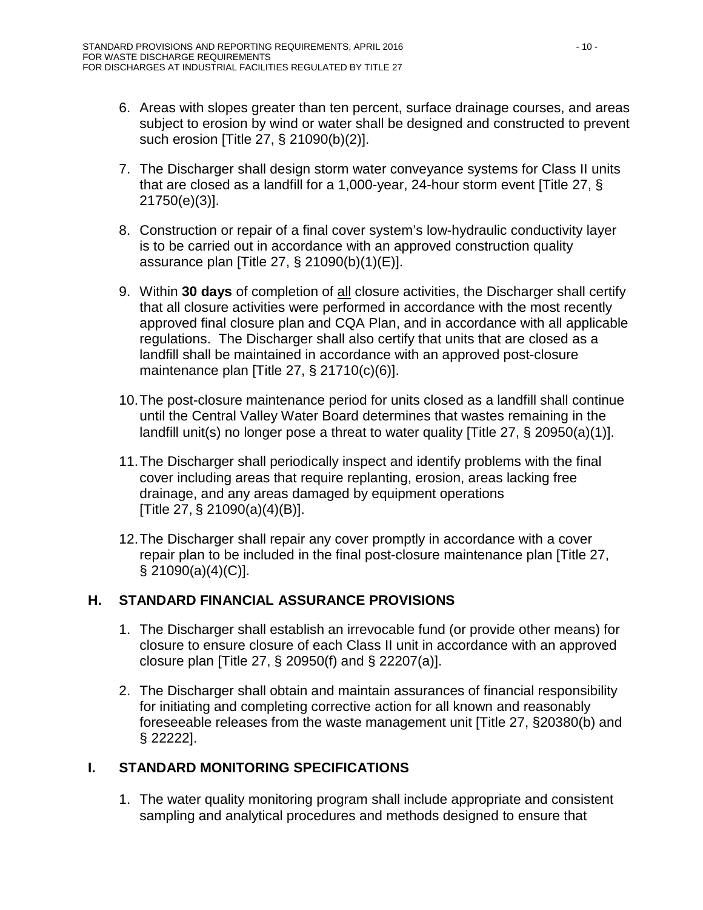- 6. Areas with slopes greater than ten percent, surface drainage courses, and areas subject to erosion by wind or water shall be designed and constructed to prevent such erosion [Title 27, § 21090(b)(2)].
- 7. The Discharger shall design storm water conveyance systems for Class II units that are closed as a landfill for a 1,000-year, 24-hour storm event [Title 27, § 21750(e)(3)].
- 8. Construction or repair of a final cover system's low-hydraulic conductivity layer is to be carried out in accordance with an approved construction quality assurance plan [Title 27, § 21090(b)(1)(E)].
- 9. Within **30 days** of completion of all closure activities, the Discharger shall certify that all closure activities were performed in accordance with the most recently approved final closure plan and CQA Plan, and in accordance with all applicable regulations. The Discharger shall also certify that units that are closed as a landfill shall be maintained in accordance with an approved post-closure maintenance plan [Title 27, § 21710(c)(6)].
- 10.The post-closure maintenance period for units closed as a landfill shall continue until the Central Valley Water Board determines that wastes remaining in the landfill unit(s) no longer pose a threat to water quality [Title 27, § 20950(a)(1)].
- 11.The Discharger shall periodically inspect and identify problems with the final cover including areas that require replanting, erosion, areas lacking free drainage, and any areas damaged by equipment operations [Title 27, § 21090(a)(4)(B)].
- 12.The Discharger shall repair any cover promptly in accordance with a cover repair plan to be included in the final post-closure maintenance plan [Title 27,  $\S$  21090(a)(4)(C)].

# <span id="page-60-0"></span>**H. STANDARD FINANCIAL ASSURANCE PROVISIONS**

- 1. The Discharger shall establish an irrevocable fund (or provide other means) for closure to ensure closure of each Class II unit in accordance with an approved closure plan [Title 27, § 20950(f) and § 22207(a)].
- 2. The Discharger shall obtain and maintain assurances of financial responsibility for initiating and completing corrective action for all known and reasonably foreseeable releases from the waste management unit [Title 27, §20380(b) and § 22222].

# <span id="page-60-1"></span>**I. STANDARD MONITORING SPECIFICATIONS**

1. The water quality monitoring program shall include appropriate and consistent sampling and analytical procedures and methods designed to ensure that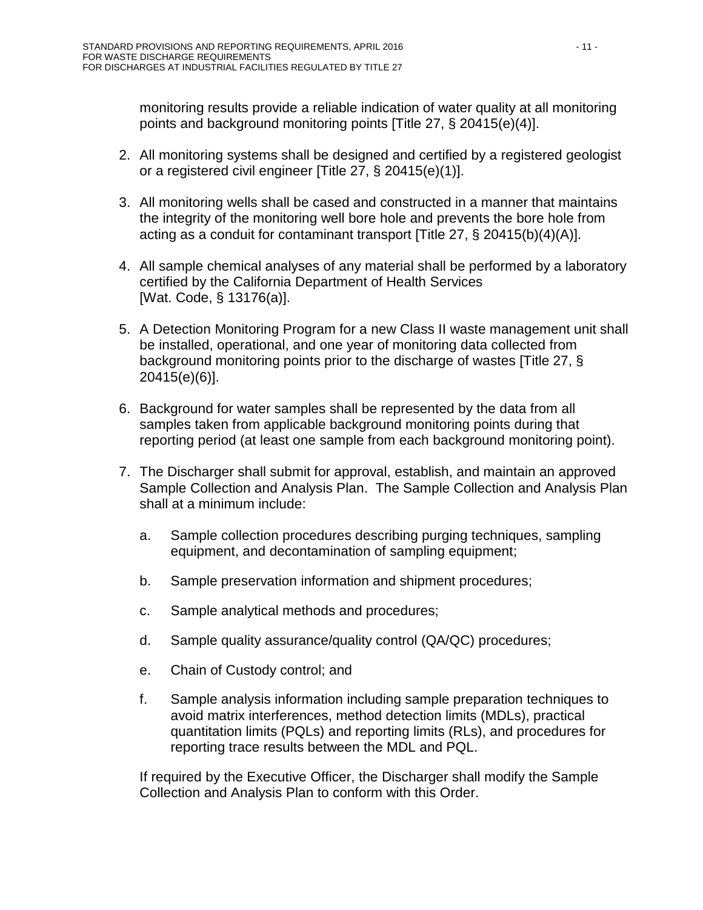monitoring results provide a reliable indication of water quality at all monitoring points and background monitoring points [Title 27, § 20415(e)(4)].

- 2. All monitoring systems shall be designed and certified by a registered geologist or a registered civil engineer [Title 27, § 20415(e)(1)].
- 3. All monitoring wells shall be cased and constructed in a manner that maintains the integrity of the monitoring well bore hole and prevents the bore hole from acting as a conduit for contaminant transport [Title 27, § 20415(b)(4)(A)].
- 4. All sample chemical analyses of any material shall be performed by a laboratory certified by the California Department of Health Services [Wat. Code, § 13176(a)].
- 5. A Detection Monitoring Program for a new Class II waste management unit shall be installed, operational, and one year of monitoring data collected from background monitoring points prior to the discharge of wastes [Title 27, § 20415(e)(6)].
- 6. Background for water samples shall be represented by the data from all samples taken from applicable background monitoring points during that reporting period (at least one sample from each background monitoring point).
- 7. The Discharger shall submit for approval, establish, and maintain an approved Sample Collection and Analysis Plan. The Sample Collection and Analysis Plan shall at a minimum include:
	- a. Sample collection procedures describing purging techniques, sampling equipment, and decontamination of sampling equipment;
	- b. Sample preservation information and shipment procedures;
	- c. Sample analytical methods and procedures;
	- d. Sample quality assurance/quality control (QA/QC) procedures;
	- e. Chain of Custody control; and
	- f. Sample analysis information including sample preparation techniques to avoid matrix interferences, method detection limits (MDLs), practical quantitation limits (PQLs) and reporting limits (RLs), and procedures for reporting trace results between the MDL and PQL.

If required by the Executive Officer, the Discharger shall modify the Sample Collection and Analysis Plan to conform with this Order.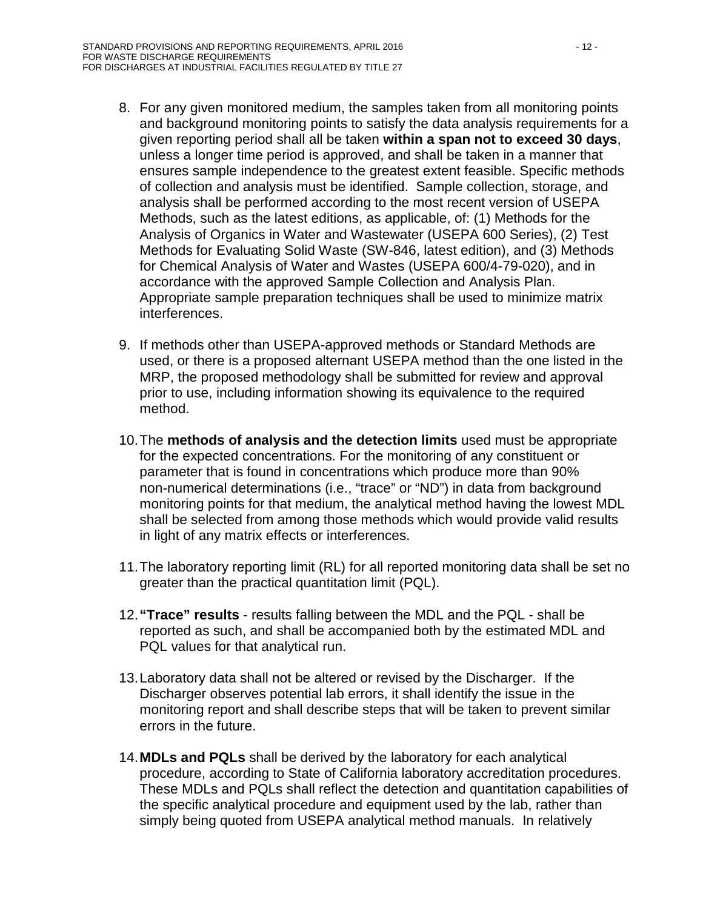- 8. For any given monitored medium, the samples taken from all monitoring points and background monitoring points to satisfy the data analysis requirements for a given reporting period shall all be taken **within a span not to exceed 30 days**, unless a longer time period is approved, and shall be taken in a manner that ensures sample independence to the greatest extent feasible. Specific methods of collection and analysis must be identified. Sample collection, storage, and analysis shall be performed according to the most recent version of USEPA Methods, such as the latest editions, as applicable, of: (1) Methods for the Analysis of Organics in Water and Wastewater (USEPA 600 Series), (2) Test Methods for Evaluating Solid Waste (SW-846, latest edition), and (3) Methods for Chemical Analysis of Water and Wastes (USEPA 600/4-79-020), and in accordance with the approved Sample Collection and Analysis Plan. Appropriate sample preparation techniques shall be used to minimize matrix interferences.
- 9. If methods other than USEPA-approved methods or Standard Methods are used, or there is a proposed alternant USEPA method than the one listed in the MRP, the proposed methodology shall be submitted for review and approval prior to use, including information showing its equivalence to the required method.
- 10.The **methods of analysis and the detection limits** used must be appropriate for the expected concentrations. For the monitoring of any constituent or parameter that is found in concentrations which produce more than 90% non-numerical determinations (i.e., "trace" or "ND") in data from background monitoring points for that medium, the analytical method having the lowest MDL shall be selected from among those methods which would provide valid results in light of any matrix effects or interferences.
- 11.The laboratory reporting limit (RL) for all reported monitoring data shall be set no greater than the practical quantitation limit (PQL).
- 12.**"Trace" results** results falling between the MDL and the PQL shall be reported as such, and shall be accompanied both by the estimated MDL and PQL values for that analytical run.
- 13.Laboratory data shall not be altered or revised by the Discharger. If the Discharger observes potential lab errors, it shall identify the issue in the monitoring report and shall describe steps that will be taken to prevent similar errors in the future.
- 14.**MDLs and PQLs** shall be derived by the laboratory for each analytical procedure, according to State of California laboratory accreditation procedures. These MDLs and PQLs shall reflect the detection and quantitation capabilities of the specific analytical procedure and equipment used by the lab, rather than simply being quoted from USEPA analytical method manuals. In relatively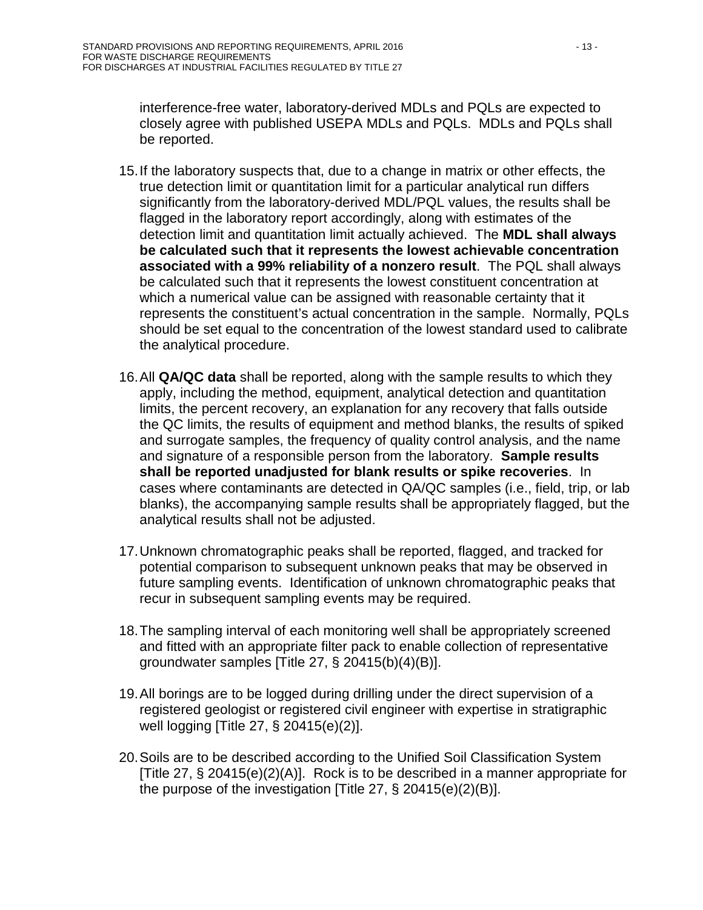interference-free water, laboratory-derived MDLs and PQLs are expected to closely agree with published USEPA MDLs and PQLs. MDLs and PQLs shall be reported.

- 15.If the laboratory suspects that, due to a change in matrix or other effects, the true detection limit or quantitation limit for a particular analytical run differs significantly from the laboratory-derived MDL/PQL values, the results shall be flagged in the laboratory report accordingly, along with estimates of the detection limit and quantitation limit actually achieved. The **MDL shall always be calculated such that it represents the lowest achievable concentration associated with a 99% reliability of a nonzero result**. The PQL shall always be calculated such that it represents the lowest constituent concentration at which a numerical value can be assigned with reasonable certainty that it represents the constituent's actual concentration in the sample. Normally, PQLs should be set equal to the concentration of the lowest standard used to calibrate the analytical procedure.
- 16.All **QA/QC data** shall be reported, along with the sample results to which they apply, including the method, equipment, analytical detection and quantitation limits, the percent recovery, an explanation for any recovery that falls outside the QC limits, the results of equipment and method blanks, the results of spiked and surrogate samples, the frequency of quality control analysis, and the name and signature of a responsible person from the laboratory. **Sample results shall be reported unadjusted for blank results or spike recoveries**. In cases where contaminants are detected in QA/QC samples (i.e., field, trip, or lab blanks), the accompanying sample results shall be appropriately flagged, but the analytical results shall not be adjusted.
- 17.Unknown chromatographic peaks shall be reported, flagged, and tracked for potential comparison to subsequent unknown peaks that may be observed in future sampling events. Identification of unknown chromatographic peaks that recur in subsequent sampling events may be required.
- 18.The sampling interval of each monitoring well shall be appropriately screened and fitted with an appropriate filter pack to enable collection of representative groundwater samples [Title 27, § 20415(b)(4)(B)].
- 19.All borings are to be logged during drilling under the direct supervision of a registered geologist or registered civil engineer with expertise in stratigraphic well logging [Title 27, § 20415(e)(2)].
- 20.Soils are to be described according to the Unified Soil Classification System [Title 27, § 20415(e)(2)(A)]. Rock is to be described in a manner appropriate for the purpose of the investigation [Title 27, § 20415(e)(2)(B)].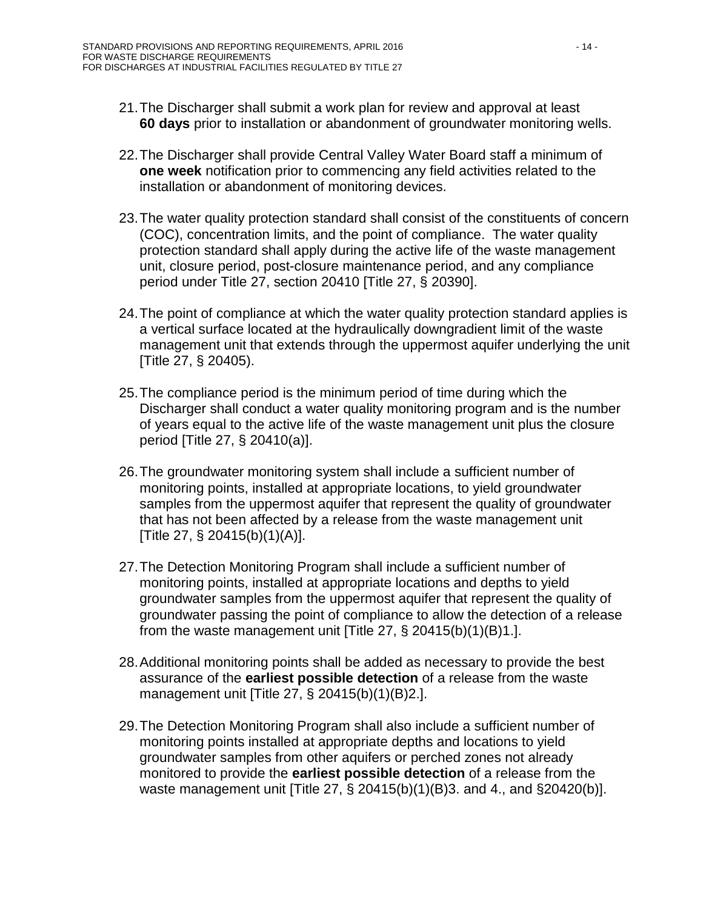- 21.The Discharger shall submit a work plan for review and approval at least **60 days** prior to installation or abandonment of groundwater monitoring wells.
- 22.The Discharger shall provide Central Valley Water Board staff a minimum of **one week** notification prior to commencing any field activities related to the installation or abandonment of monitoring devices.
- 23.The water quality protection standard shall consist of the constituents of concern (COC), concentration limits, and the point of compliance. The water quality protection standard shall apply during the active life of the waste management unit, closure period, post-closure maintenance period, and any compliance period under Title 27, section 20410 [Title 27, § 20390].
- 24.The point of compliance at which the water quality protection standard applies is a vertical surface located at the hydraulically downgradient limit of the waste management unit that extends through the uppermost aquifer underlying the unit [Title 27, § 20405).
- 25.The compliance period is the minimum period of time during which the Discharger shall conduct a water quality monitoring program and is the number of years equal to the active life of the waste management unit plus the closure period [Title 27, § 20410(a)].
- 26.The groundwater monitoring system shall include a sufficient number of monitoring points, installed at appropriate locations, to yield groundwater samples from the uppermost aquifer that represent the quality of groundwater that has not been affected by a release from the waste management unit [Title 27, § 20415(b)(1)(A)].
- 27.The Detection Monitoring Program shall include a sufficient number of monitoring points, installed at appropriate locations and depths to yield groundwater samples from the uppermost aquifer that represent the quality of groundwater passing the point of compliance to allow the detection of a release from the waste management unit [Title 27,  $\S$  20415(b)(1)(B)1.].
- 28.Additional monitoring points shall be added as necessary to provide the best assurance of the **earliest possible detection** of a release from the waste management unit [Title 27, § 20415(b)(1)(B)2.].
- 29.The Detection Monitoring Program shall also include a sufficient number of monitoring points installed at appropriate depths and locations to yield groundwater samples from other aquifers or perched zones not already monitored to provide the **earliest possible detection** of a release from the waste management unit [Title 27, § 20415(b)(1)(B)3. and 4., and §20420(b)].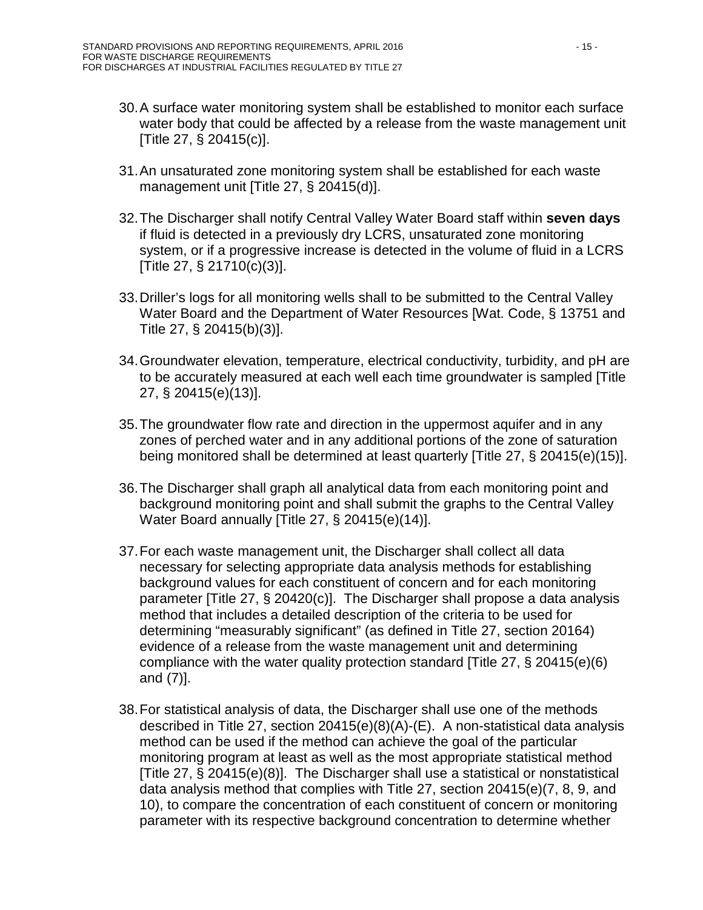- 30.A surface water monitoring system shall be established to monitor each surface water body that could be affected by a release from the waste management unit [Title 27, § 20415(c)].
- 31.An unsaturated zone monitoring system shall be established for each waste management unit [Title 27, § 20415(d)].
- 32.The Discharger shall notify Central Valley Water Board staff within **seven days** if fluid is detected in a previously dry LCRS, unsaturated zone monitoring system, or if a progressive increase is detected in the volume of fluid in a LCRS [Title 27, § 21710(c)(3)].
- 33.Driller's logs for all monitoring wells shall to be submitted to the Central Valley Water Board and the Department of Water Resources [Wat. Code, § 13751 and Title 27, § 20415(b)(3)].
- 34.Groundwater elevation, temperature, electrical conductivity, turbidity, and pH are to be accurately measured at each well each time groundwater is sampled [Title 27, § 20415(e)(13)].
- 35.The groundwater flow rate and direction in the uppermost aquifer and in any zones of perched water and in any additional portions of the zone of saturation being monitored shall be determined at least quarterly [Title 27, § 20415(e)(15)].
- 36.The Discharger shall graph all analytical data from each monitoring point and background monitoring point and shall submit the graphs to the Central Valley Water Board annually [Title 27, § 20415(e)(14)].
- 37.For each waste management unit, the Discharger shall collect all data necessary for selecting appropriate data analysis methods for establishing background values for each constituent of concern and for each monitoring parameter [Title 27, § 20420(c)]. The Discharger shall propose a data analysis method that includes a detailed description of the criteria to be used for determining "measurably significant" (as defined in Title 27, section 20164) evidence of a release from the waste management unit and determining compliance with the water quality protection standard [Title 27, § 20415(e)(6) and (7)].
- 38.For statistical analysis of data, the Discharger shall use one of the methods described in Title 27, section 20415(e)(8)(A)-(E). A non-statistical data analysis method can be used if the method can achieve the goal of the particular monitoring program at least as well as the most appropriate statistical method [Title 27, § 20415(e)(8)]. The Discharger shall use a statistical or nonstatistical data analysis method that complies with Title 27, section 20415(e)(7, 8, 9, and 10), to compare the concentration of each constituent of concern or monitoring parameter with its respective background concentration to determine whether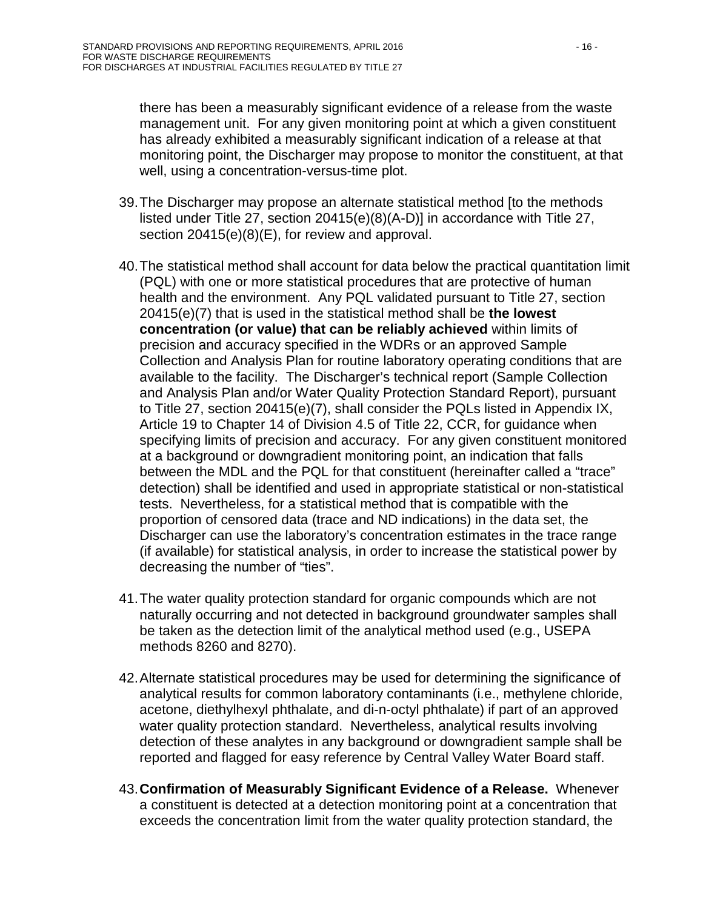there has been a measurably significant evidence of a release from the waste management unit. For any given monitoring point at which a given constituent has already exhibited a measurably significant indication of a release at that monitoring point, the Discharger may propose to monitor the constituent, at that well, using a concentration-versus-time plot.

- 39.The Discharger may propose an alternate statistical method [to the methods listed under Title 27, section 20415(e)(8)(A-D)] in accordance with Title 27, section 20415(e)(8)(E), for review and approval.
- 40.The statistical method shall account for data below the practical quantitation limit (PQL) with one or more statistical procedures that are protective of human health and the environment. Any PQL validated pursuant to Title 27, section 20415(e)(7) that is used in the statistical method shall be **the lowest concentration (or value) that can be reliably achieved** within limits of precision and accuracy specified in the WDRs or an approved Sample Collection and Analysis Plan for routine laboratory operating conditions that are available to the facility. The Discharger's technical report (Sample Collection and Analysis Plan and/or Water Quality Protection Standard Report), pursuant to Title 27, section 20415(e)(7), shall consider the PQLs listed in Appendix IX, Article 19 to Chapter 14 of Division 4.5 of Title 22, CCR, for guidance when specifying limits of precision and accuracy. For any given constituent monitored at a background or downgradient monitoring point, an indication that falls between the MDL and the PQL for that constituent (hereinafter called a "trace" detection) shall be identified and used in appropriate statistical or non-statistical tests. Nevertheless, for a statistical method that is compatible with the proportion of censored data (trace and ND indications) in the data set, the Discharger can use the laboratory's concentration estimates in the trace range (if available) for statistical analysis, in order to increase the statistical power by decreasing the number of "ties".
- 41.The water quality protection standard for organic compounds which are not naturally occurring and not detected in background groundwater samples shall be taken as the detection limit of the analytical method used (e.g., USEPA methods 8260 and 8270).
- 42.Alternate statistical procedures may be used for determining the significance of analytical results for common laboratory contaminants (i.e., methylene chloride, acetone, diethylhexyl phthalate, and di-n-octyl phthalate) if part of an approved water quality protection standard. Nevertheless, analytical results involving detection of these analytes in any background or downgradient sample shall be reported and flagged for easy reference by Central Valley Water Board staff.
- 43.**Confirmation of Measurably Significant Evidence of a Release.** Whenever a constituent is detected at a detection monitoring point at a concentration that exceeds the concentration limit from the water quality protection standard, the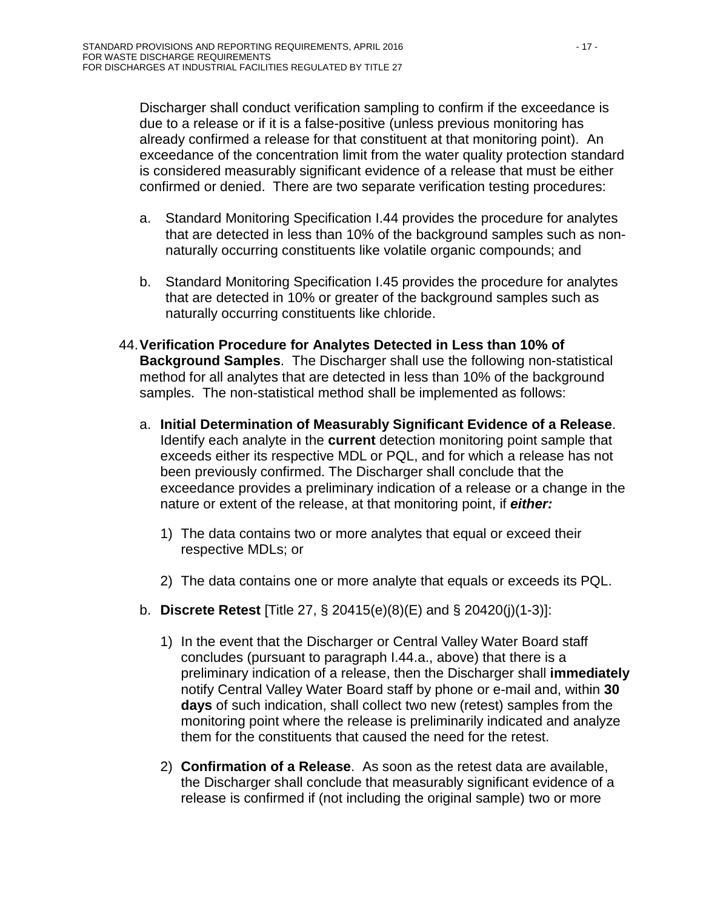Discharger shall conduct verification sampling to confirm if the exceedance is due to a release or if it is a false-positive (unless previous monitoring has already confirmed a release for that constituent at that monitoring point). An exceedance of the concentration limit from the water quality protection standard is considered measurably significant evidence of a release that must be either confirmed or denied. There are two separate verification testing procedures:

- a. Standard Monitoring Specification I[.44](#page-67-0) provides the procedure for analytes that are detected in less than 10% of the background samples such as nonnaturally occurring constituents like volatile organic compounds; and
- b. Standard Monitoring Specification I[.45](#page-68-0) provides the procedure for analytes that are detected in 10% or greater of the background samples such as naturally occurring constituents like chloride.
- <span id="page-67-0"></span>44.**Verification Procedure for Analytes Detected in Less than 10% of Background Samples**.The Discharger shall use the following non-statistical method for all analytes that are detected in less than 10% of the background samples. The non-statistical method shall be implemented as follows:
	- a. **Initial Determination of Measurably Significant Evidence of a Release**. Identify each analyte in the **current** detection monitoring point sample that exceeds either its respective MDL or PQL, and for which a release has not been previously confirmed. The Discharger shall conclude that the exceedance provides a preliminary indication of a release or a change in the nature or extent of the release, at that monitoring point, if *either:*
		- 1) The data contains two or more analytes that equal or exceed their respective MDLs; or
		- 2) The data contains one or more analyte that equals or exceeds its PQL.
	- b. **Discrete Retest** [Title 27, § 20415(e)(8)(E) and § 20420(j)(1-3)]:
		- 1) In the event that the Discharger or Central Valley Water Board staff concludes (pursuant to paragraph I[.44.](#page-67-0)a., above) that there is a preliminary indication of a release, then the Discharger shall **immediately** notify Central Valley Water Board staff by phone or e-mail and, within **30 days** of such indication, shall collect two new (retest) samples from the monitoring point where the release is preliminarily indicated and analyze them for the constituents that caused the need for the retest.
		- 2) **Confirmation of a Release**. As soon as the retest data are available, the Discharger shall conclude that measurably significant evidence of a release is confirmed if (not including the original sample) two or more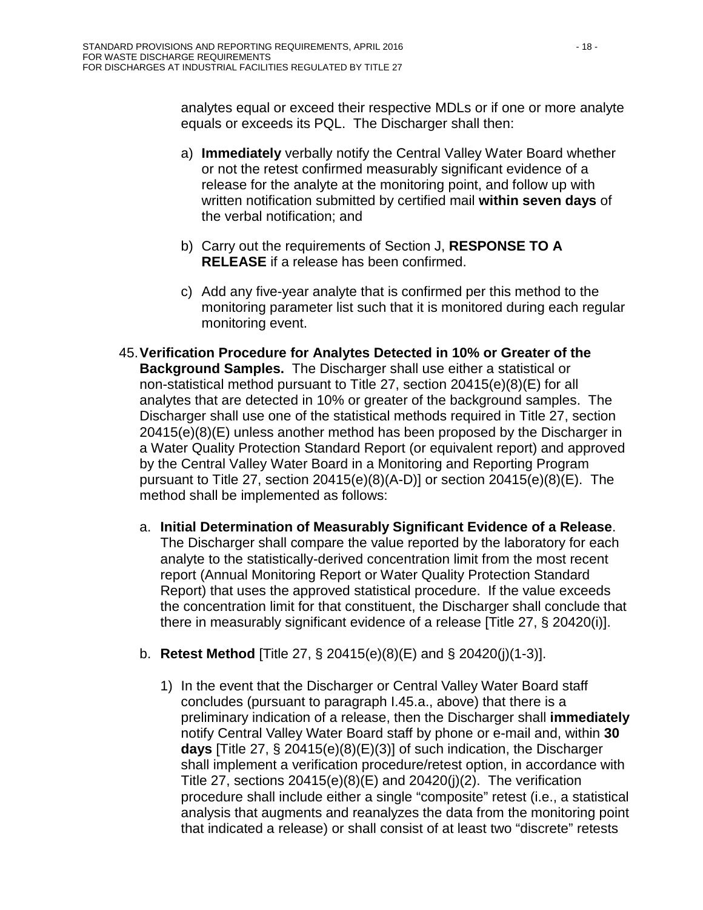analytes equal or exceed their respective MDLs or if one or more analyte equals or exceeds its PQL. The Discharger shall then:

- a) **Immediately** verbally notify the Central Valley Water Board whether or not the retest confirmed measurably significant evidence of a release for the analyte at the monitoring point, and follow up with written notification submitted by certified mail **within seven days** of the verbal notification; and
- b) Carry out the requirements of Section J, **RESPONSE TO A RELEASE** if a release has been confirmed.
- c) Add any five-year analyte that is confirmed per this method to the monitoring parameter list such that it is monitored during each regular monitoring event.
- <span id="page-68-0"></span>45.**Verification Procedure for Analytes Detected in 10% or Greater of the Background Samples.** The Discharger shall use either a statistical or non-statistical method pursuant to Title 27, section 20415(e)(8)(E) for all analytes that are detected in 10% or greater of the background samples. The Discharger shall use one of the statistical methods required in Title 27, section 20415(e)(8)(E) unless another method has been proposed by the Discharger in a Water Quality Protection Standard Report (or equivalent report) and approved by the Central Valley Water Board in a Monitoring and Reporting Program pursuant to Title 27, section 20415(e)(8)(A-D)] or section 20415(e)(8)(E). The method shall be implemented as follows:
	- a. **Initial Determination of Measurably Significant Evidence of a Release**. The Discharger shall compare the value reported by the laboratory for each analyte to the statistically-derived concentration limit from the most recent report (Annual Monitoring Report or Water Quality Protection Standard Report) that uses the approved statistical procedure. If the value exceeds the concentration limit for that constituent, the Discharger shall conclude that there in measurably significant evidence of a release [Title 27, § 20420(i)].
	- b. **Retest Method** [Title 27, § 20415(e)(8)(E) and § 20420(j)(1-3)].
		- 1) In the event that the Discharger or Central Valley Water Board staff concludes (pursuant to paragraph I[.45.](#page-68-0)a., above) that there is a preliminary indication of a release, then the Discharger shall **immediately** notify Central Valley Water Board staff by phone or e-mail and, within **30 days** [Title 27, § 20415(e)(8)(E)(3)] of such indication, the Discharger shall implement a verification procedure/retest option, in accordance with Title 27, sections  $20415(e)(8)(E)$  and  $20420(i)(2)$ . The verification procedure shall include either a single "composite" retest (i.e., a statistical analysis that augments and reanalyzes the data from the monitoring point that indicated a release) or shall consist of at least two "discrete" retests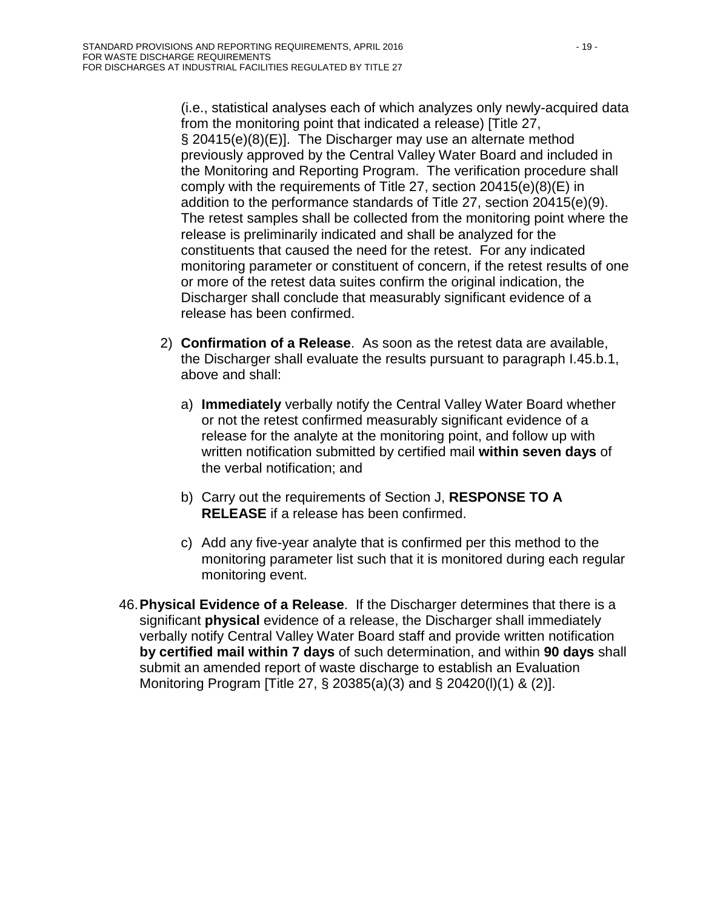(i.e., statistical analyses each of which analyzes only newly-acquired data from the monitoring point that indicated a release) [Title 27, § 20415(e)(8)(E)]. The Discharger may use an alternate method previously approved by the Central Valley Water Board and included in the Monitoring and Reporting Program. The verification procedure shall comply with the requirements of Title 27, section 20415(e)(8)(E) in addition to the performance standards of Title 27, section 20415(e)(9). The retest samples shall be collected from the monitoring point where the release is preliminarily indicated and shall be analyzed for the constituents that caused the need for the retest. For any indicated monitoring parameter or constituent of concern, if the retest results of one or more of the retest data suites confirm the original indication, the Discharger shall conclude that measurably significant evidence of a release has been confirmed.

- 2) **Confirmation of a Release**. As soon as the retest data are available, the Discharger shall evaluate the results pursuant to paragraph I[.45.](#page-68-0)b.1, above and shall:
	- a) **Immediately** verbally notify the Central Valley Water Board whether or not the retest confirmed measurably significant evidence of a release for the analyte at the monitoring point, and follow up with written notification submitted by certified mail **within seven days** of the verbal notification; and
	- b) Carry out the requirements of Section J, **RESPONSE TO A RELEASE** if a release has been confirmed.
	- c) Add any five-year analyte that is confirmed per this method to the monitoring parameter list such that it is monitored during each regular monitoring event.
- <span id="page-69-0"></span>46.**Physical Evidence of a Release**. If the Discharger determines that there is a significant **physical** evidence of a release, the Discharger shall immediately verbally notify Central Valley Water Board staff and provide written notification **by certified mail within 7 days** of such determination, and within **90 days** shall submit an amended report of waste discharge to establish an Evaluation Monitoring Program [Title 27, § 20385(a)(3) and § 20420(l)(1) & (2)].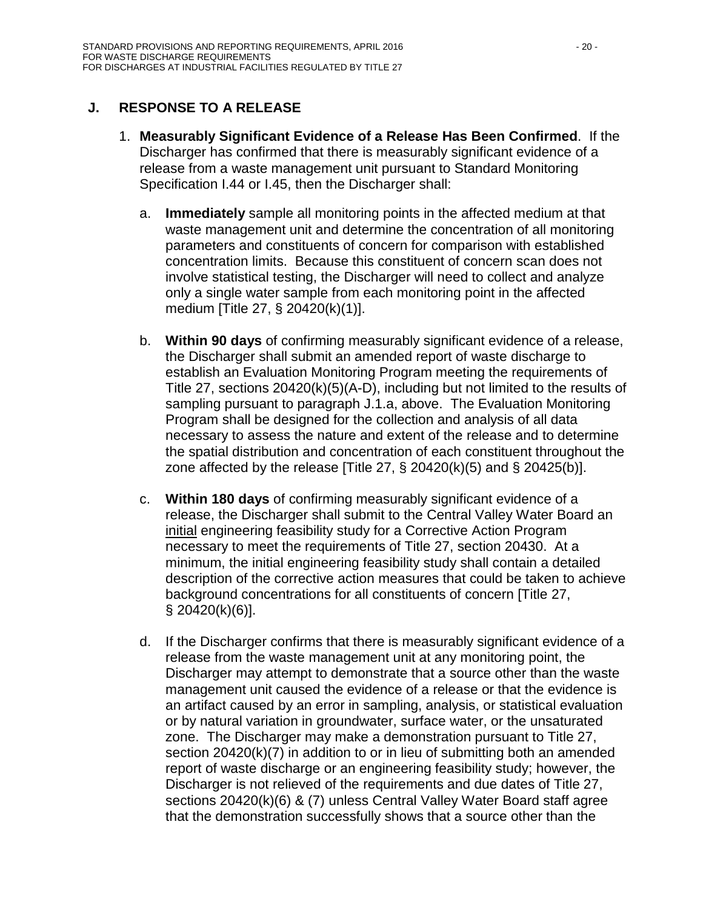# <span id="page-70-0"></span>**J. RESPONSE TO A RELEASE**

- <span id="page-70-2"></span><span id="page-70-1"></span>1. **Measurably Significant Evidence of a Release Has Been Confirmed**. If the Discharger has confirmed that there is measurably significant evidence of a release from a waste management unit pursuant to Standard Monitoring Specification I[.44](#page-67-0) or I[.45,](#page-68-0) then the Discharger shall:
	- a. **Immediately** sample all monitoring points in the affected medium at that waste management unit and determine the concentration of all monitoring parameters and constituents of concern for comparison with established concentration limits. Because this constituent of concern scan does not involve statistical testing, the Discharger will need to collect and analyze only a single water sample from each monitoring point in the affected medium [Title 27, § 20420(k)(1)].
	- b. **Within 90 days** of confirming measurably significant evidence of a release, the Discharger shall submit an amended report of waste discharge to establish an Evaluation Monitoring Program meeting the requirements of Title 27, sections 20420(k)(5)(A-D), including but not limited to the results of sampling pursuant to paragraph J[.1](#page-70-0)[.a,](#page-70-1) above. The Evaluation Monitoring Program shall be designed for the collection and analysis of all data necessary to assess the nature and extent of the release and to determine the spatial distribution and concentration of each constituent throughout the zone affected by the release [Title 27,  $\S$  20420(k)(5) and  $\S$  20425(b)].
	- c. **Within 180 days** of confirming measurably significant evidence of a release, the Discharger shall submit to the Central Valley Water Board an initial engineering feasibility study for a Corrective Action Program necessary to meet the requirements of Title 27, section 20430. At a minimum, the initial engineering feasibility study shall contain a detailed description of the corrective action measures that could be taken to achieve background concentrations for all constituents of concern [Title 27, § 20420(k)(6)].
	- d. If the Discharger confirms that there is measurably significant evidence of a release from the waste management unit at any monitoring point, the Discharger may attempt to demonstrate that a source other than the waste management unit caused the evidence of a release or that the evidence is an artifact caused by an error in sampling, analysis, or statistical evaluation or by natural variation in groundwater, surface water, or the unsaturated zone. The Discharger may make a demonstration pursuant to Title 27, section 20420(k)(7) in addition to or in lieu of submitting both an amended report of waste discharge or an engineering feasibility study; however, the Discharger is not relieved of the requirements and due dates of Title 27, sections 20420(k)(6) & (7) unless Central Valley Water Board staff agree that the demonstration successfully shows that a source other than the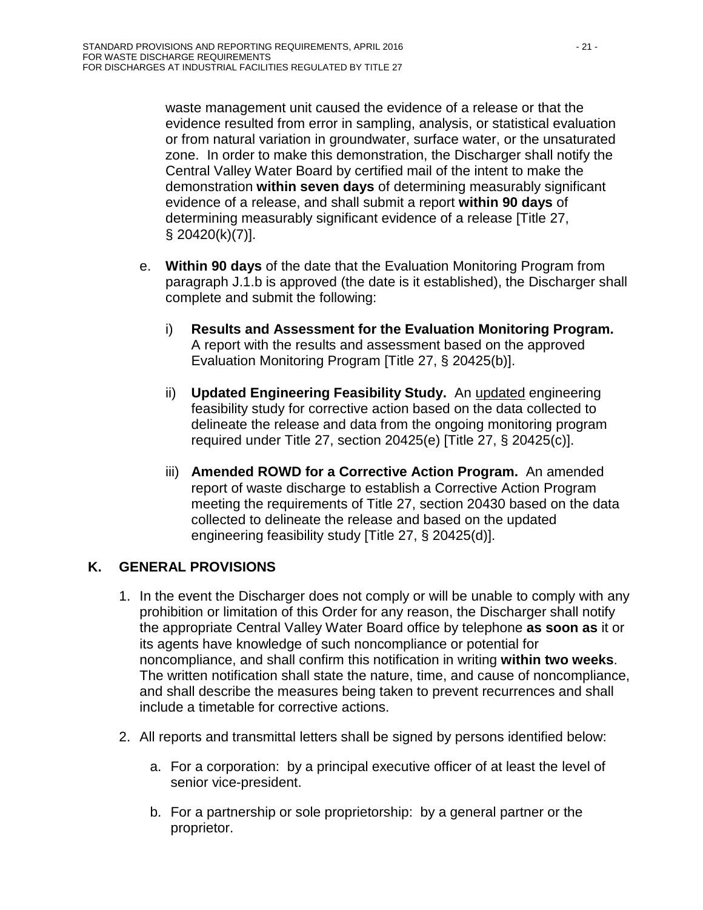waste management unit caused the evidence of a release or that the evidence resulted from error in sampling, analysis, or statistical evaluation or from natural variation in groundwater, surface water, or the unsaturated zone. In order to make this demonstration, the Discharger shall notify the Central Valley Water Board by certified mail of the intent to make the demonstration **within seven days** of determining measurably significant evidence of a release, and shall submit a report **within 90 days** of determining measurably significant evidence of a release [Title 27, § 20420(k)(7)].

- e. **Within 90 days** of the date that the Evaluation Monitoring Program from paragraph J[.1](#page-70-0)[.b](#page-70-2) is approved (the date is it established), the Discharger shall complete and submit the following:
	- i) **Results and Assessment for the Evaluation Monitoring Program.** A report with the results and assessment based on the approved Evaluation Monitoring Program [Title 27, § 20425(b)].
	- ii) **Updated Engineering Feasibility Study.** An updated engineering feasibility study for corrective action based on the data collected to delineate the release and data from the ongoing monitoring program required under Title 27, section 20425(e) [Title 27, § 20425(c)].
	- iii) **Amended ROWD for a Corrective Action Program.** An amended report of waste discharge to establish a Corrective Action Program meeting the requirements of Title 27, section 20430 based on the data collected to delineate the release and based on the updated engineering feasibility study [Title 27, § 20425(d)].

# <span id="page-71-0"></span>**K. GENERAL PROVISIONS**

- 1. In the event the Discharger does not comply or will be unable to comply with any prohibition or limitation of this Order for any reason, the Discharger shall notify the appropriate Central Valley Water Board office by telephone **as soon as** it or its agents have knowledge of such noncompliance or potential for noncompliance, and shall confirm this notification in writing **within two weeks**. The written notification shall state the nature, time, and cause of noncompliance, and shall describe the measures being taken to prevent recurrences and shall include a timetable for corrective actions.
- 2. All reports and transmittal letters shall be signed by persons identified below:
	- a. For a corporation: by a principal executive officer of at least the level of senior vice-president.
	- b. For a partnership or sole proprietorship: by a general partner or the proprietor.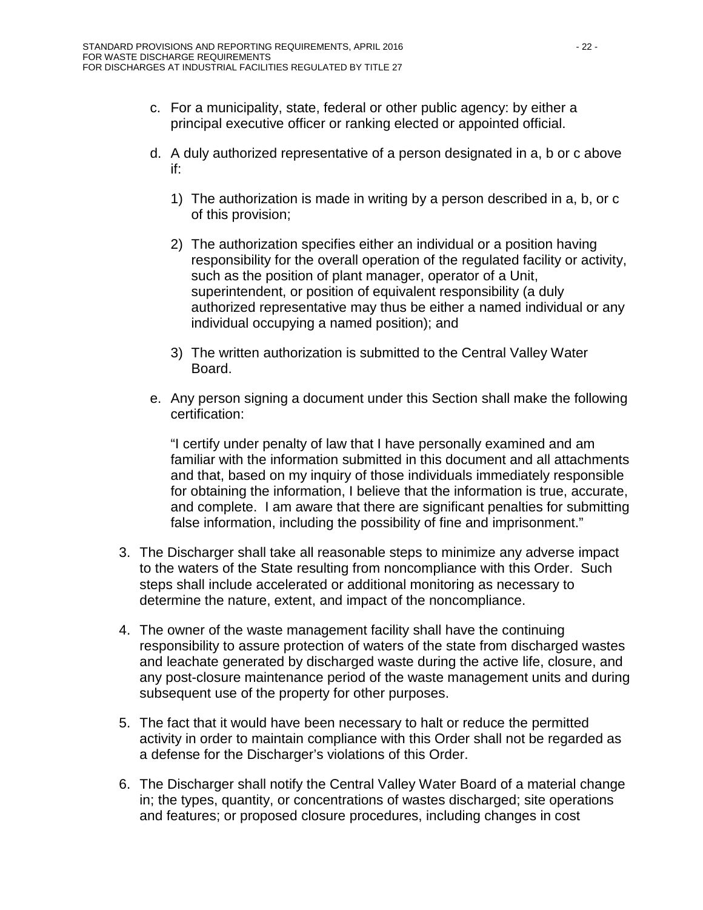- c. For a municipality, state, federal or other public agency: by either a principal executive officer or ranking elected or appointed official.
- d. A duly authorized representative of a person designated in a, b or c above if:
	- 1) The authorization is made in writing by a person described in a, b, or c of this provision;
	- 2) The authorization specifies either an individual or a position having responsibility for the overall operation of the regulated facility or activity, such as the position of plant manager, operator of a Unit, superintendent, or position of equivalent responsibility (a duly authorized representative may thus be either a named individual or any individual occupying a named position); and
	- 3) The written authorization is submitted to the Central Valley Water Board.
- e. Any person signing a document under this Section shall make the following certification:

"I certify under penalty of law that I have personally examined and am familiar with the information submitted in this document and all attachments and that, based on my inquiry of those individuals immediately responsible for obtaining the information, I believe that the information is true, accurate, and complete. I am aware that there are significant penalties for submitting false information, including the possibility of fine and imprisonment."

- 3. The Discharger shall take all reasonable steps to minimize any adverse impact to the waters of the State resulting from noncompliance with this Order. Such steps shall include accelerated or additional monitoring as necessary to determine the nature, extent, and impact of the noncompliance.
- 4. The owner of the waste management facility shall have the continuing responsibility to assure protection of waters of the state from discharged wastes and leachate generated by discharged waste during the active life, closure, and any post-closure maintenance period of the waste management units and during subsequent use of the property for other purposes.
- 5. The fact that it would have been necessary to halt or reduce the permitted activity in order to maintain compliance with this Order shall not be regarded as a defense for the Discharger's violations of this Order.
- 6. The Discharger shall notify the Central Valley Water Board of a material change in; the types, quantity, or concentrations of wastes discharged; site operations and features; or proposed closure procedures, including changes in cost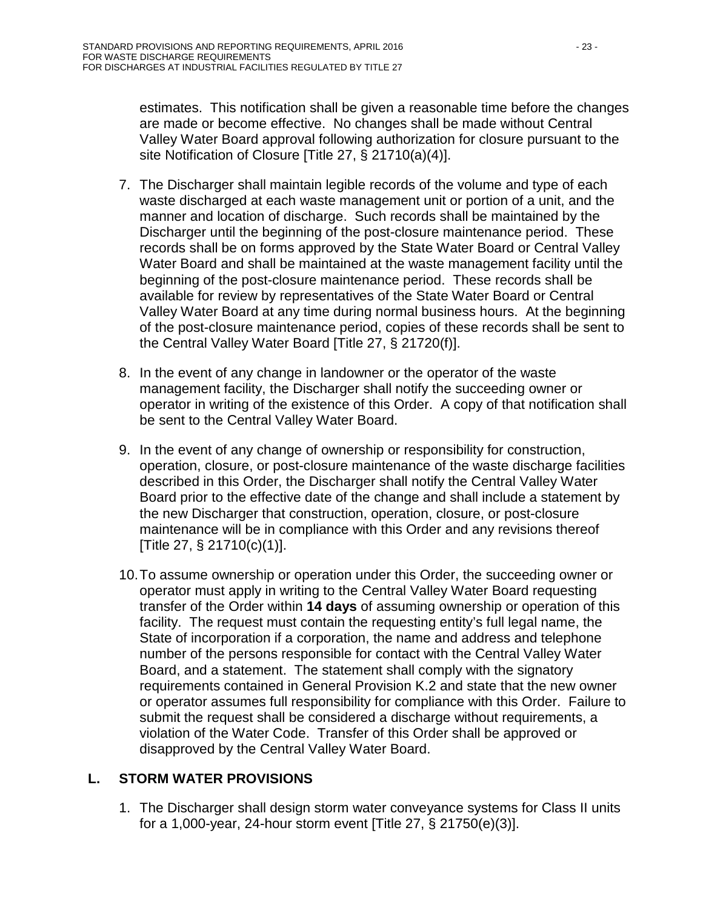estimates. This notification shall be given a reasonable time before the changes are made or become effective. No changes shall be made without Central Valley Water Board approval following authorization for closure pursuant to the site Notification of Closure [Title 27, § 21710(a)(4)].

- 7. The Discharger shall maintain legible records of the volume and type of each waste discharged at each waste management unit or portion of a unit, and the manner and location of discharge. Such records shall be maintained by the Discharger until the beginning of the post-closure maintenance period. These records shall be on forms approved by the State Water Board or Central Valley Water Board and shall be maintained at the waste management facility until the beginning of the post-closure maintenance period. These records shall be available for review by representatives of the State Water Board or Central Valley Water Board at any time during normal business hours. At the beginning of the post-closure maintenance period, copies of these records shall be sent to the Central Valley Water Board [Title 27, § 21720(f)].
- 8. In the event of any change in landowner or the operator of the waste management facility, the Discharger shall notify the succeeding owner or operator in writing of the existence of this Order. A copy of that notification shall be sent to the Central Valley Water Board.
- 9. In the event of any change of ownership or responsibility for construction, operation, closure, or post-closure maintenance of the waste discharge facilities described in this Order, the Discharger shall notify the Central Valley Water Board prior to the effective date of the change and shall include a statement by the new Discharger that construction, operation, closure, or post-closure maintenance will be in compliance with this Order and any revisions thereof [Title 27, § 21710(c)(1)].
- 10.To assume ownership or operation under this Order, the succeeding owner or operator must apply in writing to the Central Valley Water Board requesting transfer of the Order within **14 days** of assuming ownership or operation of this facility. The request must contain the requesting entity's full legal name, the State of incorporation if a corporation, the name and address and telephone number of the persons responsible for contact with the Central Valley Water Board, and a statement. The statement shall comply with the signatory requirements contained in General Provision [K](#page-71-0)[.2](#page-71-1) and state that the new owner or operator assumes full responsibility for compliance with this Order. Failure to submit the request shall be considered a discharge without requirements, a violation of the Water Code. Transfer of this Order shall be approved or disapproved by the Central Valley Water Board.

## **L. STORM WATER PROVISIONS**

1. The Discharger shall design storm water conveyance systems for Class II units for a 1,000-year, 24-hour storm event [Title 27, § 21750(e)(3)].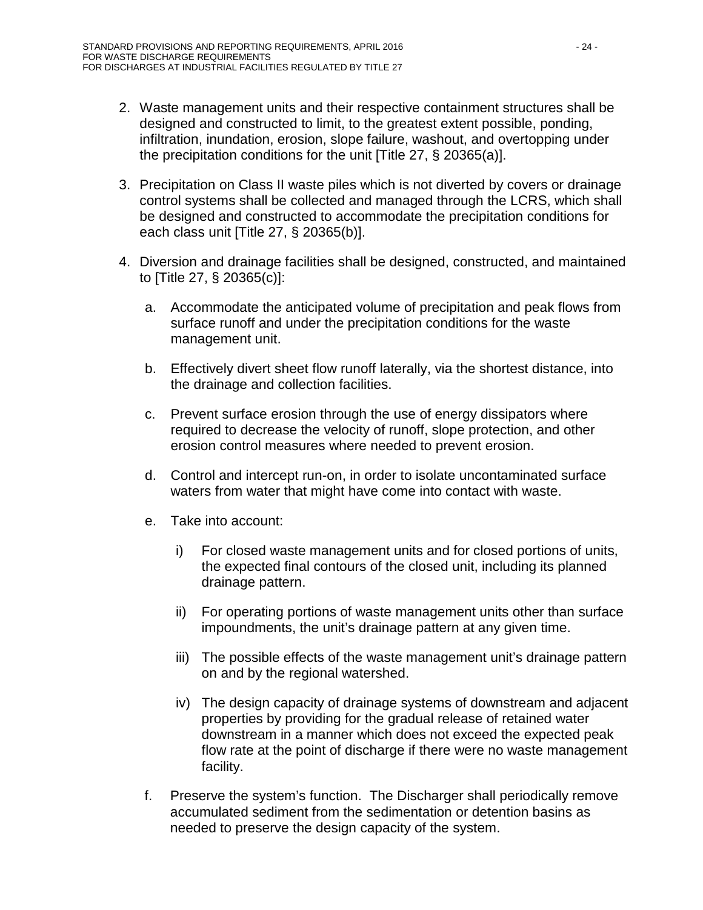- 2. Waste management units and their respective containment structures shall be designed and constructed to limit, to the greatest extent possible, ponding, infiltration, inundation, erosion, slope failure, washout, and overtopping under the precipitation conditions for the unit [Title 27, § 20365(a)].
- 3. Precipitation on Class II waste piles which is not diverted by covers or drainage control systems shall be collected and managed through the LCRS, which shall be designed and constructed to accommodate the precipitation conditions for each class unit [Title 27, § 20365(b)].
- 4. Diversion and drainage facilities shall be designed, constructed, and maintained to [Title 27, § 20365(c)]:
	- a. Accommodate the anticipated volume of precipitation and peak flows from surface runoff and under the precipitation conditions for the waste management unit.
	- b. Effectively divert sheet flow runoff laterally, via the shortest distance, into the drainage and collection facilities.
	- c. Prevent surface erosion through the use of energy dissipators where required to decrease the velocity of runoff, slope protection, and other erosion control measures where needed to prevent erosion.
	- d. Control and intercept run-on, in order to isolate uncontaminated surface waters from water that might have come into contact with waste.
	- e. Take into account:
		- i) For closed waste management units and for closed portions of units, the expected final contours of the closed unit, including its planned drainage pattern.
		- ii) For operating portions of waste management units other than surface impoundments, the unit's drainage pattern at any given time.
		- iii) The possible effects of the waste management unit's drainage pattern on and by the regional watershed.
		- iv) The design capacity of drainage systems of downstream and adjacent properties by providing for the gradual release of retained water downstream in a manner which does not exceed the expected peak flow rate at the point of discharge if there were no waste management facility.
	- f. Preserve the system's function. The Discharger shall periodically remove accumulated sediment from the sedimentation or detention basins as needed to preserve the design capacity of the system.